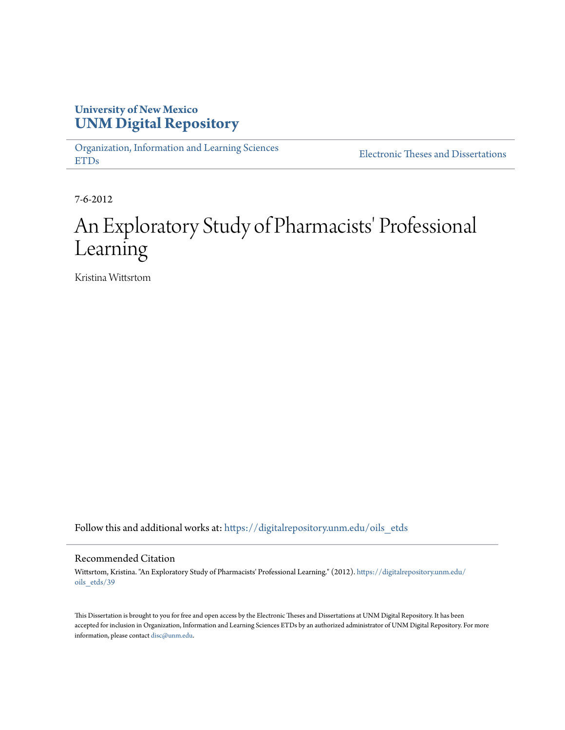## **University of New Mexico [UNM Digital Repository](https://digitalrepository.unm.edu?utm_source=digitalrepository.unm.edu%2Foils_etds%2F39&utm_medium=PDF&utm_campaign=PDFCoverPages)**

[Organization, Information and Learning Sciences](https://digitalrepository.unm.edu/oils_etds?utm_source=digitalrepository.unm.edu%2Foils_etds%2F39&utm_medium=PDF&utm_campaign=PDFCoverPages) [ETDs](https://digitalrepository.unm.edu/oils_etds?utm_source=digitalrepository.unm.edu%2Foils_etds%2F39&utm_medium=PDF&utm_campaign=PDFCoverPages)

[Electronic Theses and Dissertations](https://digitalrepository.unm.edu/etds?utm_source=digitalrepository.unm.edu%2Foils_etds%2F39&utm_medium=PDF&utm_campaign=PDFCoverPages)

7-6-2012

# An Exploratory Study of Pharmacists' Professional Learning

Kristina Wittsrtom

Follow this and additional works at: [https://digitalrepository.unm.edu/oils\\_etds](https://digitalrepository.unm.edu/oils_etds?utm_source=digitalrepository.unm.edu%2Foils_etds%2F39&utm_medium=PDF&utm_campaign=PDFCoverPages)

#### Recommended Citation

Wittsrtom, Kristina. "An Exploratory Study of Pharmacists' Professional Learning." (2012). [https://digitalrepository.unm.edu/](https://digitalrepository.unm.edu/oils_etds/39?utm_source=digitalrepository.unm.edu%2Foils_etds%2F39&utm_medium=PDF&utm_campaign=PDFCoverPages) [oils\\_etds/39](https://digitalrepository.unm.edu/oils_etds/39?utm_source=digitalrepository.unm.edu%2Foils_etds%2F39&utm_medium=PDF&utm_campaign=PDFCoverPages)

This Dissertation is brought to you for free and open access by the Electronic Theses and Dissertations at UNM Digital Repository. It has been accepted for inclusion in Organization, Information and Learning Sciences ETDs by an authorized administrator of UNM Digital Repository. For more information, please contact [disc@unm.edu.](mailto:disc@unm.edu)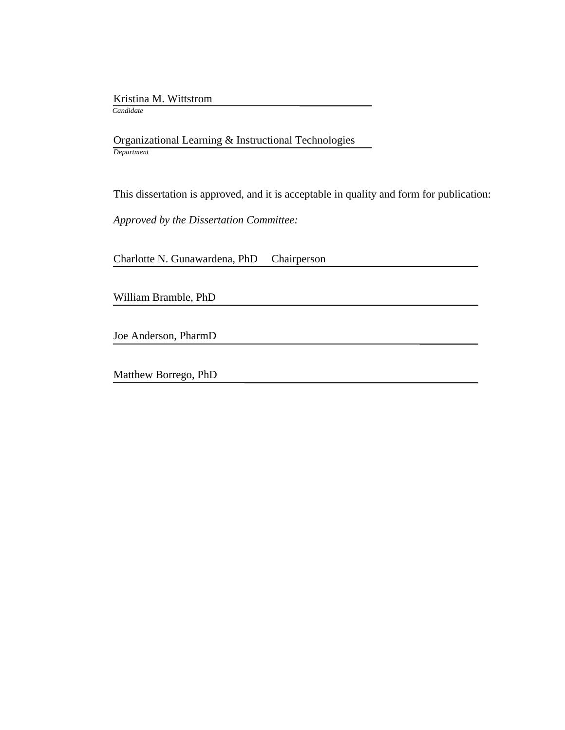Kristina M. Wittstrom

*Candidate*

 Organizational Learning & Instructional Technologies *Department*

This dissertation is approved, and it is acceptable in quality and form for publication:

*Approved by the Dissertation Committee:*

Charlotte N. Gunawardena, PhD Chairperson

William Bramble, PhD

Joe Anderson, PharmD

Matthew Borrego, PhD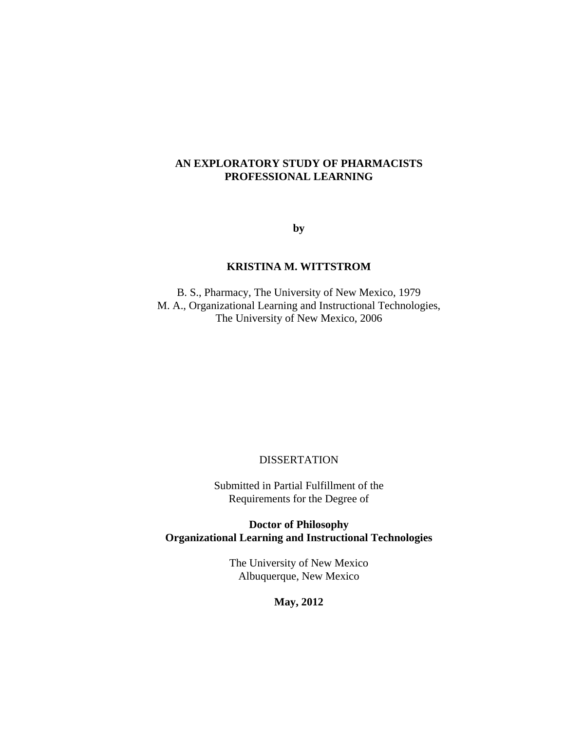#### **AN EXPLORATORY STUDY OF PHARMACISTS PROFESSIONAL LEARNING**

**by**

#### **KRISTINA M. WITTSTROM**

B. S., Pharmacy, The University of New Mexico, 1979 M. A., Organizational Learning and Instructional Technologies, The University of New Mexico, 2006

#### DISSERTATION

Submitted in Partial Fulfillment of the Requirements for the Degree of

**Doctor of Philosophy Organizational Learning and Instructional Technologies**

> The University of New Mexico Albuquerque, New Mexico

> > **May, 2012**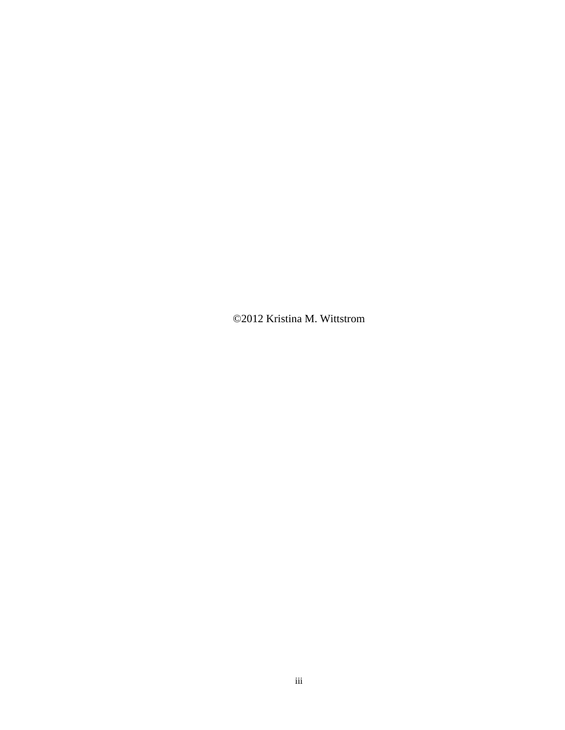©2012 Kristina M. Wittstrom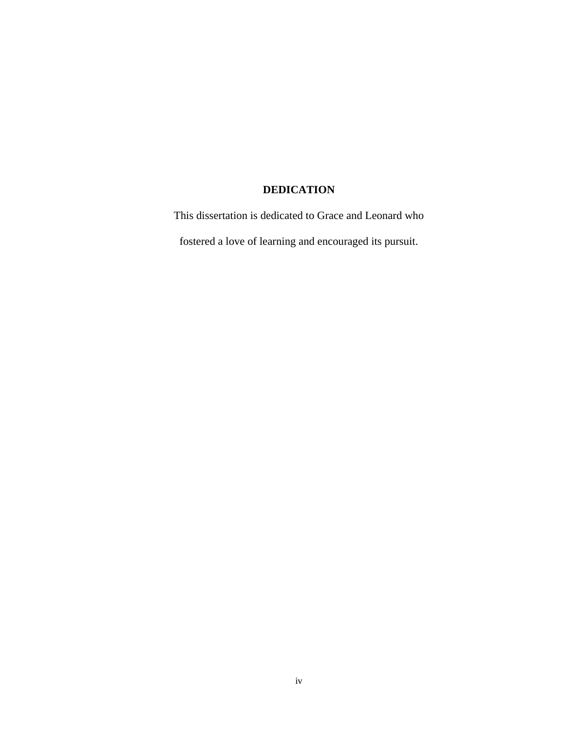## **DEDICATION**

This dissertation is dedicated to Grace and Leonard who fostered a love of learning and encouraged its pursuit.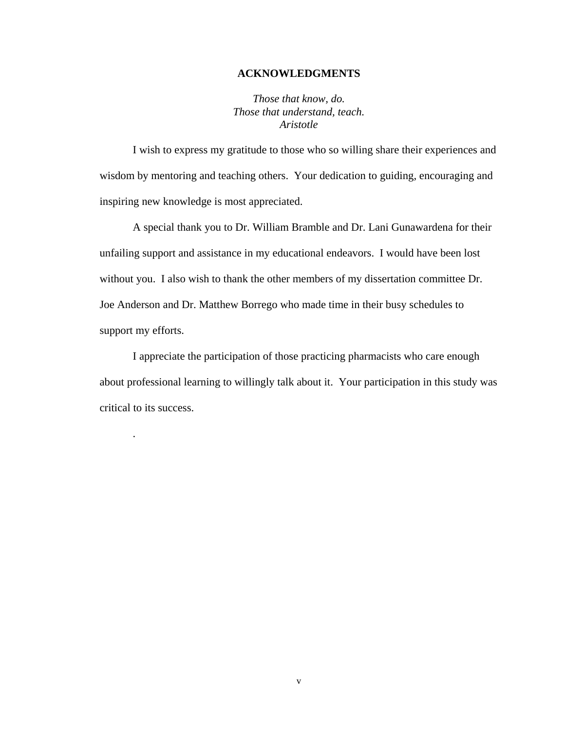#### **ACKNOWLEDGMENTS**

*Those that know, do. Those that understand, teach. Aristotle*

I wish to express my gratitude to those who so willing share their experiences and wisdom by mentoring and teaching others. Your dedication to guiding, encouraging and inspiring new knowledge is most appreciated.

A special thank you to Dr. William Bramble and Dr. Lani Gunawardena for their unfailing support and assistance in my educational endeavors. I would have been lost without you. I also wish to thank the other members of my dissertation committee Dr. Joe Anderson and Dr. Matthew Borrego who made time in their busy schedules to support my efforts.

I appreciate the participation of those practicing pharmacists who care enough about professional learning to willingly talk about it. Your participation in this study was critical to its success.

.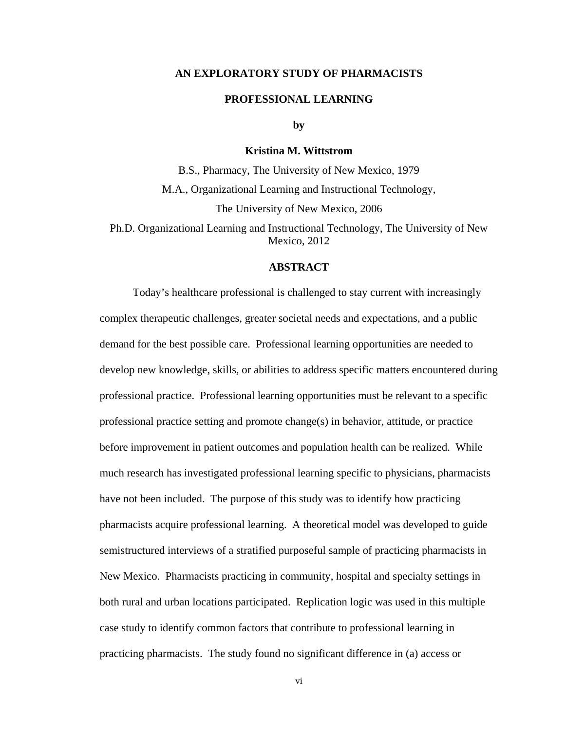#### **AN EXPLORATORY STUDY OF PHARMACISTS**

#### **PROFESSIONAL LEARNING**

**by**

#### **Kristina M. Wittstrom**

B.S., Pharmacy, The University of New Mexico, 1979 M.A., Organizational Learning and Instructional Technology, The University of New Mexico, 2006

Ph.D. Organizational Learning and Instructional Technology, The University of New Mexico, 2012

#### **ABSTRACT**

Today's healthcare professional is challenged to stay current with increasingly complex therapeutic challenges, greater societal needs and expectations, and a public demand for the best possible care. Professional learning opportunities are needed to develop new knowledge, skills, or abilities to address specific matters encountered during professional practice. Professional learning opportunities must be relevant to a specific professional practice setting and promote change(s) in behavior, attitude, or practice before improvement in patient outcomes and population health can be realized. While much research has investigated professional learning specific to physicians, pharmacists have not been included. The purpose of this study was to identify how practicing pharmacists acquire professional learning. A theoretical model was developed to guide semistructured interviews of a stratified purposeful sample of practicing pharmacists in New Mexico. Pharmacists practicing in community, hospital and specialty settings in both rural and urban locations participated. Replication logic was used in this multiple case study to identify common factors that contribute to professional learning in practicing pharmacists. The study found no significant difference in (a) access or

vi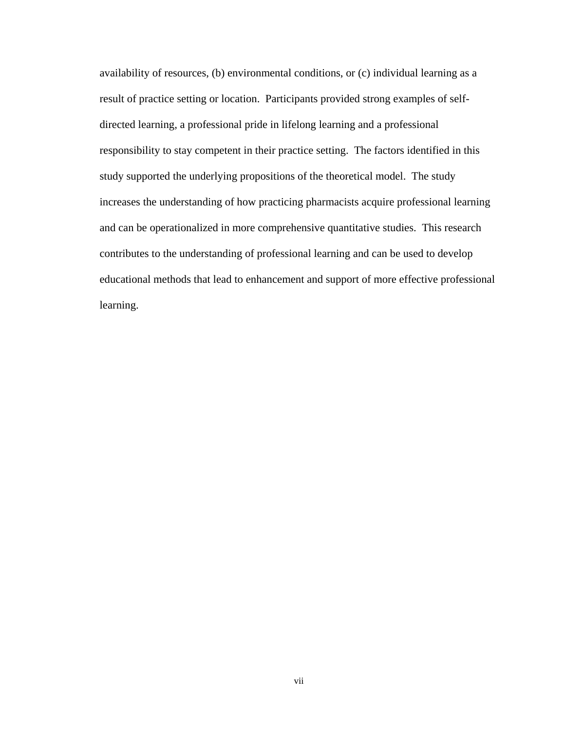availability of resources, (b) environmental conditions, or (c) individual learning as a result of practice setting or location. Participants provided strong examples of selfdirected learning, a professional pride in lifelong learning and a professional responsibility to stay competent in their practice setting. The factors identified in this study supported the underlying propositions of the theoretical model. The study increases the understanding of how practicing pharmacists acquire professional learning and can be operationalized in more comprehensive quantitative studies. This research contributes to the understanding of professional learning and can be used to develop educational methods that lead to enhancement and support of more effective professional learning.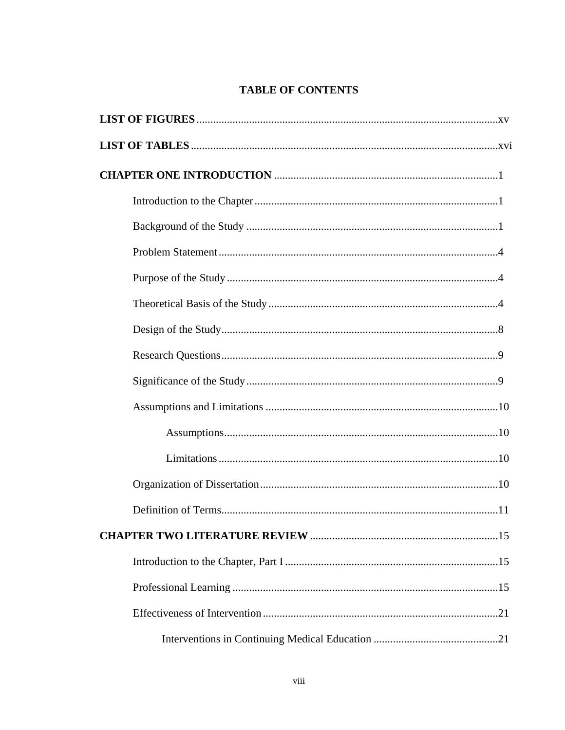## **TABLE OF CONTENTS**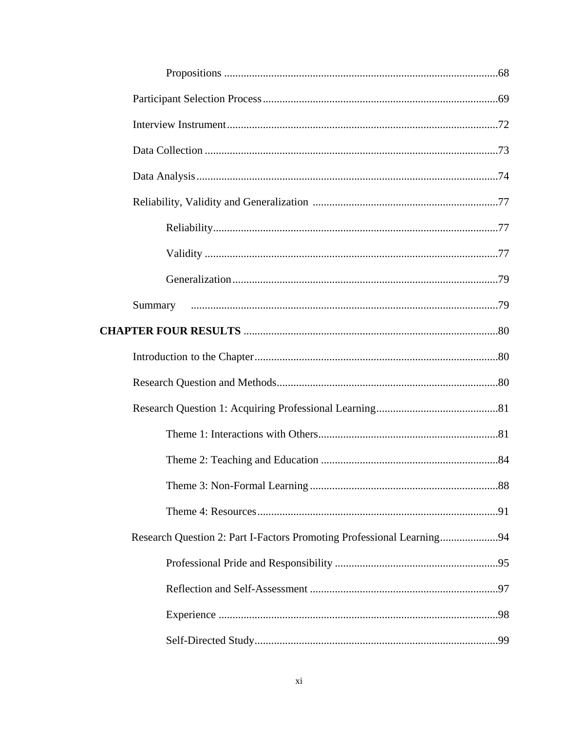| Research Question 2: Part I-Factors Promoting Professional Learning94 |  |
|-----------------------------------------------------------------------|--|
|                                                                       |  |
|                                                                       |  |
|                                                                       |  |
|                                                                       |  |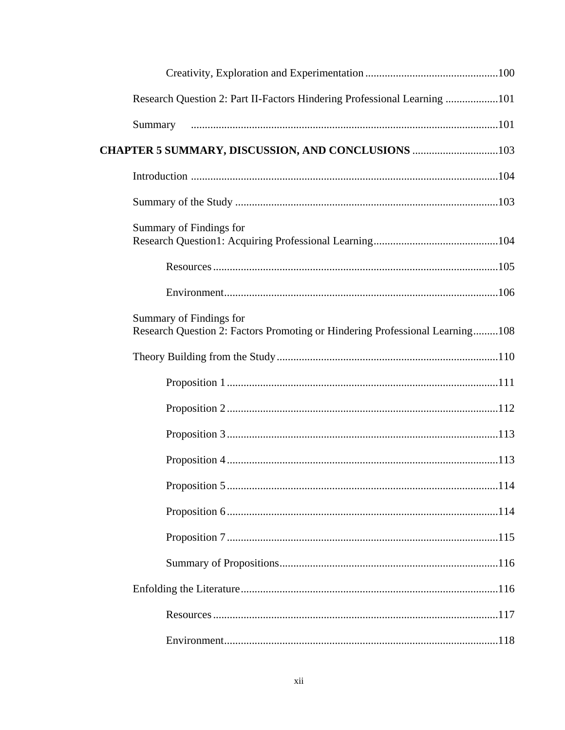| Research Question 2: Part II-Factors Hindering Professional Learning 101                                |  |
|---------------------------------------------------------------------------------------------------------|--|
| Summary                                                                                                 |  |
| CHAPTER 5 SUMMARY, DISCUSSION, AND CONCLUSIONS 103                                                      |  |
|                                                                                                         |  |
|                                                                                                         |  |
| Summary of Findings for                                                                                 |  |
|                                                                                                         |  |
|                                                                                                         |  |
| Summary of Findings for<br>Research Question 2: Factors Promoting or Hindering Professional Learning108 |  |
|                                                                                                         |  |
|                                                                                                         |  |
|                                                                                                         |  |
|                                                                                                         |  |
|                                                                                                         |  |
|                                                                                                         |  |
|                                                                                                         |  |
|                                                                                                         |  |
|                                                                                                         |  |
|                                                                                                         |  |
|                                                                                                         |  |
|                                                                                                         |  |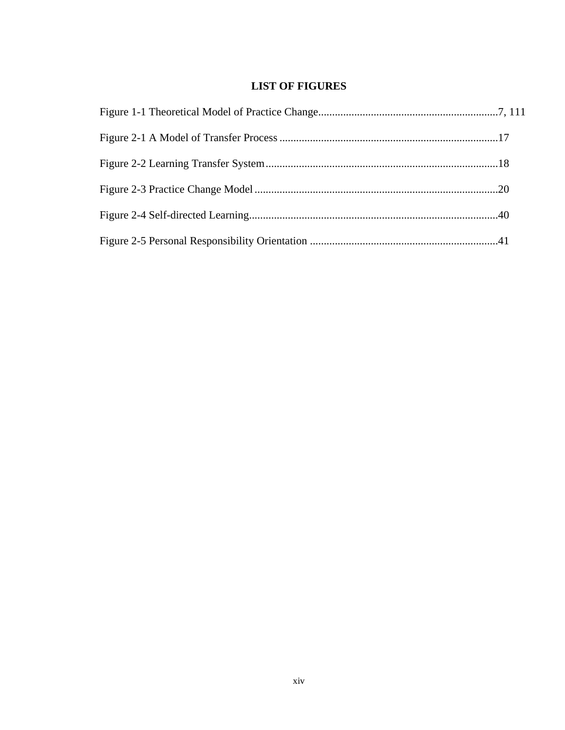## **LIST OF FIGURES**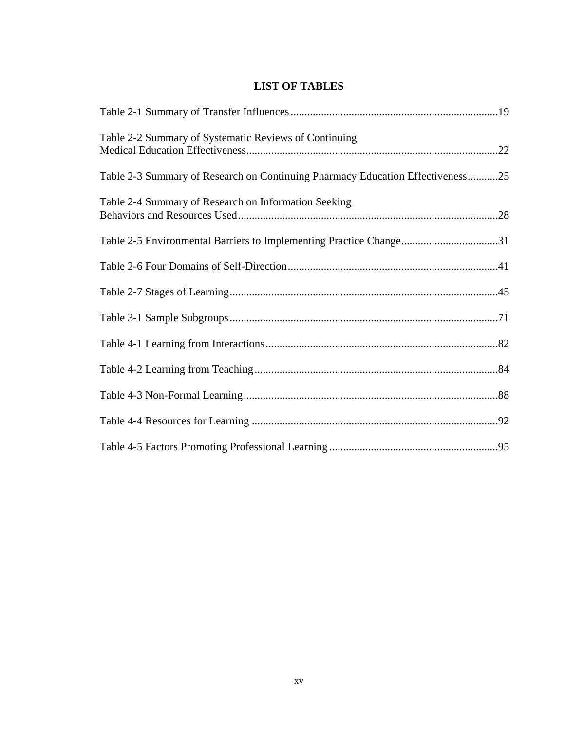## **LIST OF TABLES**

| Table 2-2 Summary of Systematic Reviews of Continuing                          |  |
|--------------------------------------------------------------------------------|--|
| Table 2-3 Summary of Research on Continuing Pharmacy Education Effectiveness25 |  |
| Table 2-4 Summary of Research on Information Seeking                           |  |
| Table 2-5 Environmental Barriers to Implementing Practice Change31             |  |
|                                                                                |  |
|                                                                                |  |
|                                                                                |  |
|                                                                                |  |
|                                                                                |  |
|                                                                                |  |
|                                                                                |  |
|                                                                                |  |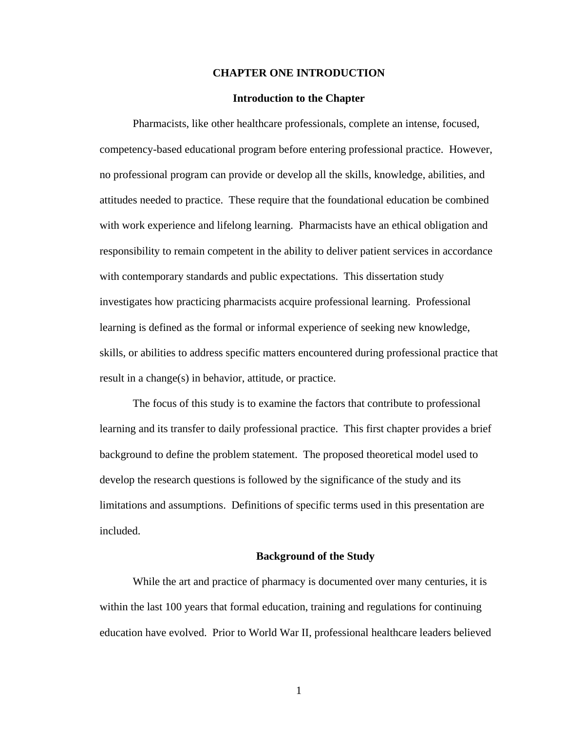#### **CHAPTER ONE INTRODUCTION**

#### **Introduction to the Chapter**

Pharmacists, like other healthcare professionals, complete an intense, focused, competency-based educational program before entering professional practice. However, no professional program can provide or develop all the skills, knowledge, abilities, and attitudes needed to practice. These require that the foundational education be combined with work experience and lifelong learning. Pharmacists have an ethical obligation and responsibility to remain competent in the ability to deliver patient services in accordance with contemporary standards and public expectations. This dissertation study investigates how practicing pharmacists acquire professional learning. Professional learning is defined as the formal or informal experience of seeking new knowledge, skills, or abilities to address specific matters encountered during professional practice that result in a change(s) in behavior, attitude, or practice.

The focus of this study is to examine the factors that contribute to professional learning and its transfer to daily professional practice. This first chapter provides a brief background to define the problem statement. The proposed theoretical model used to develop the research questions is followed by the significance of the study and its limitations and assumptions. Definitions of specific terms used in this presentation are included.

#### **Background of the Study**

While the art and practice of pharmacy is documented over many centuries, it is within the last 100 years that formal education, training and regulations for continuing education have evolved. Prior to World War II, professional healthcare leaders believed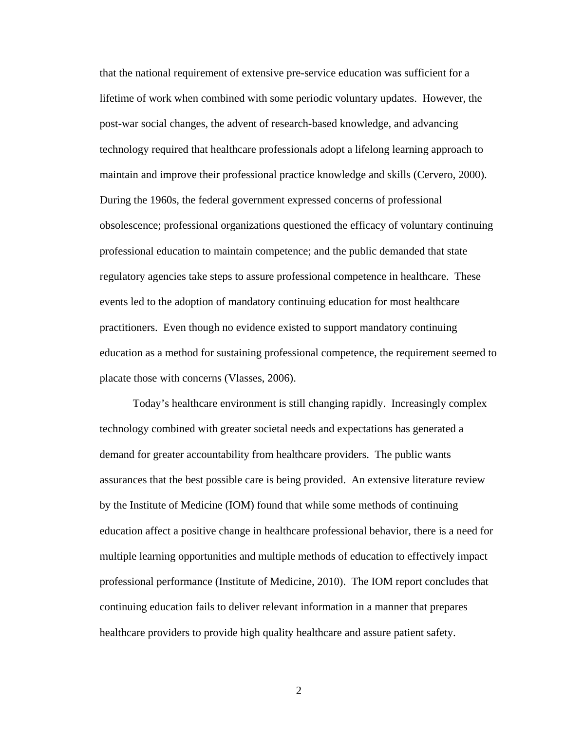that the national requirement of extensive pre-service education was sufficient for a lifetime of work when combined with some periodic voluntary updates. However, the post-war social changes, the advent of research-based knowledge, and advancing technology required that healthcare professionals adopt a lifelong learning approach to maintain and improve their professional practice knowledge and skills (Cervero, 2000). During the 1960s, the federal government expressed concerns of professional obsolescence; professional organizations questioned the efficacy of voluntary continuing professional education to maintain competence; and the public demanded that state regulatory agencies take steps to assure professional competence in healthcare. These events led to the adoption of mandatory continuing education for most healthcare practitioners. Even though no evidence existed to support mandatory continuing education as a method for sustaining professional competence, the requirement seemed to placate those with concerns (Vlasses, 2006).

Today's healthcare environment is still changing rapidly. Increasingly complex technology combined with greater societal needs and expectations has generated a demand for greater accountability from healthcare providers. The public wants assurances that the best possible care is being provided. An extensive literature review by the Institute of Medicine (IOM) found that while some methods of continuing education affect a positive change in healthcare professional behavior, there is a need for multiple learning opportunities and multiple methods of education to effectively impact professional performance (Institute of Medicine, 2010). The IOM report concludes that continuing education fails to deliver relevant information in a manner that prepares healthcare providers to provide high quality healthcare and assure patient safety.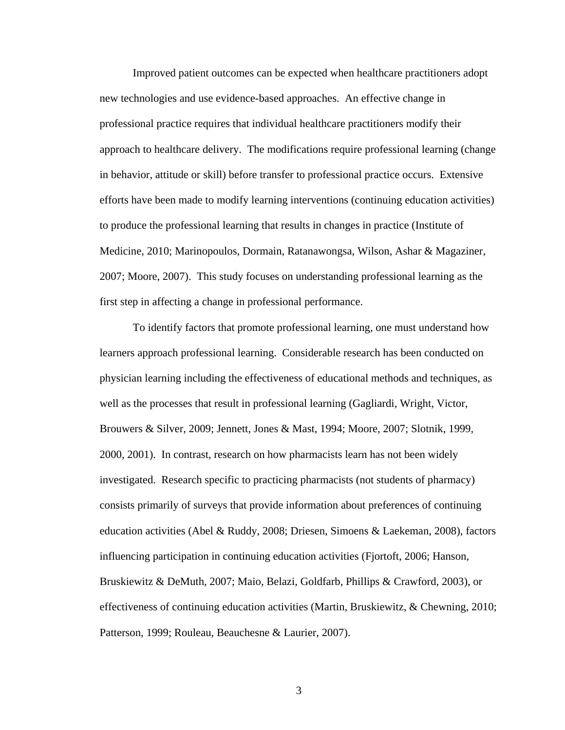Improved patient outcomes can be expected when healthcare practitioners adopt new technologies and use evidence-based approaches. An effective change in professional practice requires that individual healthcare practitioners modify their approach to healthcare delivery. The modifications require professional learning (change in behavior, attitude or skill) before transfer to professional practice occurs. Extensive efforts have been made to modify learning interventions (continuing education activities) to produce the professional learning that results in changes in practice (Institute of Medicine, 2010; Marinopoulos, Dormain, Ratanawongsa, Wilson, Ashar & Magaziner, 2007; Moore, 2007). This study focuses on understanding professional learning as the first step in affecting a change in professional performance.

To identify factors that promote professional learning, one must understand how learners approach professional learning. Considerable research has been conducted on physician learning including the effectiveness of educational methods and techniques, as well as the processes that result in professional learning (Gagliardi, Wright, Victor, Brouwers & Silver, 2009; Jennett, Jones & Mast, 1994; Moore, 2007; Slotnik, 1999, 2000, 2001). In contrast, research on how pharmacists learn has not been widely investigated. Research specific to practicing pharmacists (not students of pharmacy) consists primarily of surveys that provide information about preferences of continuing education activities (Abel & Ruddy, 2008; Driesen, Simoens & Laekeman, 2008), factors influencing participation in continuing education activities (Fjortoft, 2006; Hanson, Bruskiewitz & DeMuth, 2007; Maio, Belazi, Goldfarb, Phillips & Crawford, 2003), or effectiveness of continuing education activities (Martin, Bruskiewitz, & Chewning, 2010; Patterson, 1999; Rouleau, Beauchesne & Laurier, 2007).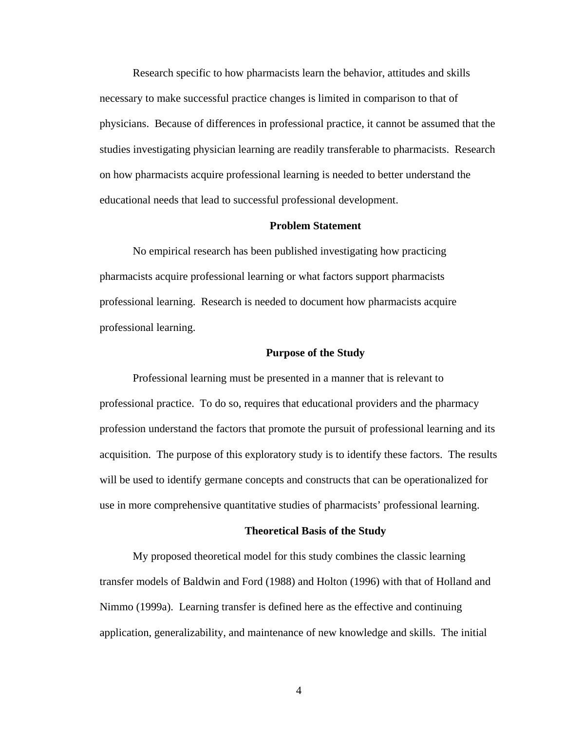Research specific to how pharmacists learn the behavior, attitudes and skills necessary to make successful practice changes is limited in comparison to that of physicians. Because of differences in professional practice, it cannot be assumed that the studies investigating physician learning are readily transferable to pharmacists. Research on how pharmacists acquire professional learning is needed to better understand the educational needs that lead to successful professional development.

#### **Problem Statement**

No empirical research has been published investigating how practicing pharmacists acquire professional learning or what factors support pharmacists professional learning. Research is needed to document how pharmacists acquire professional learning.

#### **Purpose of the Study**

Professional learning must be presented in a manner that is relevant to professional practice. To do so, requires that educational providers and the pharmacy profession understand the factors that promote the pursuit of professional learning and its acquisition. The purpose of this exploratory study is to identify these factors. The results will be used to identify germane concepts and constructs that can be operationalized for use in more comprehensive quantitative studies of pharmacists' professional learning.

#### **Theoretical Basis of the Study**

My proposed theoretical model for this study combines the classic learning transfer models of Baldwin and Ford (1988) and Holton (1996) with that of Holland and Nimmo (1999a). Learning transfer is defined here as the effective and continuing application, generalizability, and maintenance of new knowledge and skills. The initial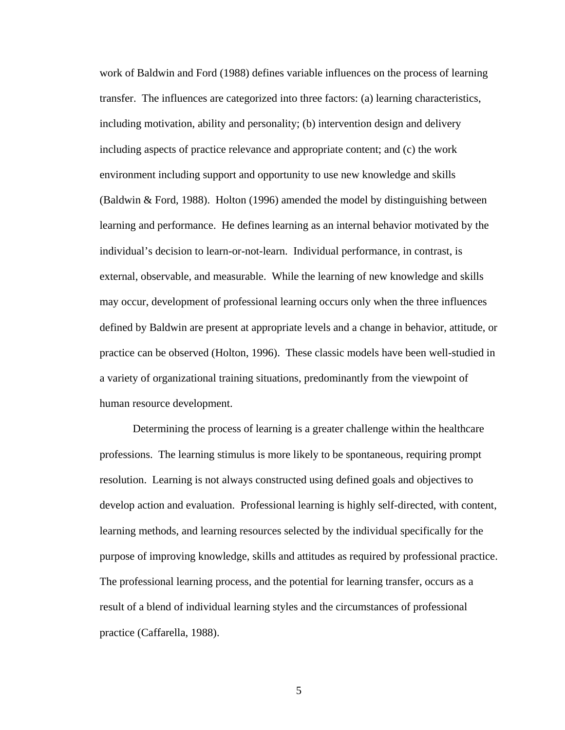work of Baldwin and Ford (1988) defines variable influences on the process of learning transfer. The influences are categorized into three factors: (a) learning characteristics, including motivation, ability and personality; (b) intervention design and delivery including aspects of practice relevance and appropriate content; and (c) the work environment including support and opportunity to use new knowledge and skills (Baldwin & Ford, 1988). Holton (1996) amended the model by distinguishing between learning and performance. He defines learning as an internal behavior motivated by the individual's decision to learn-or-not-learn. Individual performance, in contrast, is external, observable, and measurable. While the learning of new knowledge and skills may occur, development of professional learning occurs only when the three influences defined by Baldwin are present at appropriate levels and a change in behavior, attitude, or practice can be observed (Holton, 1996). These classic models have been well-studied in a variety of organizational training situations, predominantly from the viewpoint of human resource development.

Determining the process of learning is a greater challenge within the healthcare professions. The learning stimulus is more likely to be spontaneous, requiring prompt resolution. Learning is not always constructed using defined goals and objectives to develop action and evaluation. Professional learning is highly self-directed, with content, learning methods, and learning resources selected by the individual specifically for the purpose of improving knowledge, skills and attitudes as required by professional practice. The professional learning process, and the potential for learning transfer, occurs as a result of a blend of individual learning styles and the circumstances of professional practice (Caffarella, 1988).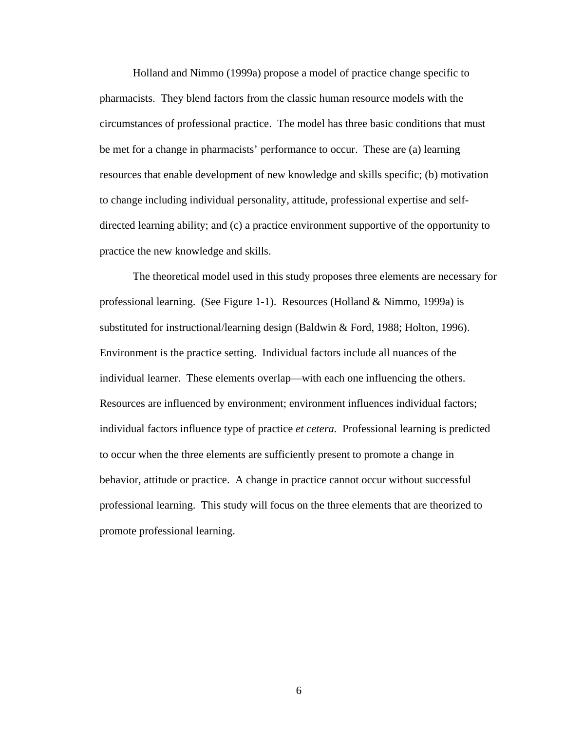Holland and Nimmo (1999a) propose a model of practice change specific to pharmacists. They blend factors from the classic human resource models with the circumstances of professional practice. The model has three basic conditions that must be met for a change in pharmacists' performance to occur. These are (a) learning resources that enable development of new knowledge and skills specific; (b) motivation to change including individual personality, attitude, professional expertise and selfdirected learning ability; and (c) a practice environment supportive of the opportunity to practice the new knowledge and skills.

The theoretical model used in this study proposes three elements are necessary for professional learning. (See Figure 1-1). Resources (Holland & Nimmo, 1999a) is substituted for instructional/learning design (Baldwin & Ford, 1988; Holton, 1996). Environment is the practice setting. Individual factors include all nuances of the individual learner. These elements overlap—with each one influencing the others. Resources are influenced by environment; environment influences individual factors; individual factors influence type of practice *et cetera.* Professional learning is predicted to occur when the three elements are sufficiently present to promote a change in behavior, attitude or practice. A change in practice cannot occur without successful professional learning. This study will focus on the three elements that are theorized to promote professional learning.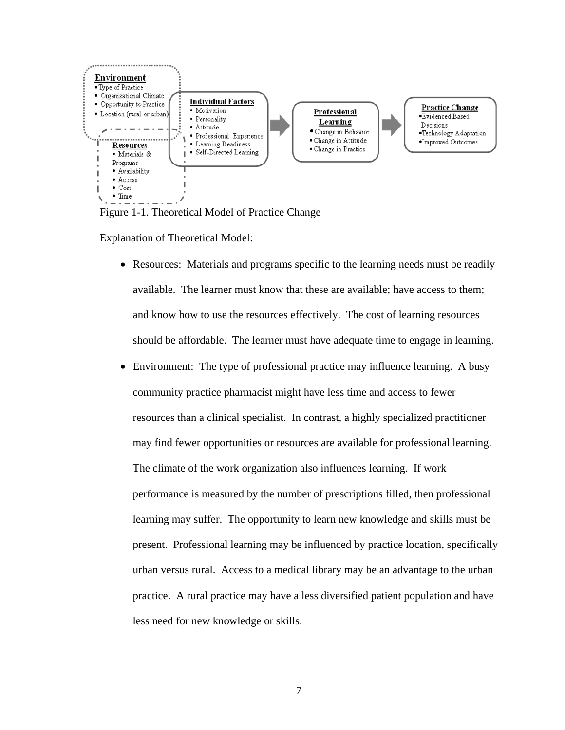

Figure 1-1. Theoretical Model of Practice Change

Explanation of Theoretical Model:

- Resources: Materials and programs specific to the learning needs must be readily available. The learner must know that these are available; have access to them; and know how to use the resources effectively. The cost of learning resources should be affordable. The learner must have adequate time to engage in learning.
- Environment: The type of professional practice may influence learning. A busy community practice pharmacist might have less time and access to fewer resources than a clinical specialist. In contrast, a highly specialized practitioner may find fewer opportunities or resources are available for professional learning. The climate of the work organization also influences learning. If work performance is measured by the number of prescriptions filled, then professional learning may suffer. The opportunity to learn new knowledge and skills must be present. Professional learning may be influenced by practice location, specifically urban versus rural. Access to a medical library may be an advantage to the urban practice. A rural practice may have a less diversified patient population and have less need for new knowledge or skills.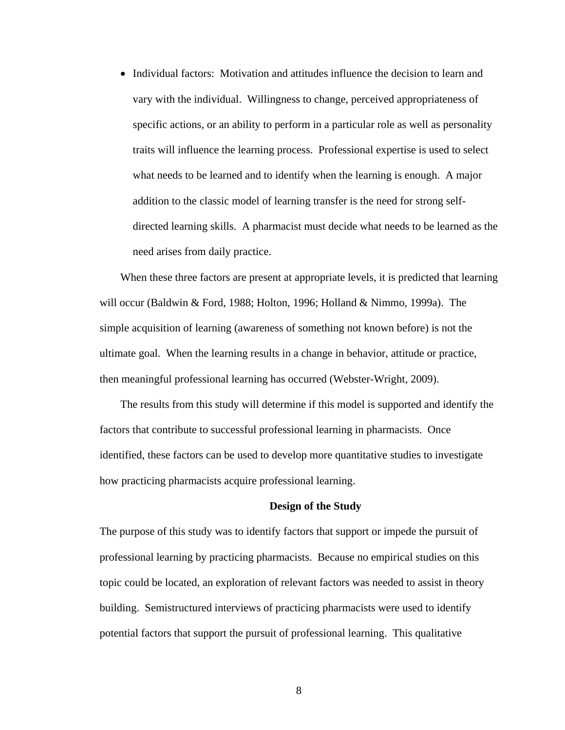• Individual factors: Motivation and attitudes influence the decision to learn and vary with the individual. Willingness to change, perceived appropriateness of specific actions, or an ability to perform in a particular role as well as personality traits will influence the learning process. Professional expertise is used to select what needs to be learned and to identify when the learning is enough. A major addition to the classic model of learning transfer is the need for strong selfdirected learning skills. A pharmacist must decide what needs to be learned as the need arises from daily practice.

When these three factors are present at appropriate levels, it is predicted that learning will occur (Baldwin & Ford, 1988; Holton, 1996; Holland & Nimmo, 1999a). The simple acquisition of learning (awareness of something not known before) is not the ultimate goal. When the learning results in a change in behavior, attitude or practice, then meaningful professional learning has occurred (Webster-Wright, 2009).

The results from this study will determine if this model is supported and identify the factors that contribute to successful professional learning in pharmacists. Once identified, these factors can be used to develop more quantitative studies to investigate how practicing pharmacists acquire professional learning.

#### **Design of the Study**

The purpose of this study was to identify factors that support or impede the pursuit of professional learning by practicing pharmacists. Because no empirical studies on this topic could be located, an exploration of relevant factors was needed to assist in theory building. Semistructured interviews of practicing pharmacists were used to identify potential factors that support the pursuit of professional learning. This qualitative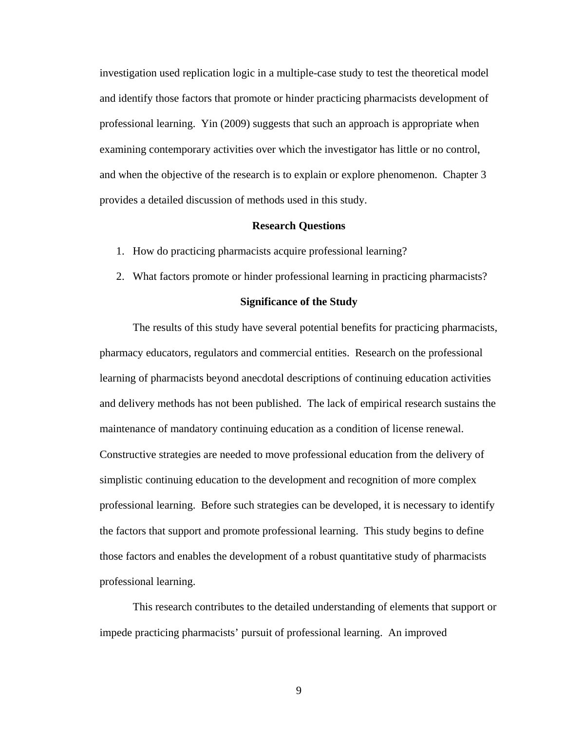investigation used replication logic in a multiple-case study to test the theoretical model and identify those factors that promote or hinder practicing pharmacists development of professional learning. Yin (2009) suggests that such an approach is appropriate when examining contemporary activities over which the investigator has little or no control, and when the objective of the research is to explain or explore phenomenon. Chapter 3 provides a detailed discussion of methods used in this study.

#### **Research Questions**

- 1. How do practicing pharmacists acquire professional learning?
- 2. What factors promote or hinder professional learning in practicing pharmacists?

#### **Significance of the Study**

The results of this study have several potential benefits for practicing pharmacists, pharmacy educators, regulators and commercial entities. Research on the professional learning of pharmacists beyond anecdotal descriptions of continuing education activities and delivery methods has not been published. The lack of empirical research sustains the maintenance of mandatory continuing education as a condition of license renewal. Constructive strategies are needed to move professional education from the delivery of simplistic continuing education to the development and recognition of more complex professional learning. Before such strategies can be developed, it is necessary to identify the factors that support and promote professional learning. This study begins to define those factors and enables the development of a robust quantitative study of pharmacists professional learning.

This research contributes to the detailed understanding of elements that support or impede practicing pharmacists' pursuit of professional learning. An improved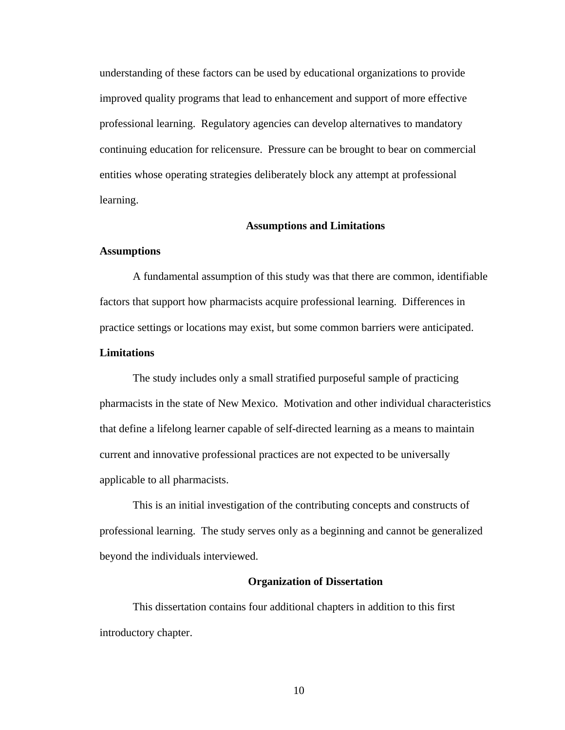understanding of these factors can be used by educational organizations to provide improved quality programs that lead to enhancement and support of more effective professional learning. Regulatory agencies can develop alternatives to mandatory continuing education for relicensure. Pressure can be brought to bear on commercial entities whose operating strategies deliberately block any attempt at professional learning.

#### **Assumptions and Limitations**

#### **Assumptions**

A fundamental assumption of this study was that there are common, identifiable factors that support how pharmacists acquire professional learning. Differences in practice settings or locations may exist, but some common barriers were anticipated.

#### **Limitations**

The study includes only a small stratified purposeful sample of practicing pharmacists in the state of New Mexico. Motivation and other individual characteristics that define a lifelong learner capable of self-directed learning as a means to maintain current and innovative professional practices are not expected to be universally applicable to all pharmacists.

This is an initial investigation of the contributing concepts and constructs of professional learning. The study serves only as a beginning and cannot be generalized beyond the individuals interviewed.

#### **Organization of Dissertation**

This dissertation contains four additional chapters in addition to this first introductory chapter.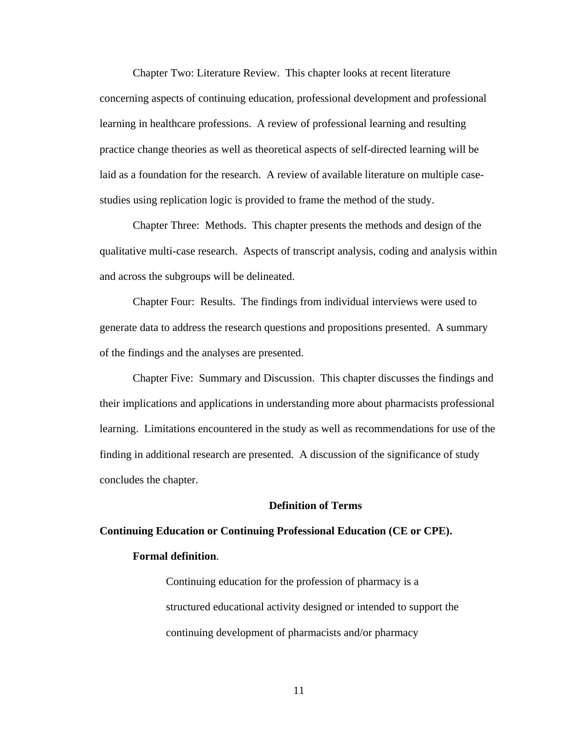Chapter Two: Literature Review. This chapter looks at recent literature concerning aspects of continuing education, professional development and professional learning in healthcare professions. A review of professional learning and resulting practice change theories as well as theoretical aspects of self-directed learning will be laid as a foundation for the research. A review of available literature on multiple casestudies using replication logic is provided to frame the method of the study.

Chapter Three: Methods. This chapter presents the methods and design of the qualitative multi-case research. Aspects of transcript analysis, coding and analysis within and across the subgroups will be delineated.

Chapter Four: Results. The findings from individual interviews were used to generate data to address the research questions and propositions presented. A summary of the findings and the analyses are presented.

Chapter Five: Summary and Discussion. This chapter discusses the findings and their implications and applications in understanding more about pharmacists professional learning. Limitations encountered in the study as well as recommendations for use of the finding in additional research are presented. A discussion of the significance of study concludes the chapter.

#### **Definition of Terms**

## **Continuing Education or Continuing Professional Education (CE or CPE). Formal definition**.

Continuing education for the profession of pharmacy is a structured educational activity designed or intended to support the continuing development of pharmacists and/or pharmacy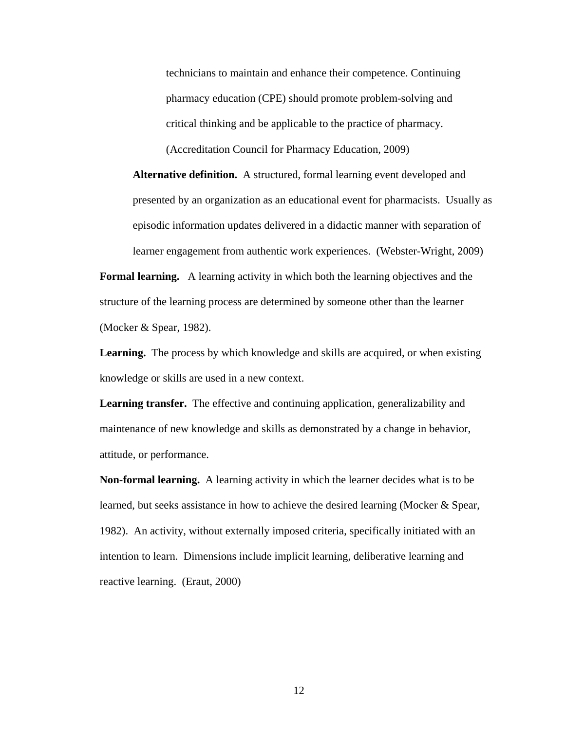technicians to maintain and enhance their competence. Continuing pharmacy education (CPE) should promote problem-solving and critical thinking and be applicable to the practice of pharmacy. (Accreditation Council for Pharmacy Education, 2009)

**Alternative definition.** A structured, formal learning event developed and presented by an organization as an educational event for pharmacists. Usually as episodic information updates delivered in a didactic manner with separation of learner engagement from authentic work experiences. (Webster-Wright, 2009)

**Formal learning.**A learning activity in which both the learning objectives and the structure of the learning process are determined by someone other than the learner (Mocker & Spear, 1982).

**Learning.**The process by which knowledge and skills are acquired, or when existing knowledge or skills are used in a new context.

**Learning transfer.** The effective and continuing application, generalizability and maintenance of new knowledge and skills as demonstrated by a change in behavior, attitude, or performance.

**Non-formal learning.** A learning activity in which the learner decides what is to be learned, but seeks assistance in how to achieve the desired learning (Mocker & Spear, 1982). An activity, without externally imposed criteria, specifically initiated with an intention to learn. Dimensions include implicit learning, deliberative learning and reactive learning. (Eraut, 2000)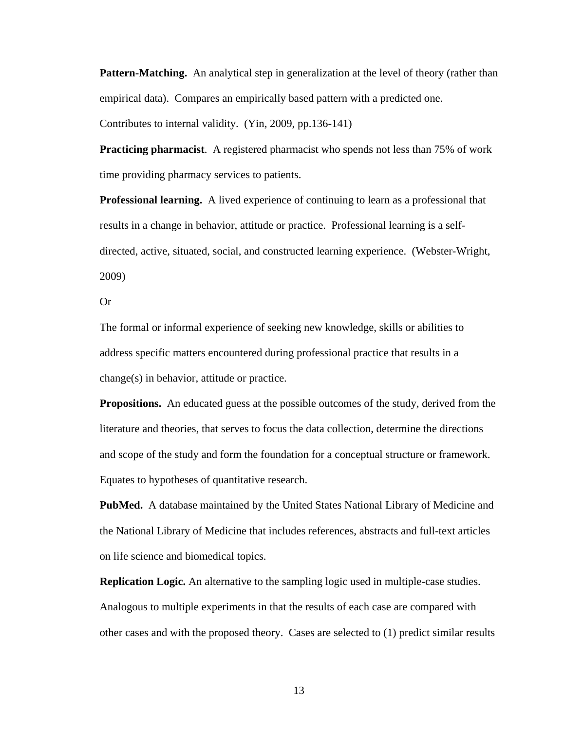**Pattern-Matching.** An analytical step in generalization at the level of theory (rather than empirical data). Compares an empirically based pattern with a predicted one.

Contributes to internal validity. (Yin, 2009, pp.136-141)

**Practicing pharmacist**. A registered pharmacist who spends not less than 75% of work time providing pharmacy services to patients.

**Professional learning.** A lived experience of continuing to learn as a professional that results in a change in behavior, attitude or practice. Professional learning is a selfdirected, active, situated, social, and constructed learning experience. (Webster-Wright, 2009)

Or

The formal or informal experience of seeking new knowledge, skills or abilities to address specific matters encountered during professional practice that results in a change(s) in behavior, attitude or practice.

**Propositions.** An educated guess at the possible outcomes of the study, derived from the literature and theories, that serves to focus the data collection, determine the directions and scope of the study and form the foundation for a conceptual structure or framework. Equates to hypotheses of quantitative research.

**PubMed.** A database maintained by the United States National Library of Medicine and the National Library of Medicine that includes references, abstracts and full-text articles on life science and biomedical topics.

**Replication Logic.** An alternative to the sampling logic used in multiple-case studies. Analogous to multiple experiments in that the results of each case are compared with other cases and with the proposed theory. Cases are selected to (1) predict similar results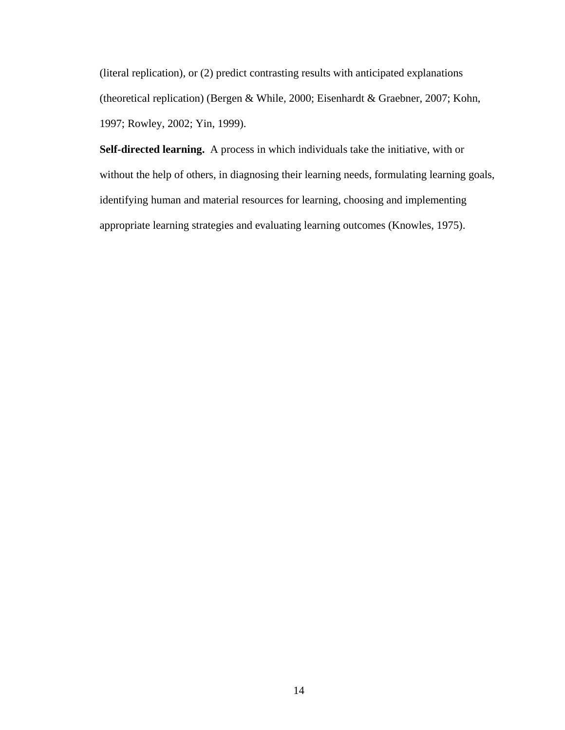(literal replication), or (2) predict contrasting results with anticipated explanations (theoretical replication) (Bergen & While, 2000; Eisenhardt & Graebner, 2007; Kohn, 1997; Rowley, 2002; Yin, 1999).

**Self-directed learning.** A process in which individuals take the initiative, with or without the help of others, in diagnosing their learning needs, formulating learning goals, identifying human and material resources for learning, choosing and implementing appropriate learning strategies and evaluating learning outcomes (Knowles, 1975).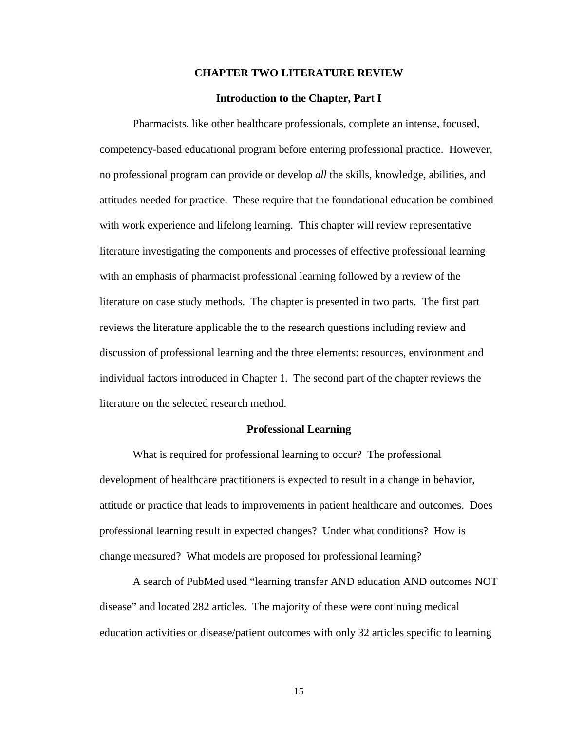#### **CHAPTER TWO LITERATURE REVIEW**

#### **Introduction to the Chapter, Part I**

Pharmacists, like other healthcare professionals, complete an intense, focused, competency-based educational program before entering professional practice. However, no professional program can provide or develop *all* the skills, knowledge, abilities, and attitudes needed for practice. These require that the foundational education be combined with work experience and lifelong learning. This chapter will review representative literature investigating the components and processes of effective professional learning with an emphasis of pharmacist professional learning followed by a review of the literature on case study methods. The chapter is presented in two parts. The first part reviews the literature applicable the to the research questions including review and discussion of professional learning and the three elements: resources, environment and individual factors introduced in Chapter 1. The second part of the chapter reviews the literature on the selected research method.

#### **Professional Learning**

What is required for professional learning to occur? The professional development of healthcare practitioners is expected to result in a change in behavior, attitude or practice that leads to improvements in patient healthcare and outcomes. Does professional learning result in expected changes? Under what conditions? How is change measured? What models are proposed for professional learning?

A search of PubMed used "learning transfer AND education AND outcomes NOT disease" and located 282 articles. The majority of these were continuing medical education activities or disease/patient outcomes with only 32 articles specific to learning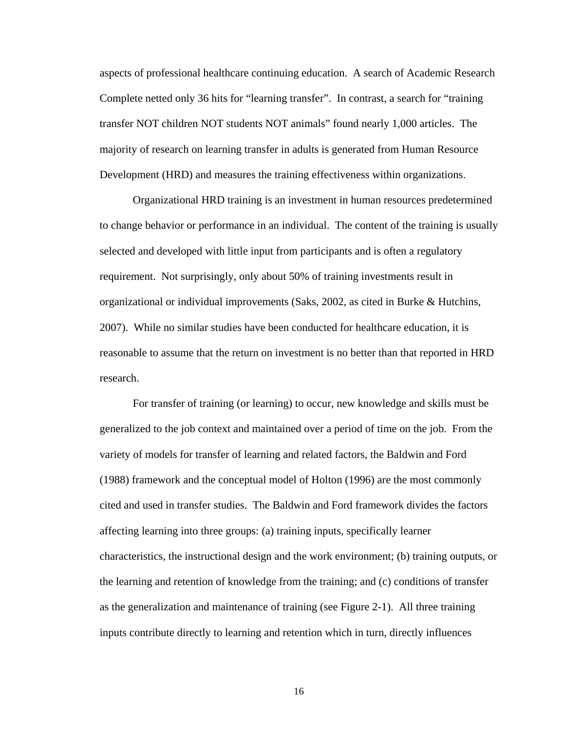aspects of professional healthcare continuing education. A search of Academic Research Complete netted only 36 hits for "learning transfer". In contrast, a search for "training transfer NOT children NOT students NOT animals" found nearly 1,000 articles. The majority of research on learning transfer in adults is generated from Human Resource Development (HRD) and measures the training effectiveness within organizations.

Organizational HRD training is an investment in human resources predetermined to change behavior or performance in an individual. The content of the training is usually selected and developed with little input from participants and is often a regulatory requirement. Not surprisingly, only about 50% of training investments result in organizational or individual improvements (Saks, 2002, as cited in Burke & Hutchins, 2007). While no similar studies have been conducted for healthcare education, it is reasonable to assume that the return on investment is no better than that reported in HRD research.

For transfer of training (or learning) to occur, new knowledge and skills must be generalized to the job context and maintained over a period of time on the job. From the variety of models for transfer of learning and related factors, the Baldwin and Ford (1988) framework and the conceptual model of Holton (1996) are the most commonly cited and used in transfer studies. The Baldwin and Ford framework divides the factors affecting learning into three groups: (a) training inputs, specifically learner characteristics, the instructional design and the work environment; (b) training outputs, or the learning and retention of knowledge from the training; and (c) conditions of transfer as the generalization and maintenance of training (see Figure 2-1). All three training inputs contribute directly to learning and retention which in turn, directly influences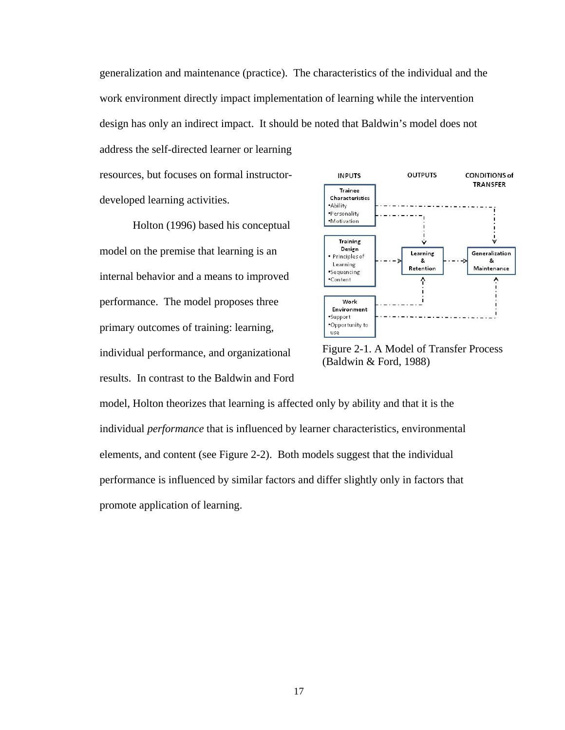generalization and maintenance (practice). The characteristics of the individual and the work environment directly impact implementation of learning while the intervention design has only an indirect impact. It should be noted that Baldwin's model does not address the self-directed learner or learning

resources, but focuses on formal instructordeveloped learning activities.

Holton (1996) based his conceptual model on the premise that learning is an internal behavior and a means to improved performance. The model proposes three primary outcomes of training: learning, individual performance, and organizational results. In contrast to the Baldwin and Ford



Figure 2-1. A Model of Transfer Process (Baldwin & Ford, 1988)

model, Holton theorizes that learning is affected only by ability and that it is the individual *performance* that is influenced by learner characteristics, environmental elements, and content (see Figure 2-2). Both models suggest that the individual performance is influenced by similar factors and differ slightly only in factors that promote application of learning.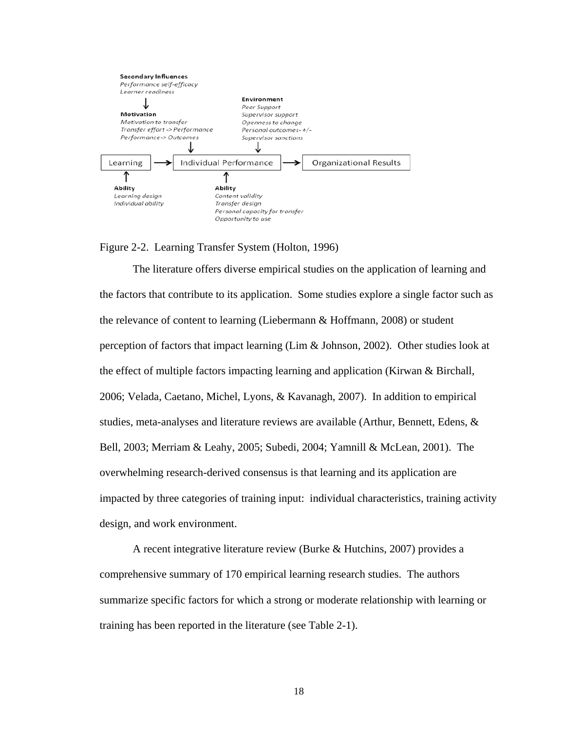

#### Figure 2-2. Learning Transfer System (Holton, 1996)

The literature offers diverse empirical studies on the application of learning and the factors that contribute to its application. Some studies explore a single factor such as the relevance of content to learning (Liebermann & Hoffmann, 2008) or student perception of factors that impact learning (Lim & Johnson, 2002). Other studies look at the effect of multiple factors impacting learning and application (Kirwan & Birchall, 2006; Velada, Caetano, Michel, Lyons, & Kavanagh, 2007). In addition to empirical studies, meta-analyses and literature reviews are available (Arthur, Bennett, Edens,  $\&$ Bell, 2003; Merriam & Leahy, 2005; Subedi, 2004; Yamnill & McLean, 2001). The overwhelming research-derived consensus is that learning and its application are impacted by three categories of training input: individual characteristics, training activity design, and work environment.

A recent integrative literature review (Burke & Hutchins, 2007) provides a comprehensive summary of 170 empirical learning research studies. The authors summarize specific factors for which a strong or moderate relationship with learning or training has been reported in the literature (see Table 2-1).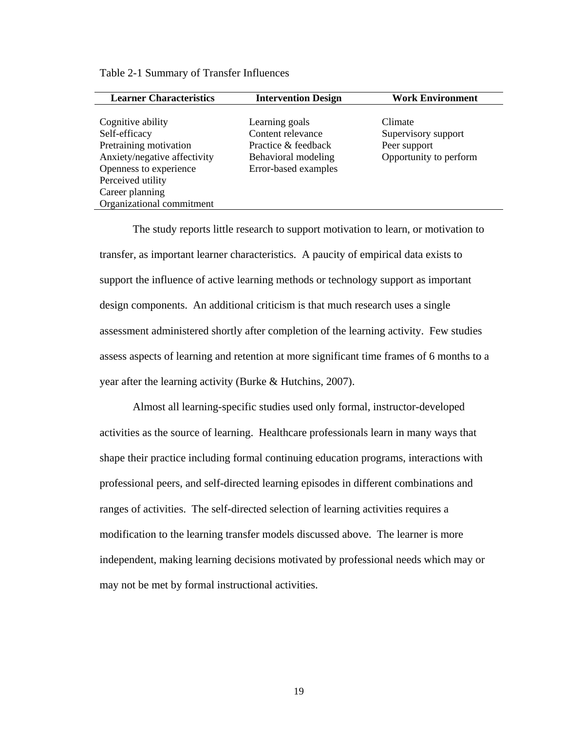| <b>Learner Characteristics</b> | <b>Intervention Design</b> | <b>Work Environment</b> |
|--------------------------------|----------------------------|-------------------------|
|                                |                            |                         |
| Cognitive ability              | Learning goals             | Climate                 |
| Self-efficacy                  | Content relevance          | Supervisory support     |
| Pretraining motivation         | Practice & feedback        | Peer support            |
| Anxiety/negative affectivity   | Behavioral modeling        | Opportunity to perform  |
| Openness to experience         | Error-based examples       |                         |
| Perceived utility              |                            |                         |
| Career planning                |                            |                         |
| Organizational commitment      |                            |                         |

Table 2-1 Summary of Transfer Influences

The study reports little research to support motivation to learn, or motivation to transfer, as important learner characteristics. A paucity of empirical data exists to support the influence of active learning methods or technology support as important design components. An additional criticism is that much research uses a single assessment administered shortly after completion of the learning activity. Few studies assess aspects of learning and retention at more significant time frames of 6 months to a year after the learning activity (Burke & Hutchins, 2007).

Almost all learning-specific studies used only formal, instructor-developed activities as the source of learning. Healthcare professionals learn in many ways that shape their practice including formal continuing education programs, interactions with professional peers, and self-directed learning episodes in different combinations and ranges of activities. The self-directed selection of learning activities requires a modification to the learning transfer models discussed above. The learner is more independent, making learning decisions motivated by professional needs which may or may not be met by formal instructional activities.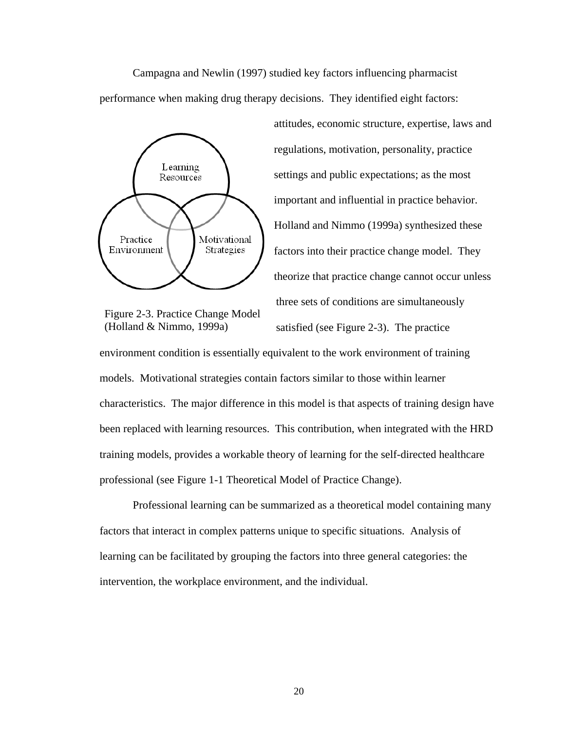Campagna and Newlin (1997) studied key factors influencing pharmacist performance when making drug therapy decisions. They identified eight factors:



Figure 2-3. Practice Change Model (Holland & Nimmo, 1999a)

attitudes, economic structure, expertise, laws and regulations, motivation, personality, practice settings and public expectations; as the most important and influential in practice behavior. Holland and Nimmo (1999a) synthesized these factors into their practice change model. They theorize that practice change cannot occur unless three sets of conditions are simultaneously

satisfied (see Figure 2-3). The practice

environment condition is essentially equivalent to the work environment of training models. Motivational strategies contain factors similar to those within learner characteristics. The major difference in this model is that aspects of training design have been replaced with learning resources. This contribution, when integrated with the HRD training models, provides a workable theory of learning for the self-directed healthcare professional (see Figure 1-1 Theoretical Model of Practice Change).

Professional learning can be summarized as a theoretical model containing many factors that interact in complex patterns unique to specific situations. Analysis of learning can be facilitated by grouping the factors into three general categories: the intervention, the workplace environment, and the individual.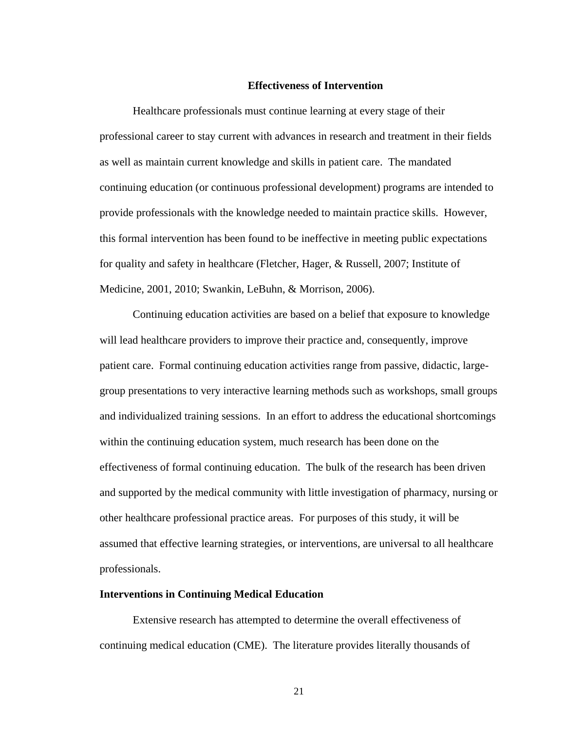### **Effectiveness of Intervention**

Healthcare professionals must continue learning at every stage of their professional career to stay current with advances in research and treatment in their fields as well as maintain current knowledge and skills in patient care. The mandated continuing education (or continuous professional development) programs are intended to provide professionals with the knowledge needed to maintain practice skills. However, this formal intervention has been found to be ineffective in meeting public expectations for quality and safety in healthcare (Fletcher, Hager, & Russell, 2007; Institute of Medicine, 2001, 2010; Swankin, LeBuhn, & Morrison, 2006).

Continuing education activities are based on a belief that exposure to knowledge will lead healthcare providers to improve their practice and, consequently, improve patient care. Formal continuing education activities range from passive, didactic, largegroup presentations to very interactive learning methods such as workshops, small groups and individualized training sessions. In an effort to address the educational shortcomings within the continuing education system, much research has been done on the effectiveness of formal continuing education. The bulk of the research has been driven and supported by the medical community with little investigation of pharmacy, nursing or other healthcare professional practice areas. For purposes of this study, it will be assumed that effective learning strategies, or interventions, are universal to all healthcare professionals.

# **Interventions in Continuing Medical Education**

Extensive research has attempted to determine the overall effectiveness of continuing medical education (CME). The literature provides literally thousands of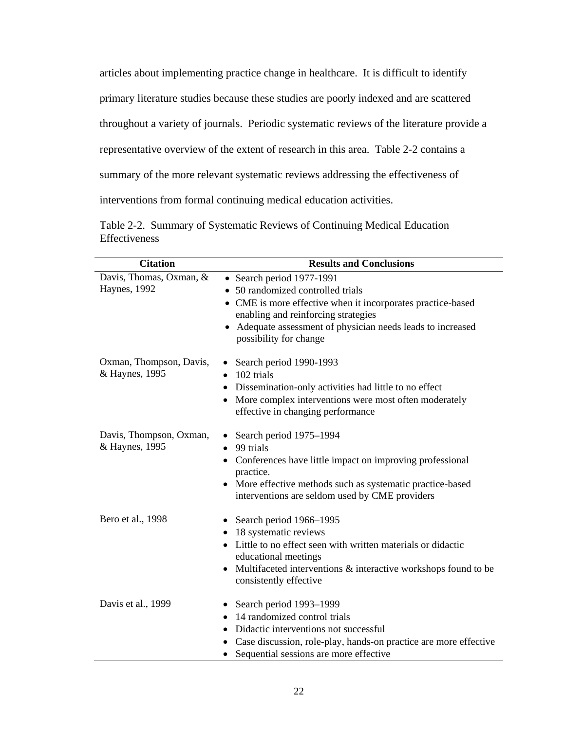articles about implementing practice change in healthcare. It is difficult to identify primary literature studies because these studies are poorly indexed and are scattered throughout a variety of journals. Periodic systematic reviews of the literature provide a representative overview of the extent of research in this area. Table 2-2 contains a summary of the more relevant systematic reviews addressing the effectiveness of interventions from formal continuing medical education activities.

|               | Table 2-2. Summary of Systematic Reviews of Continuing Medical Education |  |  |
|---------------|--------------------------------------------------------------------------|--|--|
| Effectiveness |                                                                          |  |  |

| <b>Citation</b>         | <b>Results and Conclusions</b>                                                                             |  |  |
|-------------------------|------------------------------------------------------------------------------------------------------------|--|--|
| Davis, Thomas, Oxman, & | • Search period 1977-1991                                                                                  |  |  |
| Haynes, 1992            | 50 randomized controlled trials                                                                            |  |  |
|                         | • CME is more effective when it incorporates practice-based                                                |  |  |
|                         | enabling and reinforcing strategies                                                                        |  |  |
|                         | Adequate assessment of physician needs leads to increased<br>possibility for change                        |  |  |
| Oxman, Thompson, Davis, | Search period 1990-1993<br>$\bullet$                                                                       |  |  |
| & Haynes, 1995          | 102 trials<br>$\bullet$                                                                                    |  |  |
|                         | Dissemination-only activities had little to no effect<br>٠                                                 |  |  |
|                         | More complex interventions were most often moderately<br>effective in changing performance                 |  |  |
| Davis, Thompson, Oxman, | Search period 1975–1994<br>$\bullet$                                                                       |  |  |
| & Haynes, 1995          | 99 trials<br>$\bullet$                                                                                     |  |  |
|                         | Conferences have little impact on improving professional<br>$\bullet$<br>practice.                         |  |  |
|                         | More effective methods such as systematic practice-based<br>interventions are seldom used by CME providers |  |  |
| Bero et al., 1998       | Search period 1966–1995<br>٠                                                                               |  |  |
|                         | 18 systematic reviews                                                                                      |  |  |
|                         | Little to no effect seen with written materials or didactic<br>educational meetings                        |  |  |
|                         | Multifaceted interventions & interactive workshops found to be<br>consistently effective                   |  |  |
| Davis et al., 1999      | Search period 1993–1999<br>٠                                                                               |  |  |
|                         | 14 randomized control trials<br>٠                                                                          |  |  |
|                         | Didactic interventions not successful                                                                      |  |  |
|                         | Case discussion, role-play, hands-on practice are more effective                                           |  |  |
|                         | Sequential sessions are more effective                                                                     |  |  |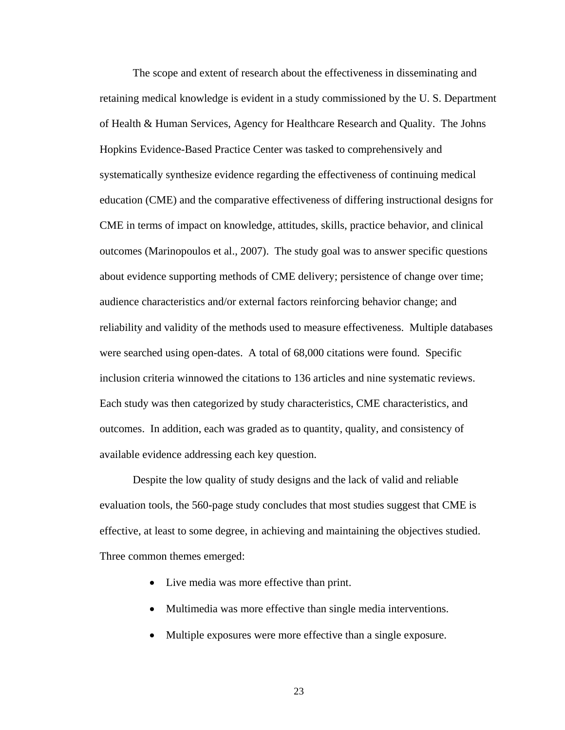The scope and extent of research about the effectiveness in disseminating and retaining medical knowledge is evident in a study commissioned by the U. S. Department of Health & Human Services, Agency for Healthcare Research and Quality. The Johns Hopkins Evidence-Based Practice Center was tasked to comprehensively and systematically synthesize evidence regarding the effectiveness of continuing medical education (CME) and the comparative effectiveness of differing instructional designs for CME in terms of impact on knowledge, attitudes, skills, practice behavior, and clinical outcomes (Marinopoulos et al., 2007). The study goal was to answer specific questions about evidence supporting methods of CME delivery; persistence of change over time; audience characteristics and/or external factors reinforcing behavior change; and reliability and validity of the methods used to measure effectiveness. Multiple databases were searched using open-dates. A total of 68,000 citations were found. Specific inclusion criteria winnowed the citations to 136 articles and nine systematic reviews. Each study was then categorized by study characteristics, CME characteristics, and outcomes. In addition, each was graded as to quantity, quality, and consistency of available evidence addressing each key question.

Despite the low quality of study designs and the lack of valid and reliable evaluation tools, the 560-page study concludes that most studies suggest that CME is effective, at least to some degree, in achieving and maintaining the objectives studied. Three common themes emerged:

- Live media was more effective than print.
- Multimedia was more effective than single media interventions.
- Multiple exposures were more effective than a single exposure.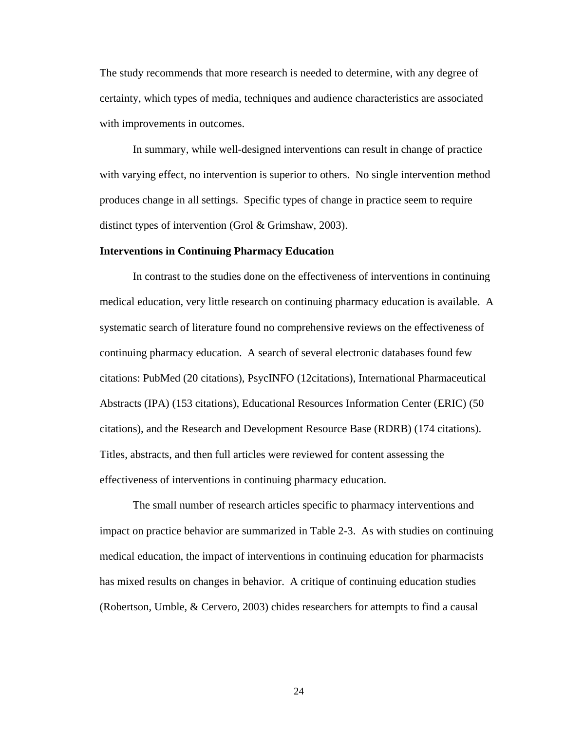The study recommends that more research is needed to determine, with any degree of certainty, which types of media, techniques and audience characteristics are associated with improvements in outcomes.

In summary, while well-designed interventions can result in change of practice with varying effect, no intervention is superior to others. No single intervention method produces change in all settings. Specific types of change in practice seem to require distinct types of intervention (Grol & Grimshaw, 2003).

#### **Interventions in Continuing Pharmacy Education**

In contrast to the studies done on the effectiveness of interventions in continuing medical education, very little research on continuing pharmacy education is available. A systematic search of literature found no comprehensive reviews on the effectiveness of continuing pharmacy education. A search of several electronic databases found few citations: PubMed (20 citations), PsycINFO (12citations), International Pharmaceutical Abstracts (IPA) (153 citations), Educational Resources Information Center (ERIC) (50 citations), and the Research and Development Resource Base (RDRB) (174 citations). Titles, abstracts, and then full articles were reviewed for content assessing the effectiveness of interventions in continuing pharmacy education.

The small number of research articles specific to pharmacy interventions and impact on practice behavior are summarized in Table 2-3. As with studies on continuing medical education, the impact of interventions in continuing education for pharmacists has mixed results on changes in behavior. A critique of continuing education studies (Robertson, Umble, & Cervero, 2003) chides researchers for attempts to find a causal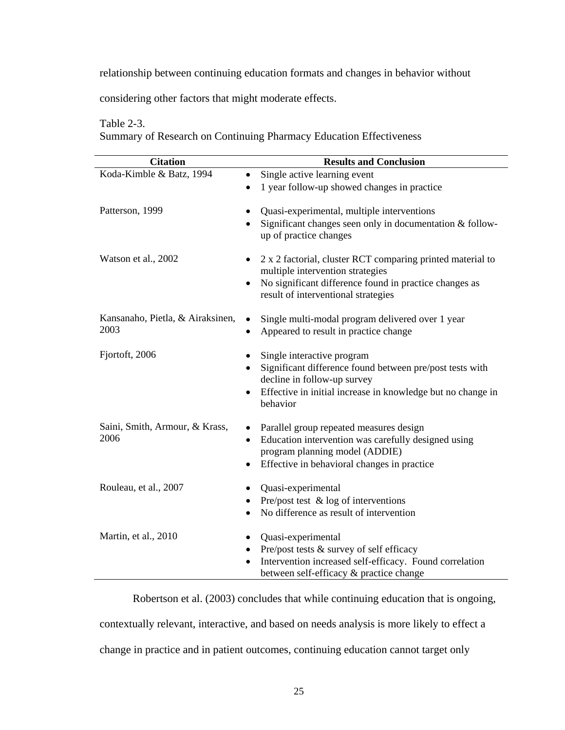relationship between continuing education formats and changes in behavior without

considering other factors that might moderate effects.

# Table 2-3.

Summary of Research on Continuing Pharmacy Education Effectiveness

| <b>Citation</b>                          | <b>Results and Conclusion</b>                                                                                                                                                                    |  |  |
|------------------------------------------|--------------------------------------------------------------------------------------------------------------------------------------------------------------------------------------------------|--|--|
| Koda-Kimble & Batz, 1994                 | Single active learning event<br>$\bullet$                                                                                                                                                        |  |  |
|                                          | 1 year follow-up showed changes in practice<br>$\bullet$                                                                                                                                         |  |  |
| Patterson, 1999                          | Quasi-experimental, multiple interventions<br>Significant changes seen only in documentation $&$ follow-<br>up of practice changes                                                               |  |  |
| Watson et al., 2002                      | 2 x 2 factorial, cluster RCT comparing printed material to<br>multiple intervention strategies<br>No significant difference found in practice changes as<br>result of interventional strategies  |  |  |
| Kansanaho, Pietla, & Airaksinen,<br>2003 | Single multi-modal program delivered over 1 year<br>٠<br>Appeared to result in practice change                                                                                                   |  |  |
| Fjortoft, 2006                           | Single interactive program<br>Significant difference found between pre/post tests with<br>decline in follow-up survey<br>Effective in initial increase in knowledge but no change in<br>behavior |  |  |
| Saini, Smith, Armour, & Krass,<br>2006   | Parallel group repeated measures design<br>Education intervention was carefully designed using<br>$\bullet$<br>program planning model (ADDIE)<br>Effective in behavioral changes in practice     |  |  |
| Rouleau, et al., 2007                    | Quasi-experimental<br>Pre/post test $\&$ log of interventions<br>No difference as result of intervention<br>$\bullet$                                                                            |  |  |
| Martin, et al., 2010                     | Quasi-experimental<br>Pre/post tests & survey of self efficacy<br>$\bullet$<br>Intervention increased self-efficacy. Found correlation<br>between self-efficacy & practice change                |  |  |

Robertson et al. (2003) concludes that while continuing education that is ongoing, contextually relevant, interactive, and based on needs analysis is more likely to effect a change in practice and in patient outcomes, continuing education cannot target only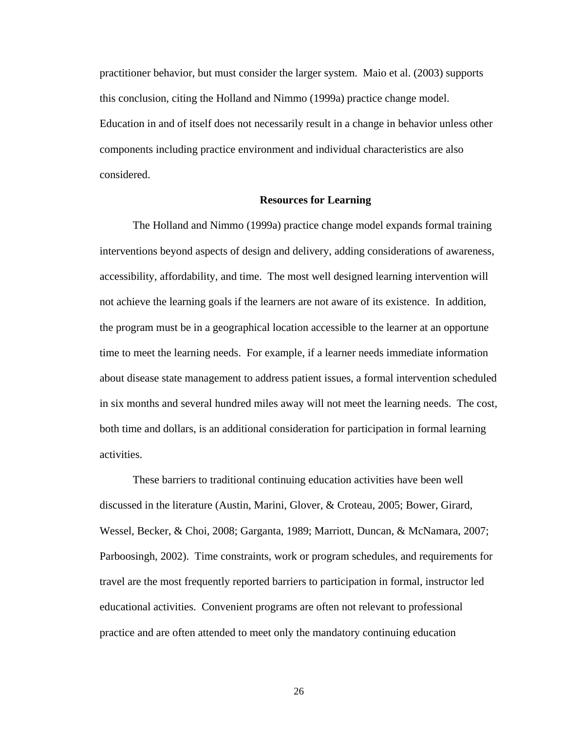practitioner behavior, but must consider the larger system. Maio et al. (2003) supports this conclusion, citing the Holland and Nimmo (1999a) practice change model. Education in and of itself does not necessarily result in a change in behavior unless other components including practice environment and individual characteristics are also considered.

# **Resources for Learning**

The Holland and Nimmo (1999a) practice change model expands formal training interventions beyond aspects of design and delivery, adding considerations of awareness, accessibility, affordability, and time. The most well designed learning intervention will not achieve the learning goals if the learners are not aware of its existence. In addition, the program must be in a geographical location accessible to the learner at an opportune time to meet the learning needs. For example, if a learner needs immediate information about disease state management to address patient issues, a formal intervention scheduled in six months and several hundred miles away will not meet the learning needs. The cost, both time and dollars, is an additional consideration for participation in formal learning activities.

These barriers to traditional continuing education activities have been well discussed in the literature (Austin, Marini, Glover, & Croteau, 2005; Bower, Girard, Wessel, Becker, & Choi, 2008; Garganta, 1989; Marriott, Duncan, & McNamara, 2007; Parboosingh, 2002). Time constraints, work or program schedules, and requirements for travel are the most frequently reported barriers to participation in formal, instructor led educational activities. Convenient programs are often not relevant to professional practice and are often attended to meet only the mandatory continuing education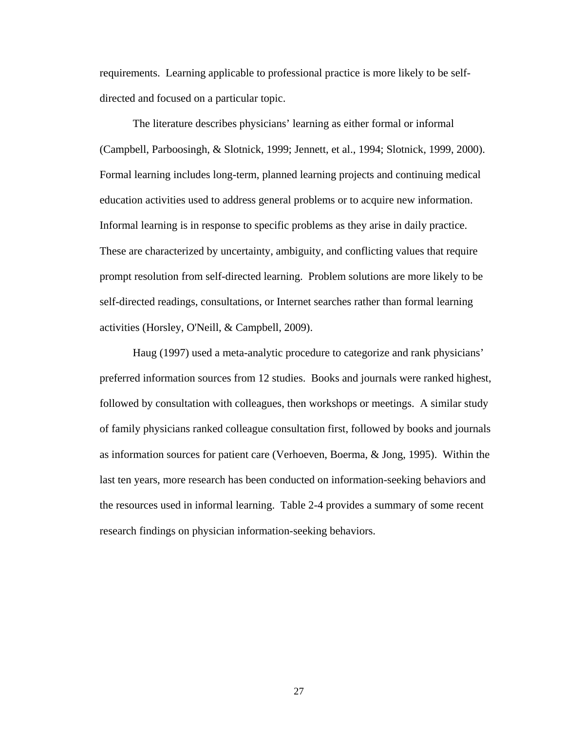requirements. Learning applicable to professional practice is more likely to be selfdirected and focused on a particular topic.

The literature describes physicians' learning as either formal or informal (Campbell, Parboosingh, & Slotnick, 1999; Jennett, et al., 1994; Slotnick, 1999, 2000). Formal learning includes long-term, planned learning projects and continuing medical education activities used to address general problems or to acquire new information. Informal learning is in response to specific problems as they arise in daily practice. These are characterized by uncertainty, ambiguity, and conflicting values that require prompt resolution from self-directed learning. Problem solutions are more likely to be self-directed readings, consultations, or Internet searches rather than formal learning activities (Horsley, O'Neill, & Campbell, 2009).

Haug (1997) used a meta-analytic procedure to categorize and rank physicians' preferred information sources from 12 studies. Books and journals were ranked highest, followed by consultation with colleagues, then workshops or meetings. A similar study of family physicians ranked colleague consultation first, followed by books and journals as information sources for patient care (Verhoeven, Boerma, & Jong, 1995). Within the last ten years, more research has been conducted on information-seeking behaviors and the resources used in informal learning. Table 2-4 provides a summary of some recent research findings on physician information-seeking behaviors.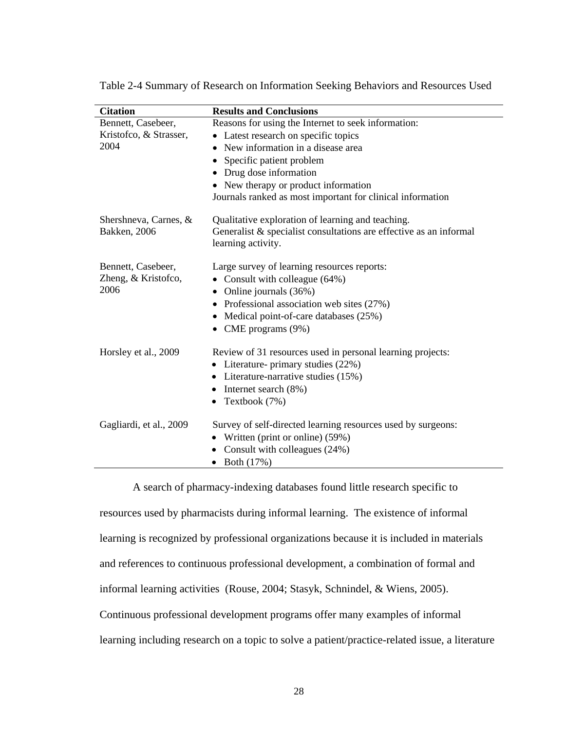| <b>Citation</b>         | <b>Results and Conclusions</b>                                                              |
|-------------------------|---------------------------------------------------------------------------------------------|
| Bennett, Casebeer,      | Reasons for using the Internet to seek information:                                         |
| Kristofco, & Strasser,  | • Latest research on specific topics                                                        |
| 2004                    | New information in a disease area<br>$\bullet$                                              |
|                         | Specific patient problem                                                                    |
|                         | Drug dose information<br>٠                                                                  |
|                         | • New therapy or product information                                                        |
|                         | Journals ranked as most important for clinical information                                  |
| Shershneva, Carnes, &   | Qualitative exploration of learning and teaching.                                           |
| <b>Bakken</b> , 2006    | Generalist $\&$ specialist consultations are effective as an informal<br>learning activity. |
| Bennett, Casebeer,      | Large survey of learning resources reports:                                                 |
| Zheng, & Kristofco,     | Consult with colleague (64%)                                                                |
| 2006                    | Online journals (36%)<br>$\bullet$                                                          |
|                         | Professional association web sites (27%)                                                    |
|                         | Medical point-of-care databases (25%)<br>٠                                                  |
|                         | CME programs (9%)                                                                           |
| Horsley et al., 2009    | Review of 31 resources used in personal learning projects:                                  |
|                         | • Literature- primary studies (22%)                                                         |
|                         | Literature-narrative studies (15%)                                                          |
|                         | Internet search (8%)<br>$\bullet$                                                           |
|                         | Textbook (7%)<br>$\bullet$                                                                  |
| Gagliardi, et al., 2009 | Survey of self-directed learning resources used by surgeons:                                |
|                         | Written (print or online) (59%)                                                             |
|                         | Consult with colleagues (24%)                                                               |
|                         | $\bullet$ Both (17%)                                                                        |

Table 2-4 Summary of Research on Information Seeking Behaviors and Resources Used

A search of pharmacy-indexing databases found little research specific to resources used by pharmacists during informal learning. The existence of informal learning is recognized by professional organizations because it is included in materials and references to continuous professional development, a combination of formal and informal learning activities (Rouse, 2004; Stasyk, Schnindel, & Wiens, 2005). Continuous professional development programs offer many examples of informal learning including research on a topic to solve a patient/practice-related issue, a literature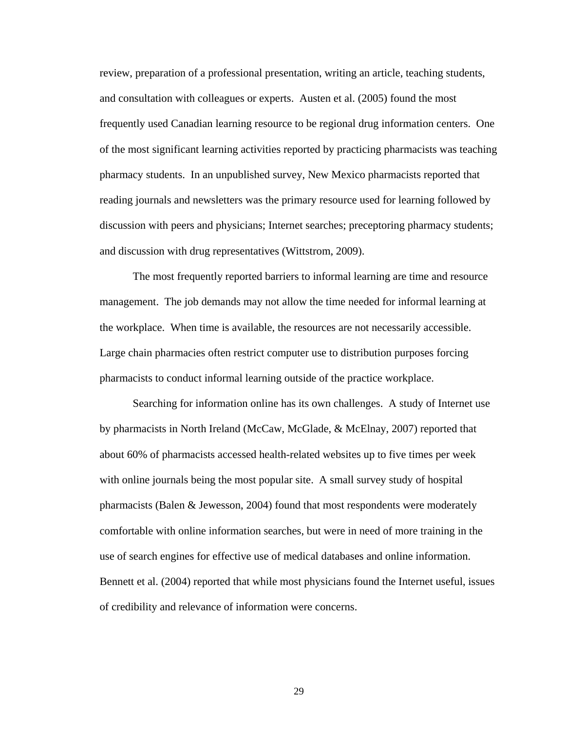review, preparation of a professional presentation, writing an article, teaching students, and consultation with colleagues or experts. Austen et al. (2005) found the most frequently used Canadian learning resource to be regional drug information centers. One of the most significant learning activities reported by practicing pharmacists was teaching pharmacy students. In an unpublished survey, New Mexico pharmacists reported that reading journals and newsletters was the primary resource used for learning followed by discussion with peers and physicians; Internet searches; preceptoring pharmacy students; and discussion with drug representatives (Wittstrom, 2009).

The most frequently reported barriers to informal learning are time and resource management. The job demands may not allow the time needed for informal learning at the workplace. When time is available, the resources are not necessarily accessible. Large chain pharmacies often restrict computer use to distribution purposes forcing pharmacists to conduct informal learning outside of the practice workplace.

Searching for information online has its own challenges. A study of Internet use by pharmacists in North Ireland (McCaw, McGlade, & McElnay, 2007) reported that about 60% of pharmacists accessed health-related websites up to five times per week with online journals being the most popular site. A small survey study of hospital pharmacists (Balen & Jewesson, 2004) found that most respondents were moderately comfortable with online information searches, but were in need of more training in the use of search engines for effective use of medical databases and online information. Bennett et al. (2004) reported that while most physicians found the Internet useful, issues of credibility and relevance of information were concerns.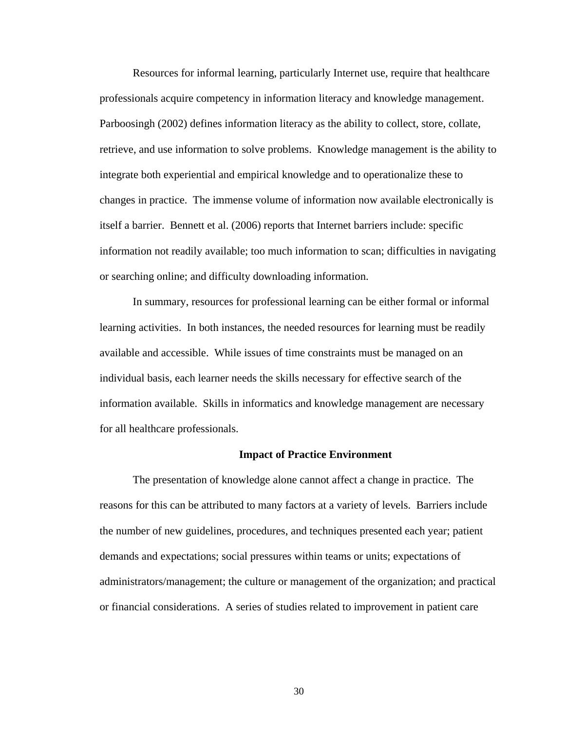Resources for informal learning, particularly Internet use, require that healthcare professionals acquire competency in information literacy and knowledge management. Parboosingh (2002) defines information literacy as the ability to collect, store, collate, retrieve, and use information to solve problems. Knowledge management is the ability to integrate both experiential and empirical knowledge and to operationalize these to changes in practice. The immense volume of information now available electronically is itself a barrier. Bennett et al. (2006) reports that Internet barriers include: specific information not readily available; too much information to scan; difficulties in navigating or searching online; and difficulty downloading information.

In summary, resources for professional learning can be either formal or informal learning activities. In both instances, the needed resources for learning must be readily available and accessible. While issues of time constraints must be managed on an individual basis, each learner needs the skills necessary for effective search of the information available. Skills in informatics and knowledge management are necessary for all healthcare professionals.

#### **Impact of Practice Environment**

The presentation of knowledge alone cannot affect a change in practice. The reasons for this can be attributed to many factors at a variety of levels. Barriers include the number of new guidelines, procedures, and techniques presented each year; patient demands and expectations; social pressures within teams or units; expectations of administrators/management; the culture or management of the organization; and practical or financial considerations. A series of studies related to improvement in patient care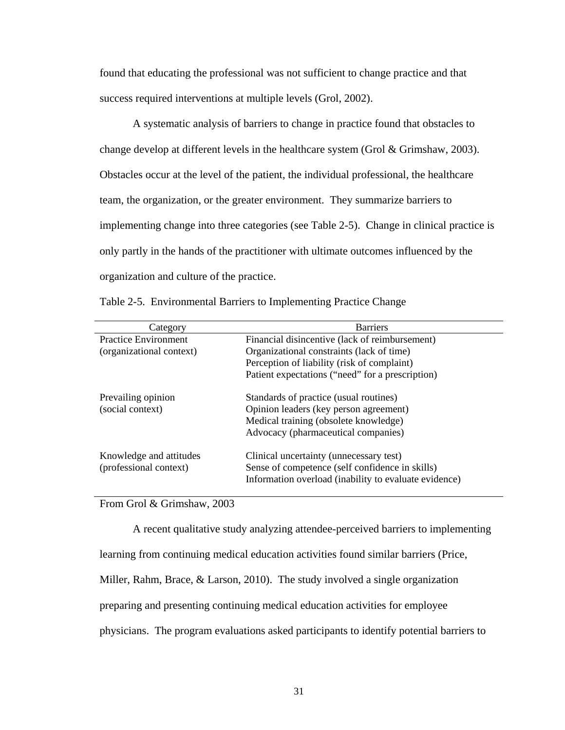found that educating the professional was not sufficient to change practice and that success required interventions at multiple levels (Grol, 2002).

A systematic analysis of barriers to change in practice found that obstacles to change develop at different levels in the healthcare system (Grol & Grimshaw, 2003). Obstacles occur at the level of the patient, the individual professional, the healthcare team, the organization, or the greater environment. They summarize barriers to implementing change into three categories (see Table 2-5). Change in clinical practice is only partly in the hands of the practitioner with ultimate outcomes influenced by the organization and culture of the practice.

| Category                    | <b>Barriers</b>                                       |  |  |
|-----------------------------|-------------------------------------------------------|--|--|
| <b>Practice Environment</b> | Financial disincentive (lack of reimbursement)        |  |  |
| (organizational context)    | Organizational constraints (lack of time)             |  |  |
|                             | Perception of liability (risk of complaint)           |  |  |
|                             | Patient expectations ("need" for a prescription)      |  |  |
| Prevailing opinion          | Standards of practice (usual routines)                |  |  |
| (social context)            | Opinion leaders (key person agreement)                |  |  |
|                             | Medical training (obsolete knowledge)                 |  |  |
|                             | Advocacy (pharmaceutical companies)                   |  |  |
| Knowledge and attitudes     | Clinical uncertainty (unnecessary test)               |  |  |
| (professional context)      | Sense of competence (self confidence in skills)       |  |  |
|                             | Information overload (inability to evaluate evidence) |  |  |
|                             |                                                       |  |  |

Table 2-5. Environmental Barriers to Implementing Practice Change

From Grol & Grimshaw, 2003

A recent qualitative study analyzing attendee-perceived barriers to implementing learning from continuing medical education activities found similar barriers (Price, Miller, Rahm, Brace, & Larson, 2010). The study involved a single organization preparing and presenting continuing medical education activities for employee physicians. The program evaluations asked participants to identify potential barriers to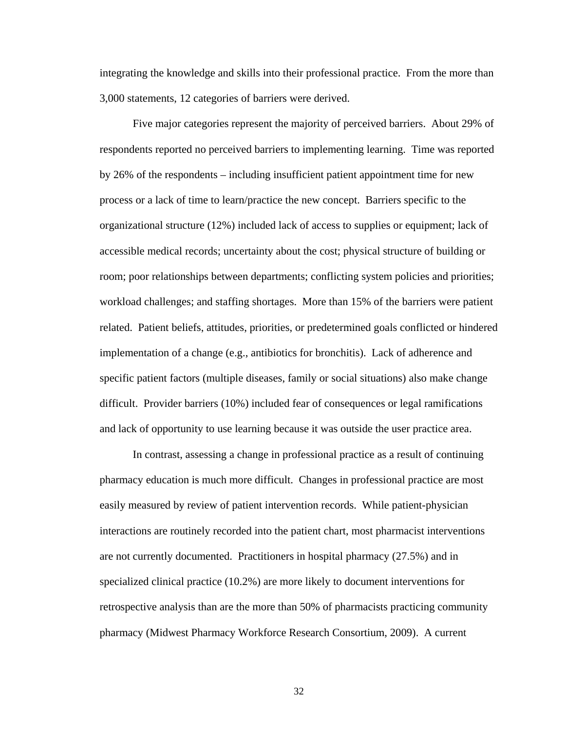integrating the knowledge and skills into their professional practice. From the more than 3,000 statements, 12 categories of barriers were derived.

Five major categories represent the majority of perceived barriers. About 29% of respondents reported no perceived barriers to implementing learning. Time was reported by 26% of the respondents – including insufficient patient appointment time for new process or a lack of time to learn/practice the new concept. Barriers specific to the organizational structure (12%) included lack of access to supplies or equipment; lack of accessible medical records; uncertainty about the cost; physical structure of building or room; poor relationships between departments; conflicting system policies and priorities; workload challenges; and staffing shortages. More than 15% of the barriers were patient related. Patient beliefs, attitudes, priorities, or predetermined goals conflicted or hindered implementation of a change (e.g., antibiotics for bronchitis). Lack of adherence and specific patient factors (multiple diseases, family or social situations) also make change difficult. Provider barriers (10%) included fear of consequences or legal ramifications and lack of opportunity to use learning because it was outside the user practice area.

In contrast, assessing a change in professional practice as a result of continuing pharmacy education is much more difficult. Changes in professional practice are most easily measured by review of patient intervention records. While patient-physician interactions are routinely recorded into the patient chart, most pharmacist interventions are not currently documented. Practitioners in hospital pharmacy (27.5%) and in specialized clinical practice (10.2%) are more likely to document interventions for retrospective analysis than are the more than 50% of pharmacists practicing community pharmacy (Midwest Pharmacy Workforce Research Consortium, 2009). A current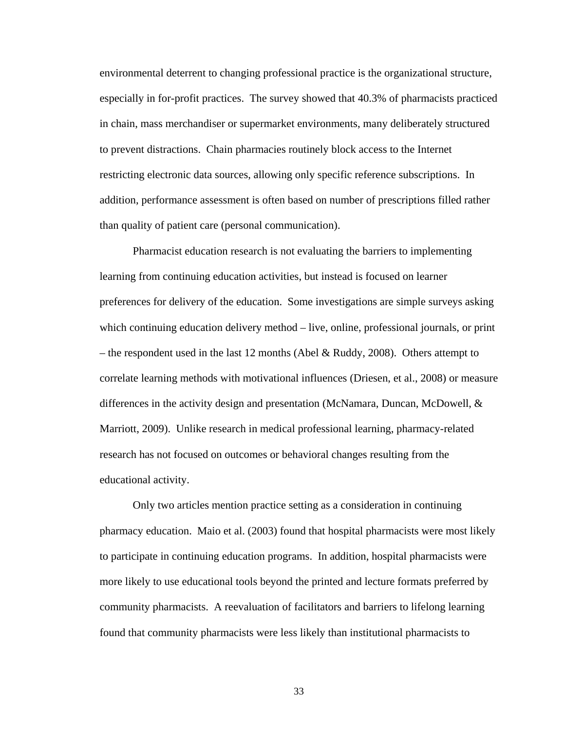environmental deterrent to changing professional practice is the organizational structure, especially in for-profit practices. The survey showed that 40.3% of pharmacists practiced in chain, mass merchandiser or supermarket environments, many deliberately structured to prevent distractions. Chain pharmacies routinely block access to the Internet restricting electronic data sources, allowing only specific reference subscriptions. In addition, performance assessment is often based on number of prescriptions filled rather than quality of patient care (personal communication).

Pharmacist education research is not evaluating the barriers to implementing learning from continuing education activities, but instead is focused on learner preferences for delivery of the education. Some investigations are simple surveys asking which continuing education delivery method – live, online, professional journals, or print – the respondent used in the last 12 months (Abel & Ruddy, 2008). Others attempt to correlate learning methods with motivational influences (Driesen, et al., 2008) or measure differences in the activity design and presentation (McNamara, Duncan, McDowell, & Marriott, 2009). Unlike research in medical professional learning, pharmacy-related research has not focused on outcomes or behavioral changes resulting from the educational activity.

Only two articles mention practice setting as a consideration in continuing pharmacy education. Maio et al. (2003) found that hospital pharmacists were most likely to participate in continuing education programs. In addition, hospital pharmacists were more likely to use educational tools beyond the printed and lecture formats preferred by community pharmacists. A reevaluation of facilitators and barriers to lifelong learning found that community pharmacists were less likely than institutional pharmacists to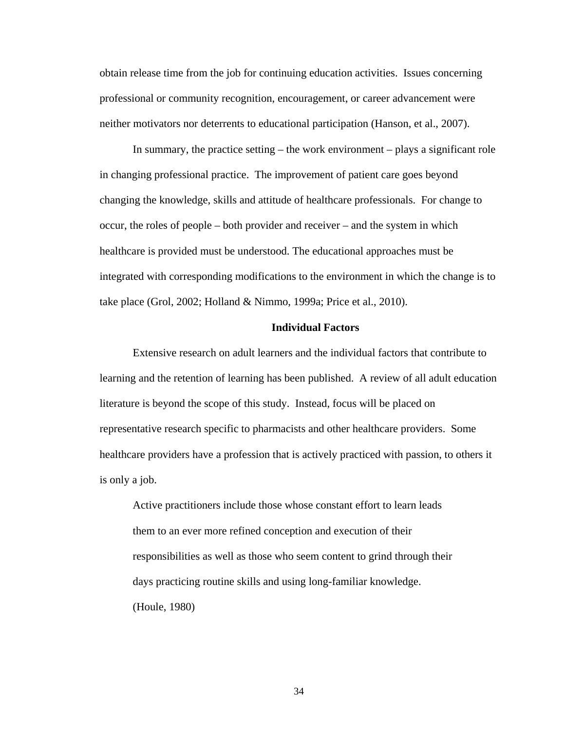obtain release time from the job for continuing education activities. Issues concerning professional or community recognition, encouragement, or career advancement were neither motivators nor deterrents to educational participation (Hanson, et al., 2007).

In summary, the practice setting – the work environment – plays a significant role in changing professional practice. The improvement of patient care goes beyond changing the knowledge, skills and attitude of healthcare professionals. For change to occur, the roles of people – both provider and receiver – and the system in which healthcare is provided must be understood. The educational approaches must be integrated with corresponding modifications to the environment in which the change is to take place (Grol, 2002; Holland & Nimmo, 1999a; Price et al., 2010).

### **Individual Factors**

Extensive research on adult learners and the individual factors that contribute to learning and the retention of learning has been published. A review of all adult education literature is beyond the scope of this study. Instead, focus will be placed on representative research specific to pharmacists and other healthcare providers. Some healthcare providers have a profession that is actively practiced with passion, to others it is only a job.

Active practitioners include those whose constant effort to learn leads them to an ever more refined conception and execution of their responsibilities as well as those who seem content to grind through their days practicing routine skills and using long-familiar knowledge. (Houle, 1980)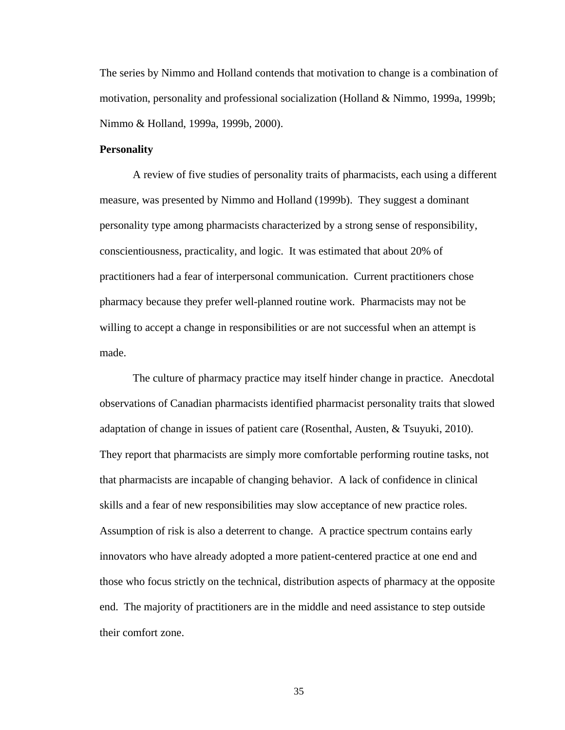The series by Nimmo and Holland contends that motivation to change is a combination of motivation, personality and professional socialization (Holland & Nimmo, 1999a, 1999b; Nimmo & Holland, 1999a, 1999b, 2000).

# **Personality**

A review of five studies of personality traits of pharmacists, each using a different measure, was presented by Nimmo and Holland (1999b). They suggest a dominant personality type among pharmacists characterized by a strong sense of responsibility, conscientiousness, practicality, and logic. It was estimated that about 20% of practitioners had a fear of interpersonal communication. Current practitioners chose pharmacy because they prefer well-planned routine work. Pharmacists may not be willing to accept a change in responsibilities or are not successful when an attempt is made.

The culture of pharmacy practice may itself hinder change in practice. Anecdotal observations of Canadian pharmacists identified pharmacist personality traits that slowed adaptation of change in issues of patient care (Rosenthal, Austen, & Tsuyuki, 2010). They report that pharmacists are simply more comfortable performing routine tasks, not that pharmacists are incapable of changing behavior. A lack of confidence in clinical skills and a fear of new responsibilities may slow acceptance of new practice roles. Assumption of risk is also a deterrent to change. A practice spectrum contains early innovators who have already adopted a more patient-centered practice at one end and those who focus strictly on the technical, distribution aspects of pharmacy at the opposite end. The majority of practitioners are in the middle and need assistance to step outside their comfort zone.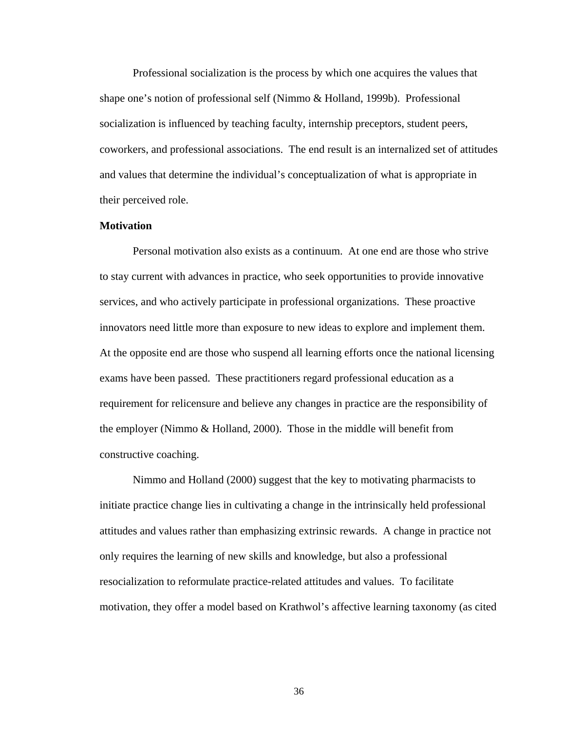Professional socialization is the process by which one acquires the values that shape one's notion of professional self (Nimmo & Holland, 1999b). Professional socialization is influenced by teaching faculty, internship preceptors, student peers, coworkers, and professional associations. The end result is an internalized set of attitudes and values that determine the individual's conceptualization of what is appropriate in their perceived role.

# **Motivation**

Personal motivation also exists as a continuum. At one end are those who strive to stay current with advances in practice, who seek opportunities to provide innovative services, and who actively participate in professional organizations. These proactive innovators need little more than exposure to new ideas to explore and implement them. At the opposite end are those who suspend all learning efforts once the national licensing exams have been passed. These practitioners regard professional education as a requirement for relicensure and believe any changes in practice are the responsibility of the employer (Nimmo & Holland, 2000). Those in the middle will benefit from constructive coaching.

Nimmo and Holland (2000) suggest that the key to motivating pharmacists to initiate practice change lies in cultivating a change in the intrinsically held professional attitudes and values rather than emphasizing extrinsic rewards. A change in practice not only requires the learning of new skills and knowledge, but also a professional resocialization to reformulate practice-related attitudes and values. To facilitate motivation, they offer a model based on Krathwol's affective learning taxonomy (as cited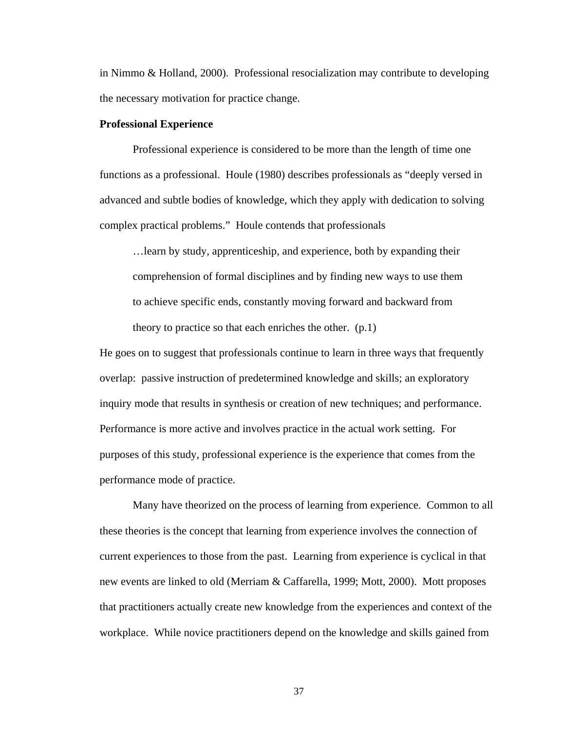in Nimmo & Holland, 2000). Professional resocialization may contribute to developing the necessary motivation for practice change.

### **Professional Experience**

Professional experience is considered to be more than the length of time one functions as a professional. Houle (1980) describes professionals as "deeply versed in advanced and subtle bodies of knowledge, which they apply with dedication to solving complex practical problems." Houle contends that professionals

…learn by study, apprenticeship, and experience, both by expanding their comprehension of formal disciplines and by finding new ways to use them to achieve specific ends, constantly moving forward and backward from theory to practice so that each enriches the other. (p.1)

He goes on to suggest that professionals continue to learn in three ways that frequently overlap: passive instruction of predetermined knowledge and skills; an exploratory inquiry mode that results in synthesis or creation of new techniques; and performance. Performance is more active and involves practice in the actual work setting. For purposes of this study, professional experience is the experience that comes from the performance mode of practice.

Many have theorized on the process of learning from experience. Common to all these theories is the concept that learning from experience involves the connection of current experiences to those from the past. Learning from experience is cyclical in that new events are linked to old (Merriam & Caffarella, 1999; Mott, 2000). Mott proposes that practitioners actually create new knowledge from the experiences and context of the workplace. While novice practitioners depend on the knowledge and skills gained from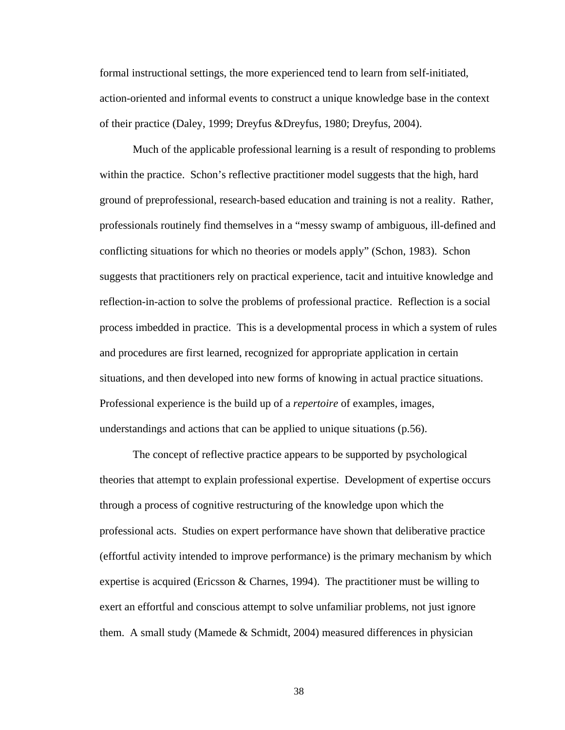formal instructional settings, the more experienced tend to learn from self-initiated, action-oriented and informal events to construct a unique knowledge base in the context of their practice (Daley, 1999; Dreyfus &Dreyfus, 1980; Dreyfus, 2004).

Much of the applicable professional learning is a result of responding to problems within the practice. Schon's reflective practitioner model suggests that the high, hard ground of preprofessional, research-based education and training is not a reality. Rather, professionals routinely find themselves in a "messy swamp of ambiguous, ill-defined and conflicting situations for which no theories or models apply" (Schon, 1983). Schon suggests that practitioners rely on practical experience, tacit and intuitive knowledge and reflection-in-action to solve the problems of professional practice. Reflection is a social process imbedded in practice. This is a developmental process in which a system of rules and procedures are first learned, recognized for appropriate application in certain situations, and then developed into new forms of knowing in actual practice situations. Professional experience is the build up of a *repertoire* of examples, images, understandings and actions that can be applied to unique situations (p.56).

The concept of reflective practice appears to be supported by psychological theories that attempt to explain professional expertise. Development of expertise occurs through a process of cognitive restructuring of the knowledge upon which the professional acts. Studies on expert performance have shown that deliberative practice (effortful activity intended to improve performance) is the primary mechanism by which expertise is acquired (Ericsson & Charnes, 1994). The practitioner must be willing to exert an effortful and conscious attempt to solve unfamiliar problems, not just ignore them. A small study (Mamede & Schmidt, 2004) measured differences in physician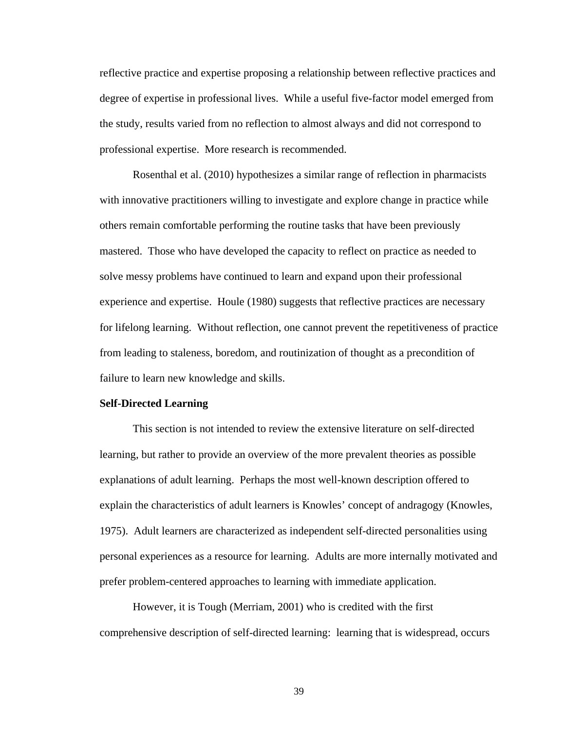reflective practice and expertise proposing a relationship between reflective practices and degree of expertise in professional lives. While a useful five-factor model emerged from the study, results varied from no reflection to almost always and did not correspond to professional expertise. More research is recommended.

Rosenthal et al. (2010) hypothesizes a similar range of reflection in pharmacists with innovative practitioners willing to investigate and explore change in practice while others remain comfortable performing the routine tasks that have been previously mastered. Those who have developed the capacity to reflect on practice as needed to solve messy problems have continued to learn and expand upon their professional experience and expertise. Houle (1980) suggests that reflective practices are necessary for lifelong learning. Without reflection, one cannot prevent the repetitiveness of practice from leading to staleness, boredom, and routinization of thought as a precondition of failure to learn new knowledge and skills.

### **Self-Directed Learning**

This section is not intended to review the extensive literature on self-directed learning, but rather to provide an overview of the more prevalent theories as possible explanations of adult learning. Perhaps the most well-known description offered to explain the characteristics of adult learners is Knowles' concept of andragogy (Knowles, 1975). Adult learners are characterized as independent self-directed personalities using personal experiences as a resource for learning. Adults are more internally motivated and prefer problem-centered approaches to learning with immediate application.

However, it is Tough (Merriam, 2001) who is credited with the first comprehensive description of self-directed learning: learning that is widespread, occurs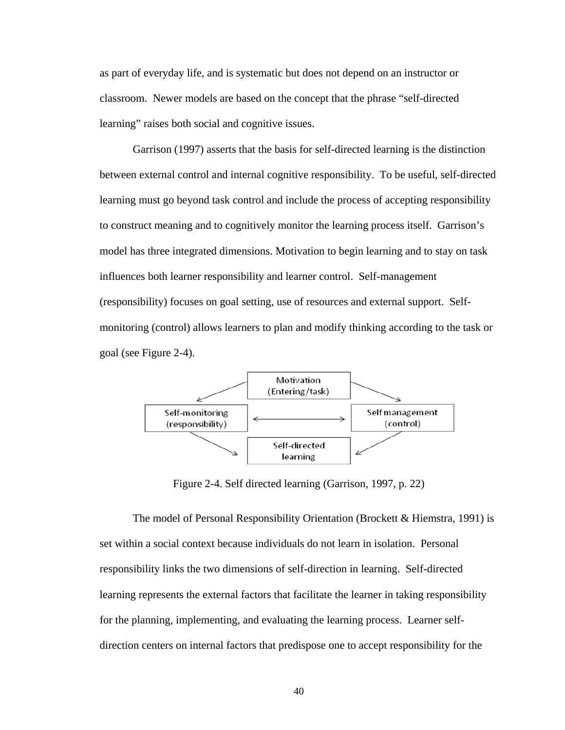as part of everyday life, and is systematic but does not depend on an instructor or classroom. Newer models are based on the concept that the phrase "self-directed learning" raises both social and cognitive issues.

Garrison (1997) asserts that the basis for self-directed learning is the distinction between external control and internal cognitive responsibility. To be useful, self-directed learning must go beyond task control and include the process of accepting responsibility to construct meaning and to cognitively monitor the learning process itself. Garrison's model has three integrated dimensions. Motivation to begin learning and to stay on task influences both learner responsibility and learner control. Self-management (responsibility) focuses on goal setting, use of resources and external support. Selfmonitoring (control) allows learners to plan and modify thinking according to the task or goal (see Figure 2-4).



Figure 2-4. Self directed learning (Garrison, 1997, p. 22)

The model of Personal Responsibility Orientation (Brockett & Hiemstra, 1991) is set within a social context because individuals do not learn in isolation. Personal responsibility links the two dimensions of self-direction in learning. Self-directed learning represents the external factors that facilitate the learner in taking responsibility for the planning, implementing, and evaluating the learning process. Learner selfdirection centers on internal factors that predispose one to accept responsibility for the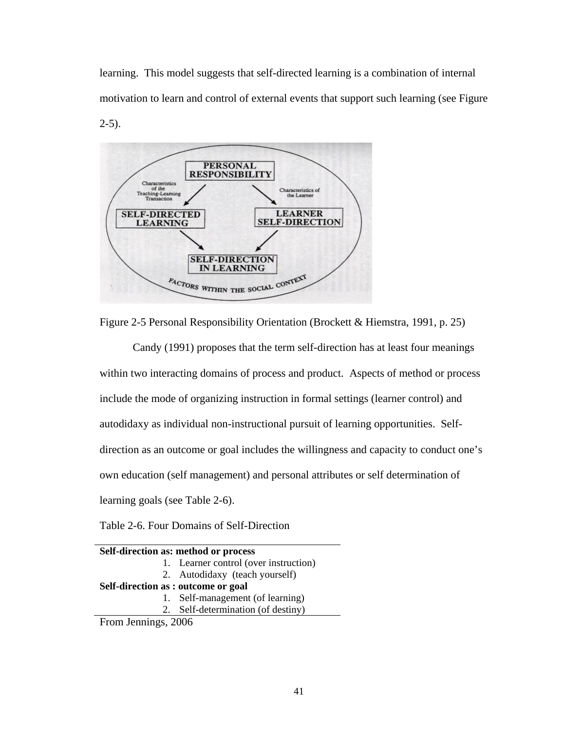learning. This model suggests that self-directed learning is a combination of internal motivation to learn and control of external events that support such learning (see Figure



Figure 2-5 Personal Responsibility Orientation (Brockett & Hiemstra, 1991, p. 25)

Candy (1991) proposes that the term self-direction has at least four meanings within two interacting domains of process and product. Aspects of method or process include the mode of organizing instruction in formal settings (learner control) and autodidaxy as individual non-instructional pursuit of learning opportunities. Selfdirection as an outcome or goal includes the willingness and capacity to conduct one's own education (self management) and personal attributes or self determination of learning goals (see Table 2-6).

Table 2-6. Four Domains of Self-Direction

| Self-direction as: method or process |                                       |  |  |
|--------------------------------------|---------------------------------------|--|--|
|                                      | 1. Learner control (over instruction) |  |  |
|                                      | 2. Autodidaxy (teach yourself)        |  |  |
| Self-direction as : outcome or goal  |                                       |  |  |
|                                      | 1. Self-management (of learning)      |  |  |
|                                      | 2. Self-determination (of destiny)    |  |  |
| $\Gamma$ $I$ $'$ $\Omega\Omega$      |                                       |  |  |

From Jennings, 2006

 $2-5$ ).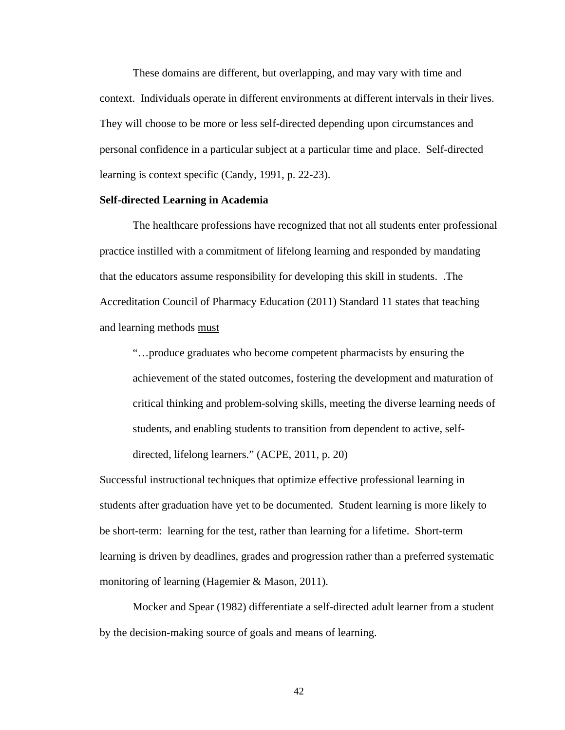These domains are different, but overlapping, and may vary with time and context. Individuals operate in different environments at different intervals in their lives. They will choose to be more or less self-directed depending upon circumstances and personal confidence in a particular subject at a particular time and place. Self-directed learning is context specific (Candy, 1991, p. 22-23).

# **Self-directed Learning in Academia**

The healthcare professions have recognized that not all students enter professional practice instilled with a commitment of lifelong learning and responded by mandating that the educators assume responsibility for developing this skill in students. .The Accreditation Council of Pharmacy Education (2011) Standard 11 states that teaching and learning methods must

"…produce graduates who become competent pharmacists by ensuring the achievement of the stated outcomes, fostering the development and maturation of critical thinking and problem-solving skills, meeting the diverse learning needs of students, and enabling students to transition from dependent to active, selfdirected, lifelong learners." (ACPE, 2011, p. 20)

Successful instructional techniques that optimize effective professional learning in students after graduation have yet to be documented. Student learning is more likely to be short-term: learning for the test, rather than learning for a lifetime. Short-term learning is driven by deadlines, grades and progression rather than a preferred systematic monitoring of learning (Hagemier & Mason, 2011).

Mocker and Spear (1982) differentiate a self-directed adult learner from a student by the decision-making source of goals and means of learning.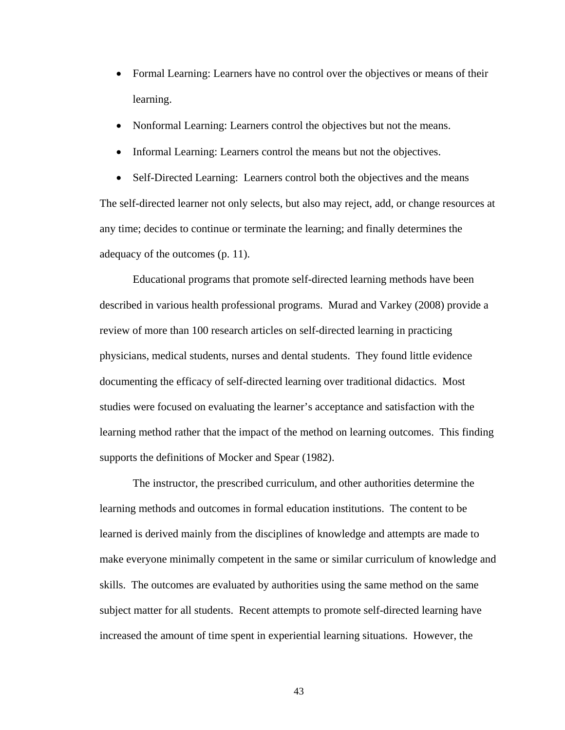- Formal Learning: Learners have no control over the objectives or means of their learning.
- Nonformal Learning: Learners control the objectives but not the means.
- Informal Learning: Learners control the means but not the objectives.

• Self-Directed Learning: Learners control both the objectives and the means The self-directed learner not only selects, but also may reject, add, or change resources at any time; decides to continue or terminate the learning; and finally determines the adequacy of the outcomes (p. 11).

Educational programs that promote self-directed learning methods have been described in various health professional programs. Murad and Varkey (2008) provide a review of more than 100 research articles on self-directed learning in practicing physicians, medical students, nurses and dental students. They found little evidence documenting the efficacy of self-directed learning over traditional didactics. Most studies were focused on evaluating the learner's acceptance and satisfaction with the learning method rather that the impact of the method on learning outcomes. This finding supports the definitions of Mocker and Spear (1982).

The instructor, the prescribed curriculum, and other authorities determine the learning methods and outcomes in formal education institutions. The content to be learned is derived mainly from the disciplines of knowledge and attempts are made to make everyone minimally competent in the same or similar curriculum of knowledge and skills. The outcomes are evaluated by authorities using the same method on the same subject matter for all students. Recent attempts to promote self-directed learning have increased the amount of time spent in experiential learning situations. However, the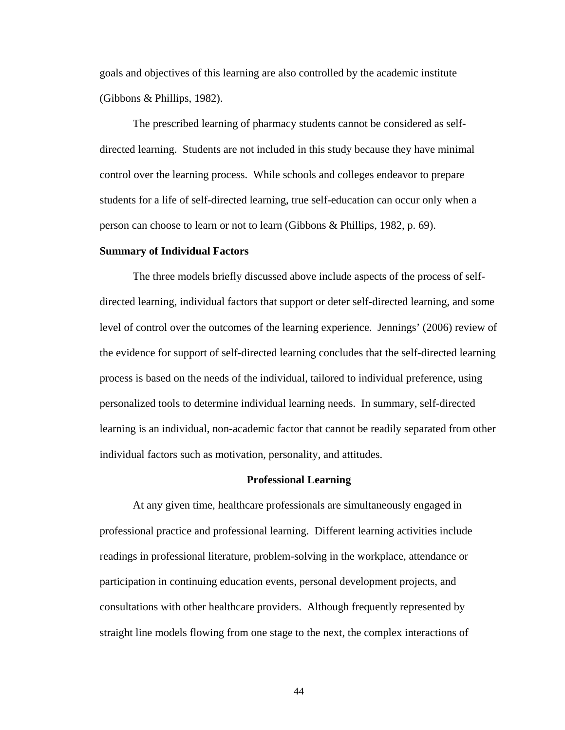goals and objectives of this learning are also controlled by the academic institute (Gibbons & Phillips, 1982).

The prescribed learning of pharmacy students cannot be considered as selfdirected learning. Students are not included in this study because they have minimal control over the learning process. While schools and colleges endeavor to prepare students for a life of self-directed learning, true self-education can occur only when a person can choose to learn or not to learn (Gibbons & Phillips, 1982, p. 69).

#### **Summary of Individual Factors**

The three models briefly discussed above include aspects of the process of selfdirected learning, individual factors that support or deter self-directed learning, and some level of control over the outcomes of the learning experience. Jennings' (2006) review of the evidence for support of self-directed learning concludes that the self-directed learning process is based on the needs of the individual, tailored to individual preference, using personalized tools to determine individual learning needs. In summary, self-directed learning is an individual, non-academic factor that cannot be readily separated from other individual factors such as motivation, personality, and attitudes.

### **Professional Learning**

At any given time, healthcare professionals are simultaneously engaged in professional practice and professional learning. Different learning activities include readings in professional literature, problem-solving in the workplace, attendance or participation in continuing education events, personal development projects, and consultations with other healthcare providers. Although frequently represented by straight line models flowing from one stage to the next, the complex interactions of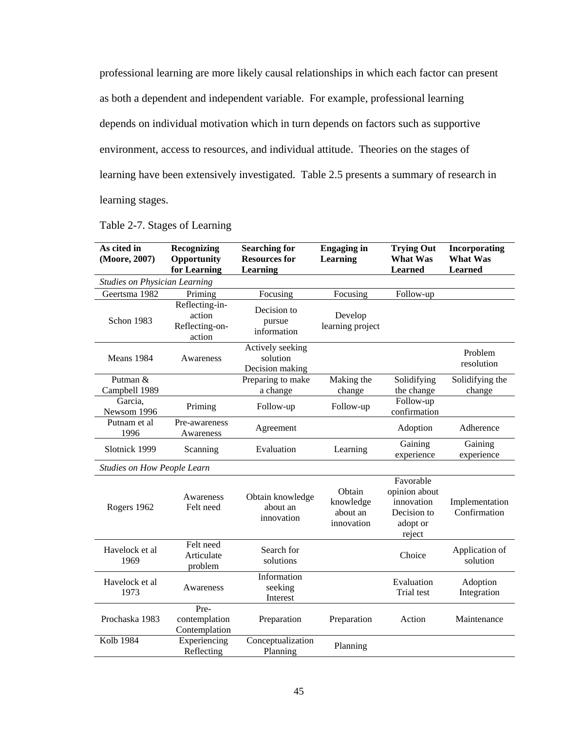professional learning are more likely causal relationships in which each factor can present as both a dependent and independent variable. For example, professional learning depends on individual motivation which in turn depends on factors such as supportive environment, access to resources, and individual attitude. Theories on the stages of learning have been extensively investigated. Table 2.5 presents a summary of research in learning stages.

| As cited in<br>(Moore, 2007)         | Recognizing<br>Opportunity<br>for Learning           | <b>Searching for</b><br><b>Resources for</b><br><b>Learning</b> | <b>Engaging in</b><br><b>Learning</b>         | <b>Trying Out</b><br><b>What Was</b><br><b>Learned</b>                        | Incorporating<br><b>What Was</b><br><b>Learned</b> |
|--------------------------------------|------------------------------------------------------|-----------------------------------------------------------------|-----------------------------------------------|-------------------------------------------------------------------------------|----------------------------------------------------|
| <b>Studies on Physician Learning</b> |                                                      |                                                                 |                                               |                                                                               |                                                    |
| Geertsma 1982                        | Priming                                              | Focusing                                                        | Focusing                                      | Follow-up                                                                     |                                                    |
| Schon 1983                           | Reflecting-in-<br>action<br>Reflecting-on-<br>action | Decision to<br>pursue<br>information                            | Develop<br>learning project                   |                                                                               |                                                    |
| Means 1984                           | Awareness                                            | Actively seeking<br>solution<br>Decision making                 |                                               |                                                                               | Problem<br>resolution                              |
| Putman &<br>Campbell 1989            |                                                      | Preparing to make<br>a change                                   | Making the<br>change                          | Solidifying<br>the change                                                     | Solidifying the<br>change                          |
| Garcia,<br>Newsom 1996               | Priming                                              | Follow-up                                                       | Follow-up                                     | Follow-up<br>confirmation                                                     |                                                    |
| Putnam et al<br>1996                 | Pre-awareness<br>Awareness                           | Agreement                                                       |                                               | Adoption                                                                      | Adherence                                          |
| Slotnick 1999                        | Scanning                                             | Evaluation                                                      | Learning                                      | Gaining<br>experience                                                         | Gaining<br>experience                              |
| <b>Studies on How People Learn</b>   |                                                      |                                                                 |                                               |                                                                               |                                                    |
| Rogers 1962                          | Awareness<br>Felt need                               | Obtain knowledge<br>about an<br>innovation                      | Obtain<br>knowledge<br>about an<br>innovation | Favorable<br>opinion about<br>innovation<br>Decision to<br>adopt or<br>reject | Implementation<br>Confirmation                     |
| Havelock et al<br>1969               | Felt need<br>Articulate<br>problem                   | Search for<br>solutions                                         |                                               | Choice                                                                        | Application of<br>solution                         |
| Havelock et al<br>1973               | Awareness                                            | Information<br>seeking<br>Interest                              |                                               | Evaluation<br>Trial test                                                      | Adoption<br>Integration                            |
| Prochaska 1983                       | Pre-<br>contemplation<br>Contemplation               | Preparation                                                     | Preparation                                   | Action                                                                        | Maintenance                                        |
| <b>Kolb 1984</b>                     | Experiencing<br>Reflecting                           | Conceptualization<br>Planning                                   | Planning                                      |                                                                               |                                                    |

|  |  | Table 2-7. Stages of Learning |
|--|--|-------------------------------|
|  |  |                               |
|  |  |                               |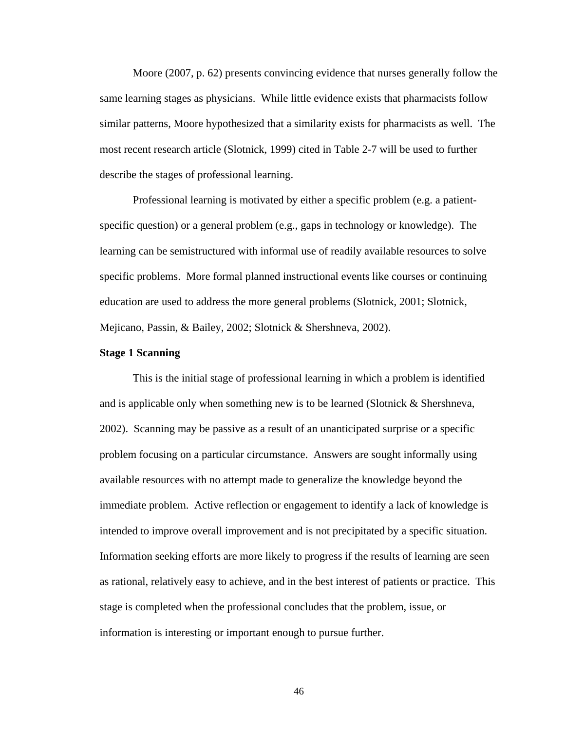Moore (2007, p. 62) presents convincing evidence that nurses generally follow the same learning stages as physicians. While little evidence exists that pharmacists follow similar patterns, Moore hypothesized that a similarity exists for pharmacists as well. The most recent research article (Slotnick, 1999) cited in Table 2-7 will be used to further describe the stages of professional learning.

Professional learning is motivated by either a specific problem (e.g. a patientspecific question) or a general problem (e.g., gaps in technology or knowledge). The learning can be semistructured with informal use of readily available resources to solve specific problems. More formal planned instructional events like courses or continuing education are used to address the more general problems (Slotnick, 2001; Slotnick, Mejicano, Passin, & Bailey, 2002; Slotnick & Shershneva, 2002).

### **Stage 1 Scanning**

This is the initial stage of professional learning in which a problem is identified and is applicable only when something new is to be learned (Slotnick & Shershneva, 2002). Scanning may be passive as a result of an unanticipated surprise or a specific problem focusing on a particular circumstance. Answers are sought informally using available resources with no attempt made to generalize the knowledge beyond the immediate problem. Active reflection or engagement to identify a lack of knowledge is intended to improve overall improvement and is not precipitated by a specific situation. Information seeking efforts are more likely to progress if the results of learning are seen as rational, relatively easy to achieve, and in the best interest of patients or practice. This stage is completed when the professional concludes that the problem, issue, or information is interesting or important enough to pursue further.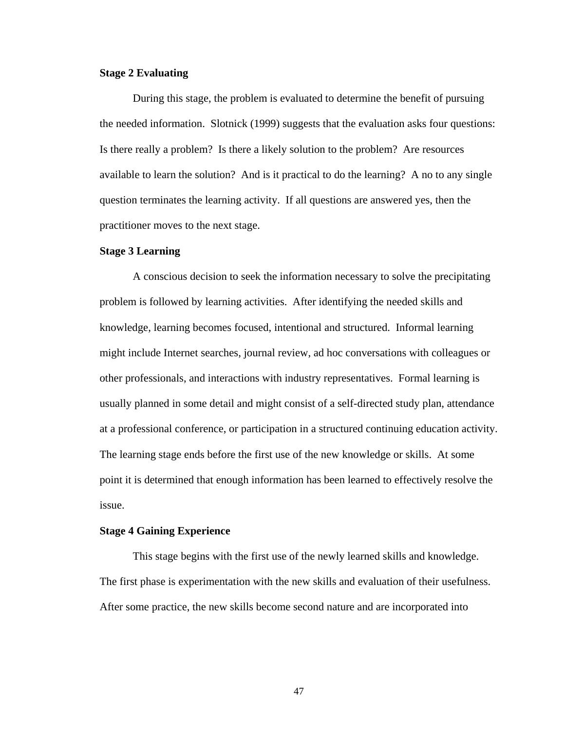# **Stage 2 Evaluating**

During this stage, the problem is evaluated to determine the benefit of pursuing the needed information. Slotnick (1999) suggests that the evaluation asks four questions: Is there really a problem? Is there a likely solution to the problem? Are resources available to learn the solution? And is it practical to do the learning? A no to any single question terminates the learning activity. If all questions are answered yes, then the practitioner moves to the next stage.

### **Stage 3 Learning**

A conscious decision to seek the information necessary to solve the precipitating problem is followed by learning activities. After identifying the needed skills and knowledge, learning becomes focused, intentional and structured. Informal learning might include Internet searches, journal review, ad hoc conversations with colleagues or other professionals, and interactions with industry representatives. Formal learning is usually planned in some detail and might consist of a self-directed study plan, attendance at a professional conference, or participation in a structured continuing education activity. The learning stage ends before the first use of the new knowledge or skills. At some point it is determined that enough information has been learned to effectively resolve the issue.

### **Stage 4 Gaining Experience**

This stage begins with the first use of the newly learned skills and knowledge. The first phase is experimentation with the new skills and evaluation of their usefulness. After some practice, the new skills become second nature and are incorporated into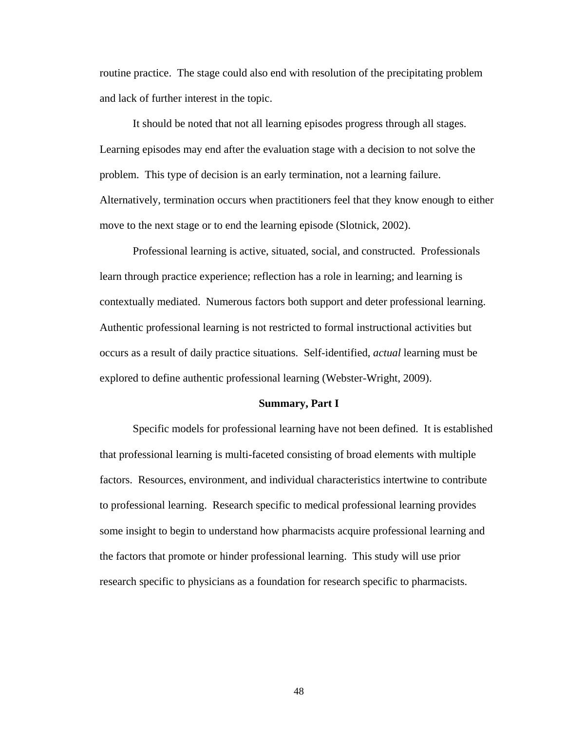routine practice. The stage could also end with resolution of the precipitating problem and lack of further interest in the topic.

It should be noted that not all learning episodes progress through all stages. Learning episodes may end after the evaluation stage with a decision to not solve the problem. This type of decision is an early termination, not a learning failure. Alternatively, termination occurs when practitioners feel that they know enough to either move to the next stage or to end the learning episode (Slotnick, 2002).

Professional learning is active, situated, social, and constructed. Professionals learn through practice experience; reflection has a role in learning; and learning is contextually mediated. Numerous factors both support and deter professional learning. Authentic professional learning is not restricted to formal instructional activities but occurs as a result of daily practice situations. Self-identified, *actual* learning must be explored to define authentic professional learning (Webster-Wright, 2009).

#### **Summary, Part I**

Specific models for professional learning have not been defined. It is established that professional learning is multi-faceted consisting of broad elements with multiple factors. Resources, environment, and individual characteristics intertwine to contribute to professional learning. Research specific to medical professional learning provides some insight to begin to understand how pharmacists acquire professional learning and the factors that promote or hinder professional learning. This study will use prior research specific to physicians as a foundation for research specific to pharmacists.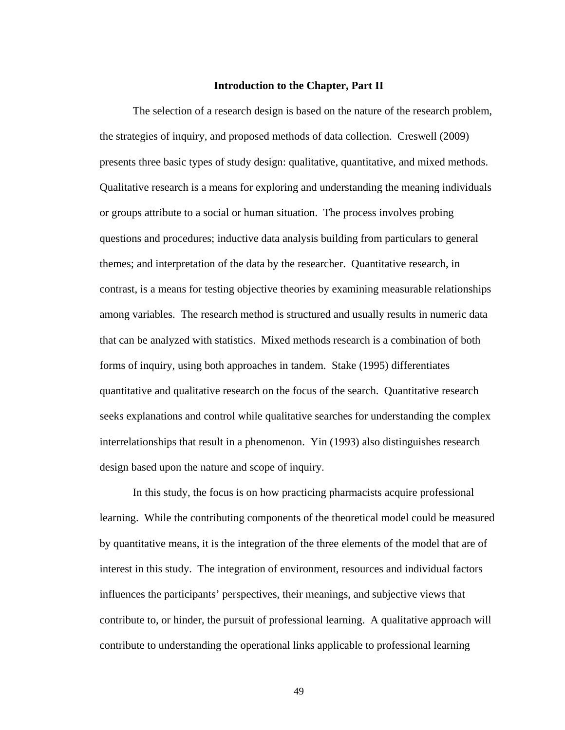## **Introduction to the Chapter, Part II**

The selection of a research design is based on the nature of the research problem, the strategies of inquiry, and proposed methods of data collection. Creswell (2009) presents three basic types of study design: qualitative, quantitative, and mixed methods. Qualitative research is a means for exploring and understanding the meaning individuals or groups attribute to a social or human situation. The process involves probing questions and procedures; inductive data analysis building from particulars to general themes; and interpretation of the data by the researcher. Quantitative research, in contrast, is a means for testing objective theories by examining measurable relationships among variables. The research method is structured and usually results in numeric data that can be analyzed with statistics. Mixed methods research is a combination of both forms of inquiry, using both approaches in tandem. Stake (1995) differentiates quantitative and qualitative research on the focus of the search. Quantitative research seeks explanations and control while qualitative searches for understanding the complex interrelationships that result in a phenomenon. Yin (1993) also distinguishes research design based upon the nature and scope of inquiry.

In this study, the focus is on how practicing pharmacists acquire professional learning. While the contributing components of the theoretical model could be measured by quantitative means, it is the integration of the three elements of the model that are of interest in this study. The integration of environment, resources and individual factors influences the participants' perspectives, their meanings, and subjective views that contribute to, or hinder, the pursuit of professional learning. A qualitative approach will contribute to understanding the operational links applicable to professional learning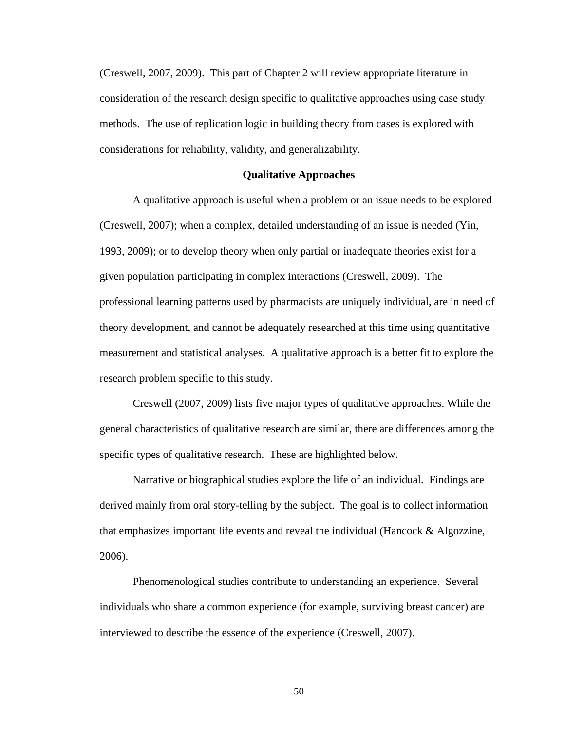(Creswell, 2007, 2009). This part of Chapter 2 will review appropriate literature in consideration of the research design specific to qualitative approaches using case study methods. The use of replication logic in building theory from cases is explored with considerations for reliability, validity, and generalizability.

### **Qualitative Approaches**

A qualitative approach is useful when a problem or an issue needs to be explored (Creswell, 2007); when a complex, detailed understanding of an issue is needed (Yin, 1993, 2009); or to develop theory when only partial or inadequate theories exist for a given population participating in complex interactions (Creswell, 2009). The professional learning patterns used by pharmacists are uniquely individual, are in need of theory development, and cannot be adequately researched at this time using quantitative measurement and statistical analyses. A qualitative approach is a better fit to explore the research problem specific to this study.

Creswell (2007, 2009) lists five major types of qualitative approaches. While the general characteristics of qualitative research are similar, there are differences among the specific types of qualitative research. These are highlighted below.

Narrative or biographical studies explore the life of an individual. Findings are derived mainly from oral story-telling by the subject. The goal is to collect information that emphasizes important life events and reveal the individual (Hancock  $\&$  Algozzine, 2006).

Phenomenological studies contribute to understanding an experience. Several individuals who share a common experience (for example, surviving breast cancer) are interviewed to describe the essence of the experience (Creswell, 2007).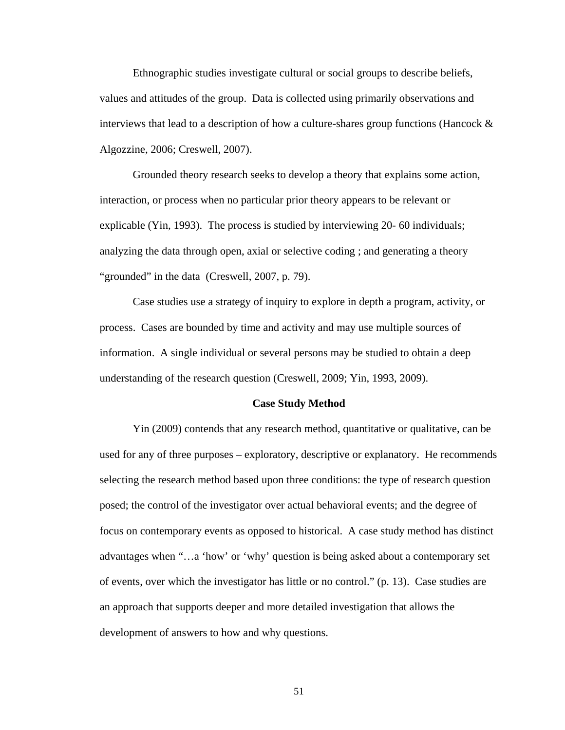Ethnographic studies investigate cultural or social groups to describe beliefs, values and attitudes of the group. Data is collected using primarily observations and interviews that lead to a description of how a culture-shares group functions (Hancock  $\&$ Algozzine, 2006; Creswell, 2007).

Grounded theory research seeks to develop a theory that explains some action, interaction, or process when no particular prior theory appears to be relevant or explicable (Yin, 1993). The process is studied by interviewing 20- 60 individuals; analyzing the data through open, axial or selective coding ; and generating a theory "grounded" in the data (Creswell, 2007, p. 79).

Case studies use a strategy of inquiry to explore in depth a program, activity, or process. Cases are bounded by time and activity and may use multiple sources of information. A single individual or several persons may be studied to obtain a deep understanding of the research question (Creswell, 2009; Yin, 1993, 2009).

#### **Case Study Method**

Yin (2009) contends that any research method, quantitative or qualitative, can be used for any of three purposes – exploratory, descriptive or explanatory. He recommends selecting the research method based upon three conditions: the type of research question posed; the control of the investigator over actual behavioral events; and the degree of focus on contemporary events as opposed to historical. A case study method has distinct advantages when "…a 'how' or 'why' question is being asked about a contemporary set of events, over which the investigator has little or no control." (p. 13). Case studies are an approach that supports deeper and more detailed investigation that allows the development of answers to how and why questions.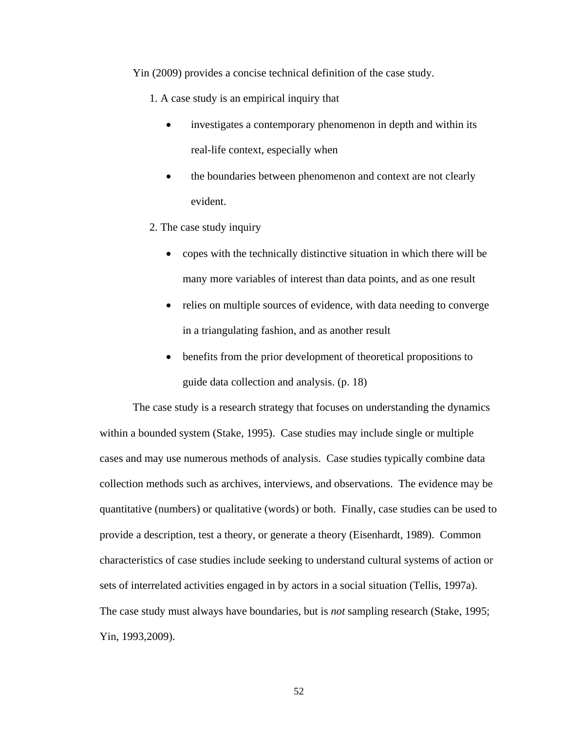Yin (2009) provides a concise technical definition of the case study.

- 1. A case study is an empirical inquiry that
	- investigates a contemporary phenomenon in depth and within its real-life context, especially when
	- the boundaries between phenomenon and context are not clearly evident.
- 2. The case study inquiry
	- copes with the technically distinctive situation in which there will be many more variables of interest than data points, and as one result
	- relies on multiple sources of evidence, with data needing to converge in a triangulating fashion, and as another result
	- benefits from the prior development of theoretical propositions to guide data collection and analysis. (p. 18)

The case study is a research strategy that focuses on understanding the dynamics within a bounded system (Stake, 1995). Case studies may include single or multiple cases and may use numerous methods of analysis. Case studies typically combine data collection methods such as archives, interviews, and observations. The evidence may be quantitative (numbers) or qualitative (words) or both. Finally, case studies can be used to provide a description, test a theory, or generate a theory (Eisenhardt, 1989). Common characteristics of case studies include seeking to understand cultural systems of action or sets of interrelated activities engaged in by actors in a social situation (Tellis, 1997a). The case study must always have boundaries, but is *not* sampling research (Stake, 1995; Yin, 1993,2009).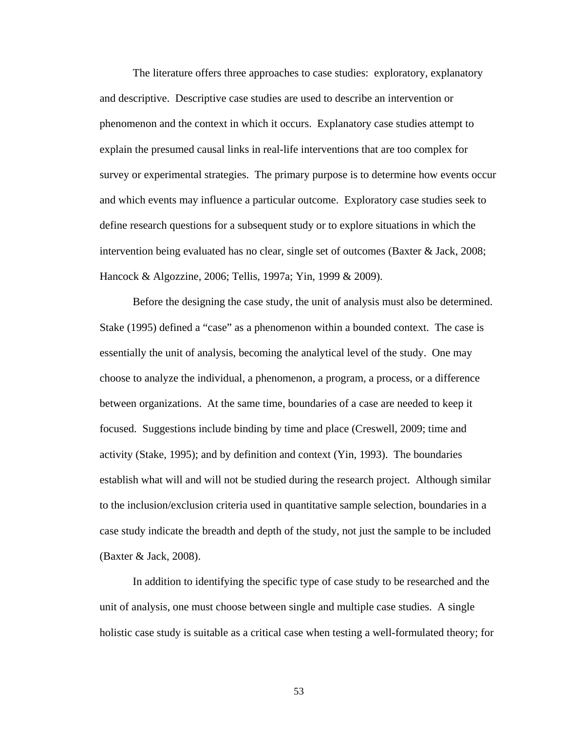The literature offers three approaches to case studies: exploratory, explanatory and descriptive. Descriptive case studies are used to describe an intervention or phenomenon and the context in which it occurs. Explanatory case studies attempt to explain the presumed causal links in real-life interventions that are too complex for survey or experimental strategies. The primary purpose is to determine how events occur and which events may influence a particular outcome. Exploratory case studies seek to define research questions for a subsequent study or to explore situations in which the intervention being evaluated has no clear, single set of outcomes (Baxter & Jack, 2008; Hancock & Algozzine, 2006; Tellis, 1997a; Yin, 1999 & 2009).

Before the designing the case study, the unit of analysis must also be determined. Stake (1995) defined a "case" as a phenomenon within a bounded context. The case is essentially the unit of analysis, becoming the analytical level of the study. One may choose to analyze the individual, a phenomenon, a program, a process, or a difference between organizations. At the same time, boundaries of a case are needed to keep it focused. Suggestions include binding by time and place (Creswell, 2009; time and activity (Stake, 1995); and by definition and context (Yin, 1993). The boundaries establish what will and will not be studied during the research project. Although similar to the inclusion/exclusion criteria used in quantitative sample selection, boundaries in a case study indicate the breadth and depth of the study, not just the sample to be included (Baxter & Jack, 2008).

In addition to identifying the specific type of case study to be researched and the unit of analysis, one must choose between single and multiple case studies. A single holistic case study is suitable as a critical case when testing a well-formulated theory; for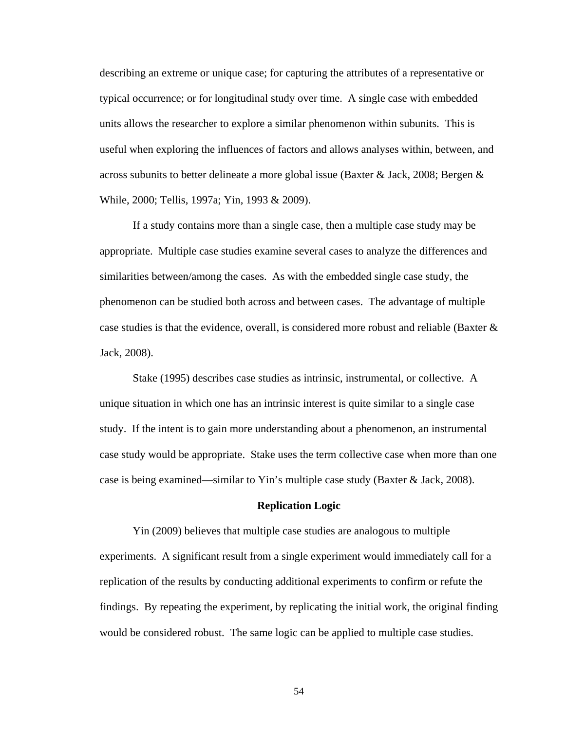describing an extreme or unique case; for capturing the attributes of a representative or typical occurrence; or for longitudinal study over time. A single case with embedded units allows the researcher to explore a similar phenomenon within subunits. This is useful when exploring the influences of factors and allows analyses within, between, and across subunits to better delineate a more global issue (Baxter & Jack, 2008; Bergen & While, 2000; Tellis, 1997a; Yin, 1993 & 2009).

If a study contains more than a single case, then a multiple case study may be appropriate. Multiple case studies examine several cases to analyze the differences and similarities between/among the cases. As with the embedded single case study, the phenomenon can be studied both across and between cases. The advantage of multiple case studies is that the evidence, overall, is considered more robust and reliable (Baxter & Jack, 2008).

Stake (1995) describes case studies as intrinsic, instrumental, or collective. A unique situation in which one has an intrinsic interest is quite similar to a single case study. If the intent is to gain more understanding about a phenomenon, an instrumental case study would be appropriate. Stake uses the term collective case when more than one case is being examined—similar to Yin's multiple case study (Baxter & Jack, 2008).

#### **Replication Logic**

Yin (2009) believes that multiple case studies are analogous to multiple experiments. A significant result from a single experiment would immediately call for a replication of the results by conducting additional experiments to confirm or refute the findings. By repeating the experiment, by replicating the initial work, the original finding would be considered robust. The same logic can be applied to multiple case studies.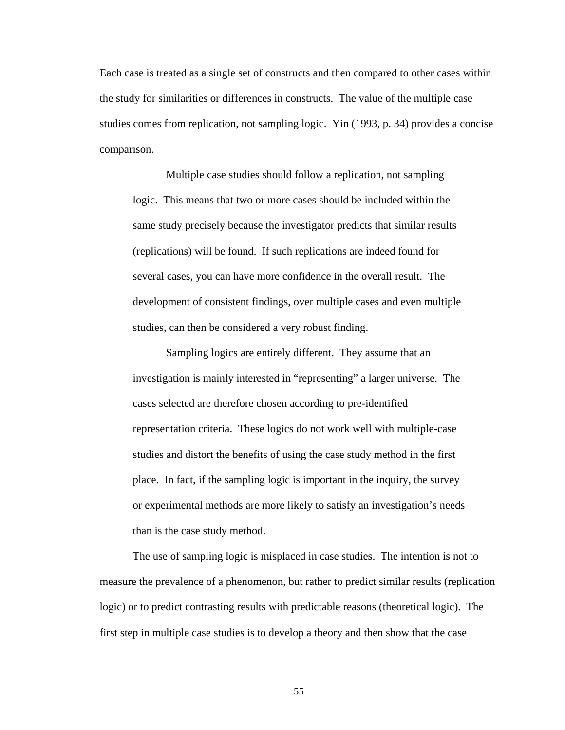Each case is treated as a single set of constructs and then compared to other cases within the study for similarities or differences in constructs. The value of the multiple case studies comes from replication, not sampling logic. Yin (1993, p. 34) provides a concise comparison.

Multiple case studies should follow a replication, not sampling logic. This means that two or more cases should be included within the same study precisely because the investigator predicts that similar results (replications) will be found. If such replications are indeed found for several cases, you can have more confidence in the overall result. The development of consistent findings, over multiple cases and even multiple studies, can then be considered a very robust finding.

Sampling logics are entirely different. They assume that an investigation is mainly interested in "representing" a larger universe. The cases selected are therefore chosen according to pre-identified representation criteria. These logics do not work well with multiple-case studies and distort the benefits of using the case study method in the first place. In fact, if the sampling logic is important in the inquiry, the survey or experimental methods are more likely to satisfy an investigation's needs than is the case study method.

The use of sampling logic is misplaced in case studies. The intention is not to measure the prevalence of a phenomenon, but rather to predict similar results (replication logic) or to predict contrasting results with predictable reasons (theoretical logic). The first step in multiple case studies is to develop a theory and then show that the case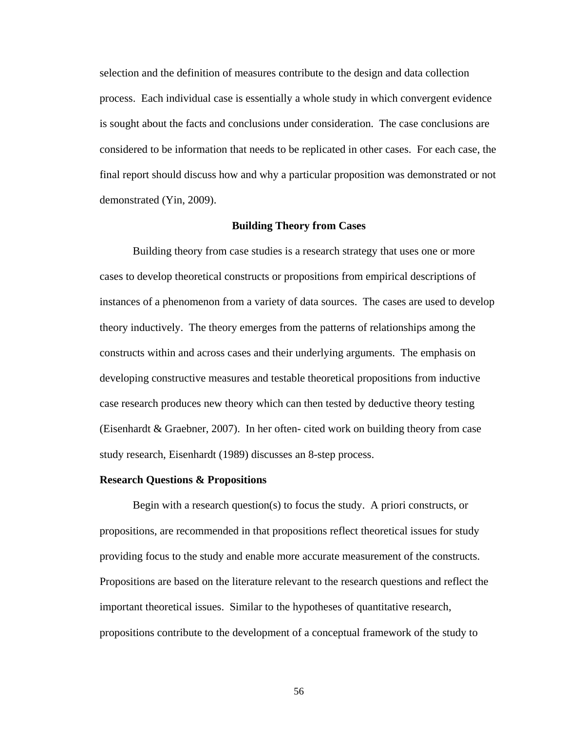selection and the definition of measures contribute to the design and data collection process. Each individual case is essentially a whole study in which convergent evidence is sought about the facts and conclusions under consideration. The case conclusions are considered to be information that needs to be replicated in other cases. For each case, the final report should discuss how and why a particular proposition was demonstrated or not demonstrated (Yin, 2009).

#### **Building Theory from Cases**

Building theory from case studies is a research strategy that uses one or more cases to develop theoretical constructs or propositions from empirical descriptions of instances of a phenomenon from a variety of data sources. The cases are used to develop theory inductively. The theory emerges from the patterns of relationships among the constructs within and across cases and their underlying arguments. The emphasis on developing constructive measures and testable theoretical propositions from inductive case research produces new theory which can then tested by deductive theory testing (Eisenhardt & Graebner, 2007). In her often- cited work on building theory from case study research, Eisenhardt (1989) discusses an 8-step process.

#### **Research Questions & Propositions**

Begin with a research question(s) to focus the study. A priori constructs, or propositions, are recommended in that propositions reflect theoretical issues for study providing focus to the study and enable more accurate measurement of the constructs. Propositions are based on the literature relevant to the research questions and reflect the important theoretical issues. Similar to the hypotheses of quantitative research, propositions contribute to the development of a conceptual framework of the study to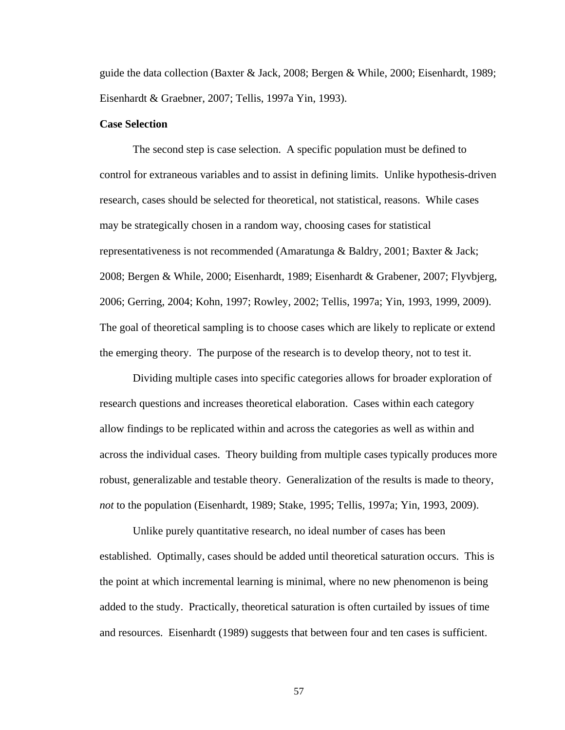guide the data collection (Baxter & Jack, 2008; Bergen & While, 2000; Eisenhardt, 1989; Eisenhardt & Graebner, 2007; Tellis, 1997a Yin, 1993).

# **Case Selection**

The second step is case selection. A specific population must be defined to control for extraneous variables and to assist in defining limits. Unlike hypothesis-driven research, cases should be selected for theoretical, not statistical, reasons. While cases may be strategically chosen in a random way, choosing cases for statistical representativeness is not recommended (Amaratunga & Baldry, 2001; Baxter & Jack; 2008; Bergen & While, 2000; Eisenhardt, 1989; Eisenhardt & Grabener, 2007; Flyvbjerg, 2006; Gerring, 2004; Kohn, 1997; Rowley, 2002; Tellis, 1997a; Yin, 1993, 1999, 2009). The goal of theoretical sampling is to choose cases which are likely to replicate or extend the emerging theory. The purpose of the research is to develop theory, not to test it.

Dividing multiple cases into specific categories allows for broader exploration of research questions and increases theoretical elaboration. Cases within each category allow findings to be replicated within and across the categories as well as within and across the individual cases. Theory building from multiple cases typically produces more robust, generalizable and testable theory. Generalization of the results is made to theory, *not* to the population (Eisenhardt, 1989; Stake, 1995; Tellis, 1997a; Yin, 1993, 2009).

Unlike purely quantitative research, no ideal number of cases has been established. Optimally, cases should be added until theoretical saturation occurs. This is the point at which incremental learning is minimal, where no new phenomenon is being added to the study. Practically, theoretical saturation is often curtailed by issues of time and resources. Eisenhardt (1989) suggests that between four and ten cases is sufficient.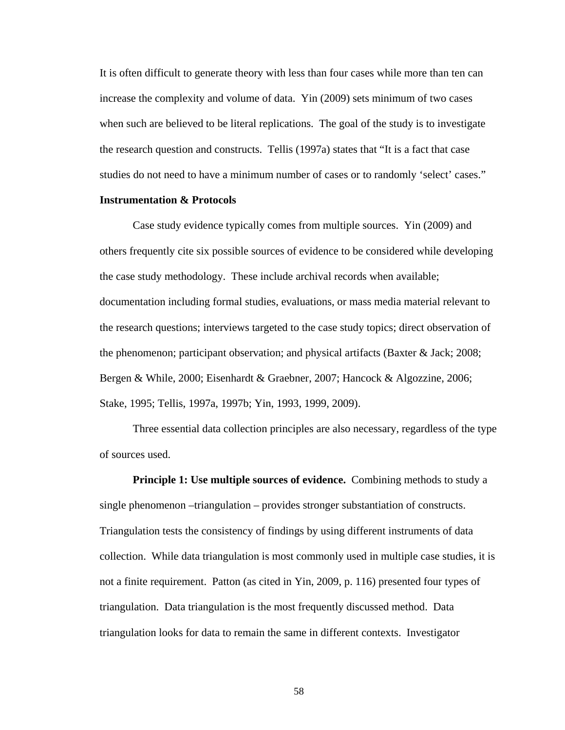It is often difficult to generate theory with less than four cases while more than ten can increase the complexity and volume of data. Yin (2009) sets minimum of two cases when such are believed to be literal replications. The goal of the study is to investigate the research question and constructs. Tellis (1997a) states that "It is a fact that case studies do not need to have a minimum number of cases or to randomly 'select' cases."

# **Instrumentation & Protocols**

Case study evidence typically comes from multiple sources. Yin (2009) and others frequently cite six possible sources of evidence to be considered while developing the case study methodology. These include archival records when available; documentation including formal studies, evaluations, or mass media material relevant to the research questions; interviews targeted to the case study topics; direct observation of the phenomenon; participant observation; and physical artifacts (Baxter  $\&$  Jack; 2008; Bergen & While, 2000; Eisenhardt & Graebner, 2007; Hancock & Algozzine, 2006; Stake, 1995; Tellis, 1997a, 1997b; Yin, 1993, 1999, 2009).

Three essential data collection principles are also necessary, regardless of the type of sources used.

**Principle 1: Use multiple sources of evidence.** Combining methods to study a single phenomenon –triangulation – provides stronger substantiation of constructs. Triangulation tests the consistency of findings by using different instruments of data collection. While data triangulation is most commonly used in multiple case studies, it is not a finite requirement. Patton (as cited in Yin, 2009, p. 116) presented four types of triangulation. Data triangulation is the most frequently discussed method. Data triangulation looks for data to remain the same in different contexts. Investigator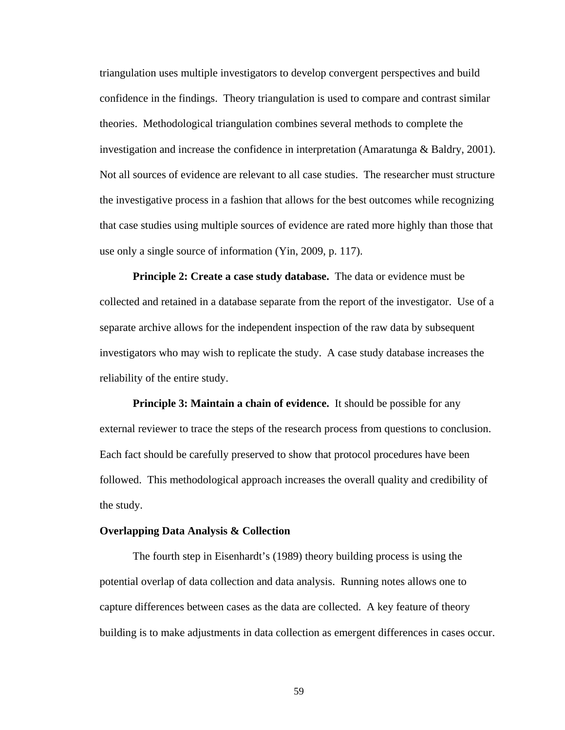triangulation uses multiple investigators to develop convergent perspectives and build confidence in the findings. Theory triangulation is used to compare and contrast similar theories. Methodological triangulation combines several methods to complete the investigation and increase the confidence in interpretation (Amaratunga & Baldry, 2001). Not all sources of evidence are relevant to all case studies. The researcher must structure the investigative process in a fashion that allows for the best outcomes while recognizing that case studies using multiple sources of evidence are rated more highly than those that use only a single source of information (Yin, 2009, p. 117).

**Principle 2: Create a case study database.** The data or evidence must be collected and retained in a database separate from the report of the investigator. Use of a separate archive allows for the independent inspection of the raw data by subsequent investigators who may wish to replicate the study. A case study database increases the reliability of the entire study.

**Principle 3: Maintain a chain of evidence.** It should be possible for any external reviewer to trace the steps of the research process from questions to conclusion. Each fact should be carefully preserved to show that protocol procedures have been followed. This methodological approach increases the overall quality and credibility of the study.

#### **Overlapping Data Analysis & Collection**

The fourth step in Eisenhardt's (1989) theory building process is using the potential overlap of data collection and data analysis. Running notes allows one to capture differences between cases as the data are collected. A key feature of theory building is to make adjustments in data collection as emergent differences in cases occur.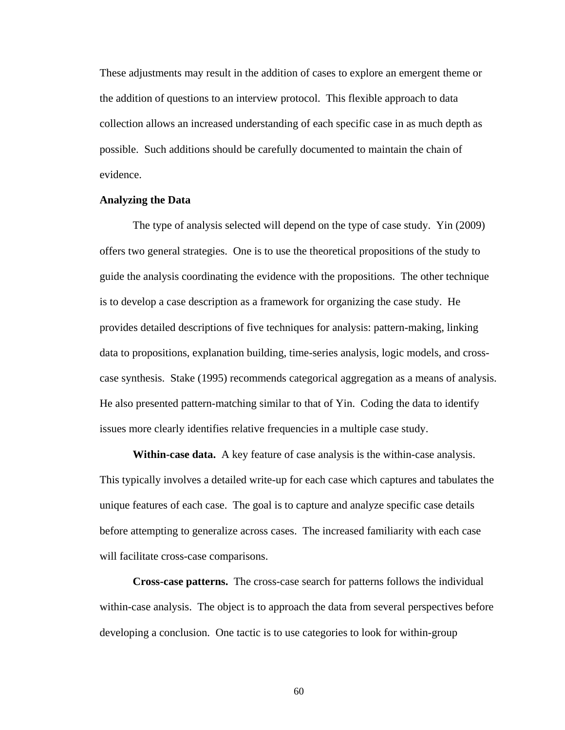These adjustments may result in the addition of cases to explore an emergent theme or the addition of questions to an interview protocol. This flexible approach to data collection allows an increased understanding of each specific case in as much depth as possible. Such additions should be carefully documented to maintain the chain of evidence.

# **Analyzing the Data**

The type of analysis selected will depend on the type of case study. Yin (2009) offers two general strategies. One is to use the theoretical propositions of the study to guide the analysis coordinating the evidence with the propositions. The other technique is to develop a case description as a framework for organizing the case study. He provides detailed descriptions of five techniques for analysis: pattern-making, linking data to propositions, explanation building, time-series analysis, logic models, and crosscase synthesis. Stake (1995) recommends categorical aggregation as a means of analysis. He also presented pattern-matching similar to that of Yin. Coding the data to identify issues more clearly identifies relative frequencies in a multiple case study.

**Within-case data.** A key feature of case analysis is the within-case analysis. This typically involves a detailed write-up for each case which captures and tabulates the unique features of each case. The goal is to capture and analyze specific case details before attempting to generalize across cases. The increased familiarity with each case will facilitate cross-case comparisons.

**Cross-case patterns.** The cross-case search for patterns follows the individual within-case analysis. The object is to approach the data from several perspectives before developing a conclusion. One tactic is to use categories to look for within-group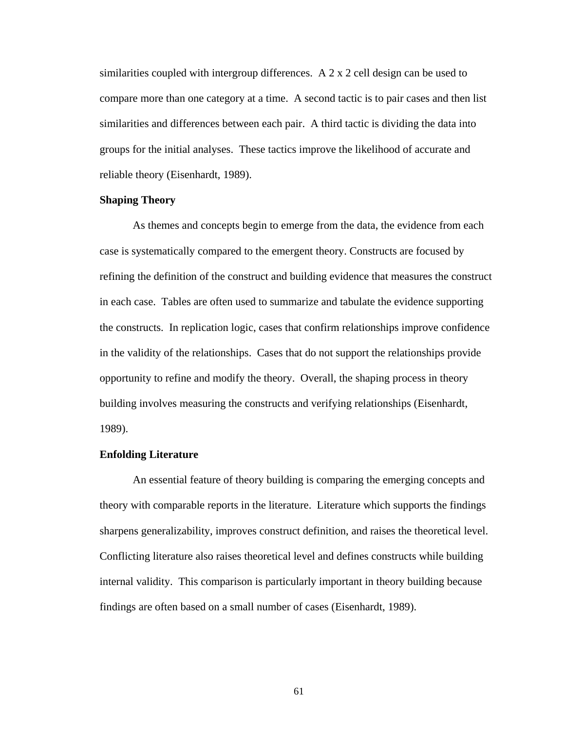similarities coupled with intergroup differences. A 2 x 2 cell design can be used to compare more than one category at a time. A second tactic is to pair cases and then list similarities and differences between each pair. A third tactic is dividing the data into groups for the initial analyses. These tactics improve the likelihood of accurate and reliable theory (Eisenhardt, 1989).

# **Shaping Theory**

As themes and concepts begin to emerge from the data, the evidence from each case is systematically compared to the emergent theory. Constructs are focused by refining the definition of the construct and building evidence that measures the construct in each case. Tables are often used to summarize and tabulate the evidence supporting the constructs. In replication logic, cases that confirm relationships improve confidence in the validity of the relationships. Cases that do not support the relationships provide opportunity to refine and modify the theory. Overall, the shaping process in theory building involves measuring the constructs and verifying relationships (Eisenhardt, 1989).

# **Enfolding Literature**

An essential feature of theory building is comparing the emerging concepts and theory with comparable reports in the literature. Literature which supports the findings sharpens generalizability, improves construct definition, and raises the theoretical level. Conflicting literature also raises theoretical level and defines constructs while building internal validity. This comparison is particularly important in theory building because findings are often based on a small number of cases (Eisenhardt, 1989).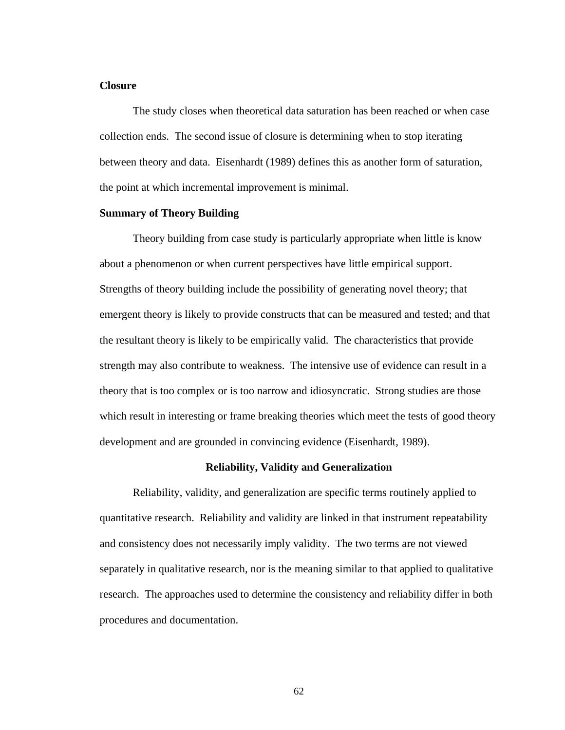## **Closure**

The study closes when theoretical data saturation has been reached or when case collection ends. The second issue of closure is determining when to stop iterating between theory and data. Eisenhardt (1989) defines this as another form of saturation, the point at which incremental improvement is minimal.

# **Summary of Theory Building**

Theory building from case study is particularly appropriate when little is know about a phenomenon or when current perspectives have little empirical support. Strengths of theory building include the possibility of generating novel theory; that emergent theory is likely to provide constructs that can be measured and tested; and that the resultant theory is likely to be empirically valid. The characteristics that provide strength may also contribute to weakness. The intensive use of evidence can result in a theory that is too complex or is too narrow and idiosyncratic. Strong studies are those which result in interesting or frame breaking theories which meet the tests of good theory development and are grounded in convincing evidence (Eisenhardt, 1989).

# **Reliability, Validity and Generalization**

Reliability, validity, and generalization are specific terms routinely applied to quantitative research. Reliability and validity are linked in that instrument repeatability and consistency does not necessarily imply validity. The two terms are not viewed separately in qualitative research, nor is the meaning similar to that applied to qualitative research. The approaches used to determine the consistency and reliability differ in both procedures and documentation.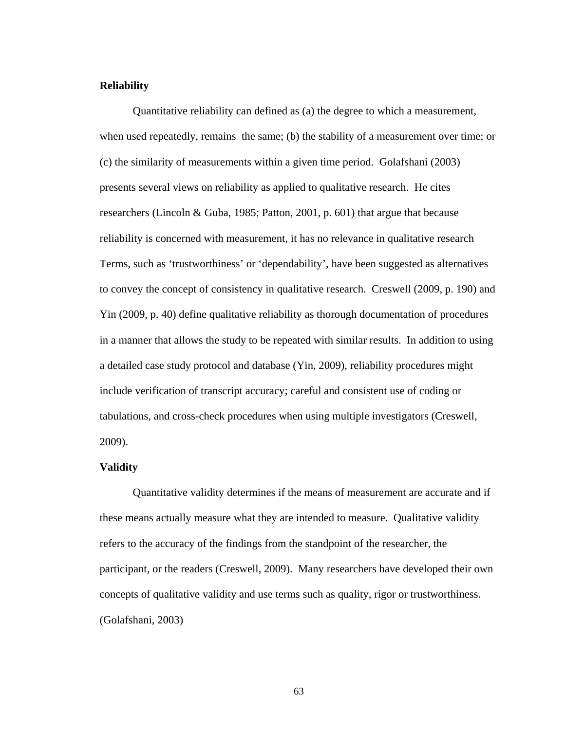# **Reliability**

Quantitative reliability can defined as (a) the degree to which a measurement, when used repeatedly, remains the same; (b) the stability of a measurement over time; or (c) the similarity of measurements within a given time period. Golafshani (2003) presents several views on reliability as applied to qualitative research. He cites researchers (Lincoln & Guba, 1985; Patton, 2001, p. 601) that argue that because reliability is concerned with measurement, it has no relevance in qualitative research Terms, such as 'trustworthiness' or 'dependability', have been suggested as alternatives to convey the concept of consistency in qualitative research. Creswell (2009, p. 190) and Yin (2009, p. 40) define qualitative reliability as thorough documentation of procedures in a manner that allows the study to be repeated with similar results. In addition to using a detailed case study protocol and database (Yin, 2009), reliability procedures might include verification of transcript accuracy; careful and consistent use of coding or tabulations, and cross-check procedures when using multiple investigators (Creswell, 2009).

# **Validity**

Quantitative validity determines if the means of measurement are accurate and if these means actually measure what they are intended to measure. Qualitative validity refers to the accuracy of the findings from the standpoint of the researcher, the participant, or the readers (Creswell, 2009). Many researchers have developed their own concepts of qualitative validity and use terms such as quality, rigor or trustworthiness. (Golafshani, 2003)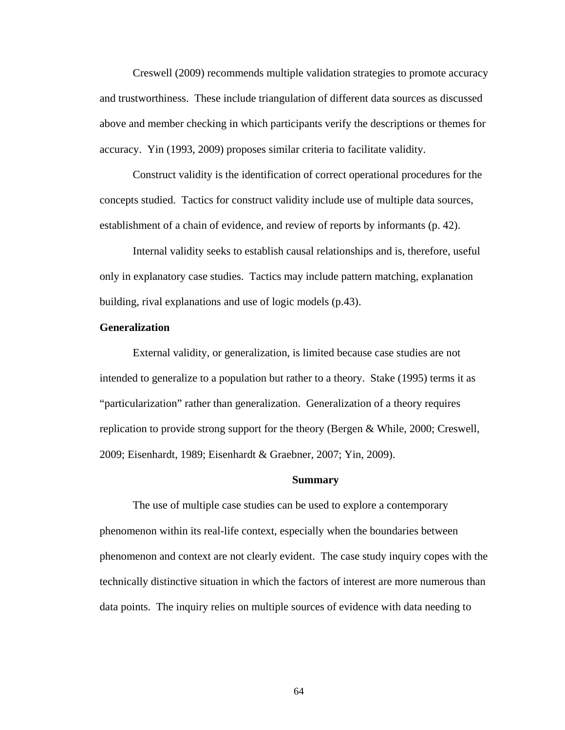Creswell (2009) recommends multiple validation strategies to promote accuracy and trustworthiness. These include triangulation of different data sources as discussed above and member checking in which participants verify the descriptions or themes for accuracy. Yin (1993, 2009) proposes similar criteria to facilitate validity.

Construct validity is the identification of correct operational procedures for the concepts studied. Tactics for construct validity include use of multiple data sources, establishment of a chain of evidence, and review of reports by informants (p. 42).

Internal validity seeks to establish causal relationships and is, therefore, useful only in explanatory case studies. Tactics may include pattern matching, explanation building, rival explanations and use of logic models (p.43).

## **Generalization**

External validity, or generalization, is limited because case studies are not intended to generalize to a population but rather to a theory. Stake (1995) terms it as "particularization" rather than generalization. Generalization of a theory requires replication to provide strong support for the theory (Bergen & While, 2000; Creswell, 2009; Eisenhardt, 1989; Eisenhardt & Graebner, 2007; Yin, 2009).

#### **Summary**

The use of multiple case studies can be used to explore a contemporary phenomenon within its real-life context, especially when the boundaries between phenomenon and context are not clearly evident. The case study inquiry copes with the technically distinctive situation in which the factors of interest are more numerous than data points. The inquiry relies on multiple sources of evidence with data needing to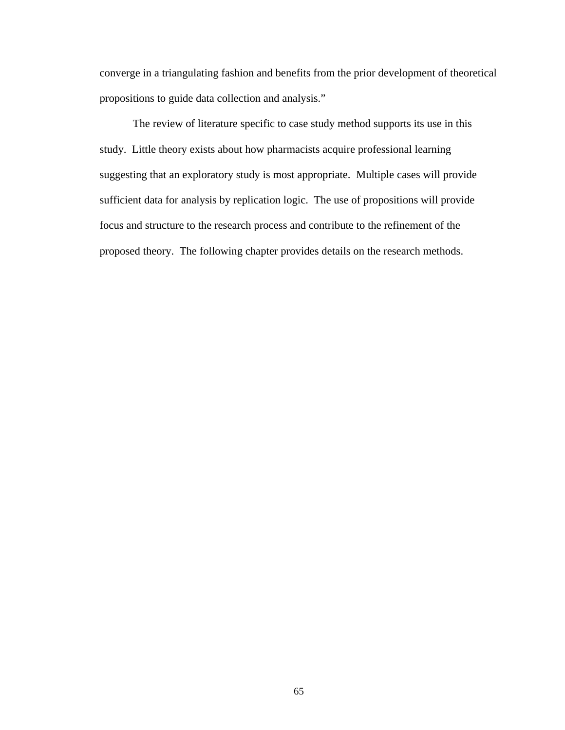converge in a triangulating fashion and benefits from the prior development of theoretical propositions to guide data collection and analysis."

The review of literature specific to case study method supports its use in this study. Little theory exists about how pharmacists acquire professional learning suggesting that an exploratory study is most appropriate. Multiple cases will provide sufficient data for analysis by replication logic. The use of propositions will provide focus and structure to the research process and contribute to the refinement of the proposed theory. The following chapter provides details on the research methods.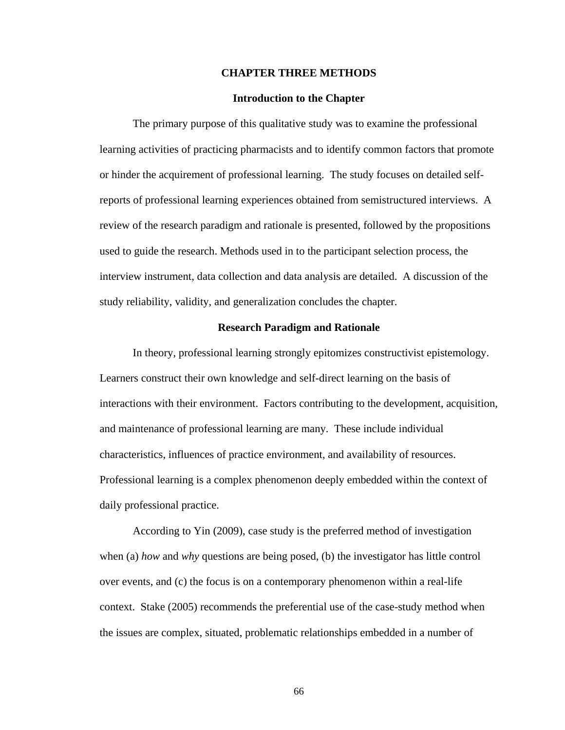### **CHAPTER THREE METHODS**

### **Introduction to the Chapter**

The primary purpose of this qualitative study was to examine the professional learning activities of practicing pharmacists and to identify common factors that promote or hinder the acquirement of professional learning. The study focuses on detailed selfreports of professional learning experiences obtained from semistructured interviews. A review of the research paradigm and rationale is presented, followed by the propositions used to guide the research. Methods used in to the participant selection process, the interview instrument, data collection and data analysis are detailed. A discussion of the study reliability, validity, and generalization concludes the chapter.

## **Research Paradigm and Rationale**

In theory, professional learning strongly epitomizes constructivist epistemology. Learners construct their own knowledge and self-direct learning on the basis of interactions with their environment. Factors contributing to the development, acquisition, and maintenance of professional learning are many. These include individual characteristics, influences of practice environment, and availability of resources. Professional learning is a complex phenomenon deeply embedded within the context of daily professional practice.

<span id="page-81-0"></span>According to Yin (2009), case study is the preferred method of investigation when (a) *how* and *why* questions are being posed, (b) the investigator has little control over events, and (c) the focus is on a contemporary phenomenon within a real-life context. Stake (2005) recommends the preferential use of the case-study method when the issues are complex, situated, problematic relationships embedded in a number of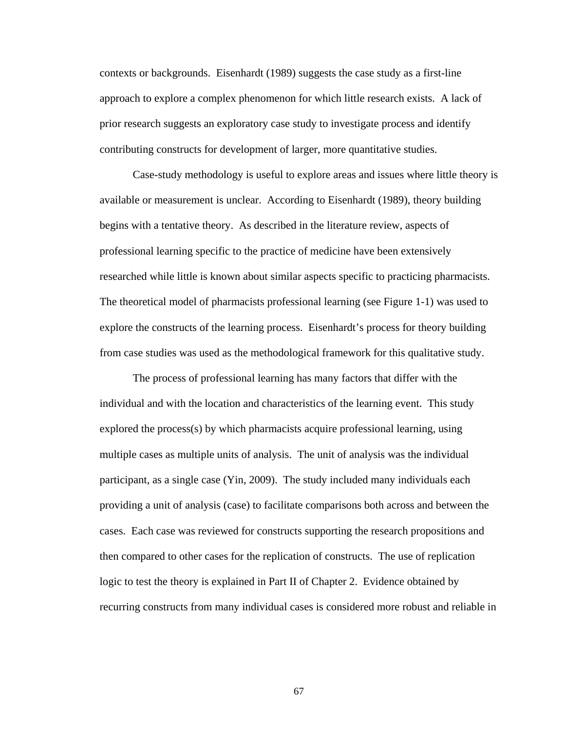contexts or backgrounds. Eisenhardt (1989) suggests the case study as a first-line approach to explore a complex phenomenon for which little research exists. A lack of prior research suggests an exploratory case study to investigate process and identify contributing constructs for development of larger, more quantitative studies.

Case-study methodology is useful to explore areas and issues where little theory is available or measurement is unclear. According to Eisenhardt (1989), theory building begins with a tentative theory. As described in the literature review, aspects of professional learning specific to the practice of medicine have been extensively researched while little is known about similar aspects specific to practicing pharmacists. The theoretical model of pharmacists professional learning (see Figure 1-1) was used to explore the constructs of the learning process. Eisenhardt's process for theory building from case studies was used as the methodological framework for this qualitative study.

The process of professional learning has many factors that differ with the individual and with the location and characteristics of the learning event. This study explored the process(s) by which pharmacists acquire professional learning, using multiple cases as multiple units of analysis. The unit of analysis was the individual participant, as a single case (Yin, 2009). The study included many individuals each providing a unit of analysis (case) to facilitate comparisons both across and between the cases. Each case was reviewed for constructs supporting the research propositions and then compared to other cases for the replication of constructs. The use of replication logic to test the theory is explained in Part II of Chapter 2. Evidence obtained by recurring constructs from many individual cases is considered more robust and reliable in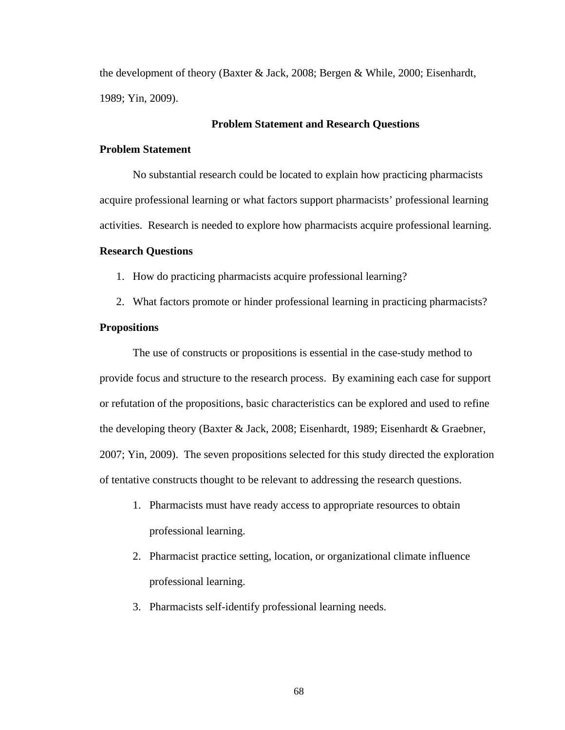the development of theory (Baxter & Jack, 2008; Bergen & While, 2000; Eisenhardt, 1989; Yin, 2009).

# **Problem Statement and Research Questions**

# **Problem Statement**

No substantial research could be located to explain how practicing pharmacists acquire professional learning or what factors support pharmacists' professional learning activities. Research is needed to explore how pharmacists acquire professional learning.

#### **Research Questions**

1. How do practicing pharmacists acquire professional learning?

2. What factors promote or hinder professional learning in practicing pharmacists?

#### **Propositions**

The use of constructs or propositions is essential in the case-study method to provide focus and structure to the research process. By examining each case for support or refutation of the propositions, basic characteristics can be explored and used to refine the developing theory (Baxter & Jack, 2008; Eisenhardt, 1989; Eisenhardt & Graebner, 2007; Yin, 2009). The seven propositions selected for this study directed the exploration of tentative constructs thought to be relevant to addressing the research questions.

- 1. Pharmacists must have ready access to appropriate resources to obtain professional learning.
- 2. Pharmacist practice setting, location, or organizational climate influence professional learning.
- 3. Pharmacists self-identify professional learning needs.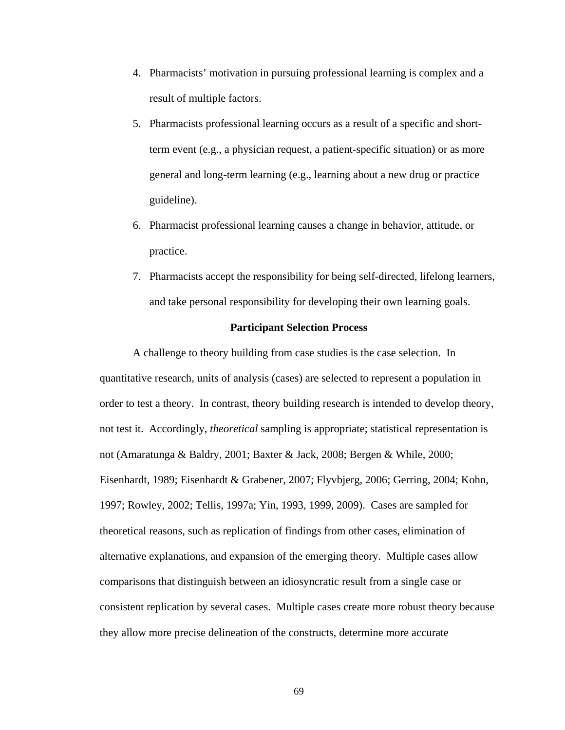- 4. Pharmacists' motivation in pursuing professional learning is complex and a result of multiple factors.
- 5. Pharmacists professional learning occurs as a result of a specific and shortterm event (e.g., a physician request, a patient-specific situation) or as more general and long-term learning (e.g., learning about a new drug or practice guideline).
- 6. Pharmacist professional learning causes a change in behavior, attitude, or practice.
- 7. Pharmacists accept the responsibility for being self-directed, lifelong learners, and take personal responsibility for developing their own learning goals.

## **Participant Selection Process**

A challenge to theory building from case studies is the case selection. In quantitative research, units of analysis (cases) are selected to represent a population in order to test a theory. In contrast, theory building research is intended to develop theory, not test it. Accordingly, *theoretical* sampling is appropriate; statistical representation is not (Amaratunga & Baldry, 2001; Baxter & Jack, 2008; Bergen & While, 2000; Eisenhardt, 1989; Eisenhardt & Grabener, 2007; Flyvbjerg, 2006; Gerring, 2004; Kohn, 1997; Rowley, 2002; Tellis, 1997a; Yin, 1993, 1999, 2009). Cases are sampled for theoretical reasons, such as replication of findings from other cases, elimination of alternative explanations, and expansion of the emerging theory. Multiple cases allow comparisons that distinguish between an idiosyncratic result from a single case or consistent replication by several cases. Multiple cases create more robust theory because they allow more precise delineation of the constructs, determine more accurate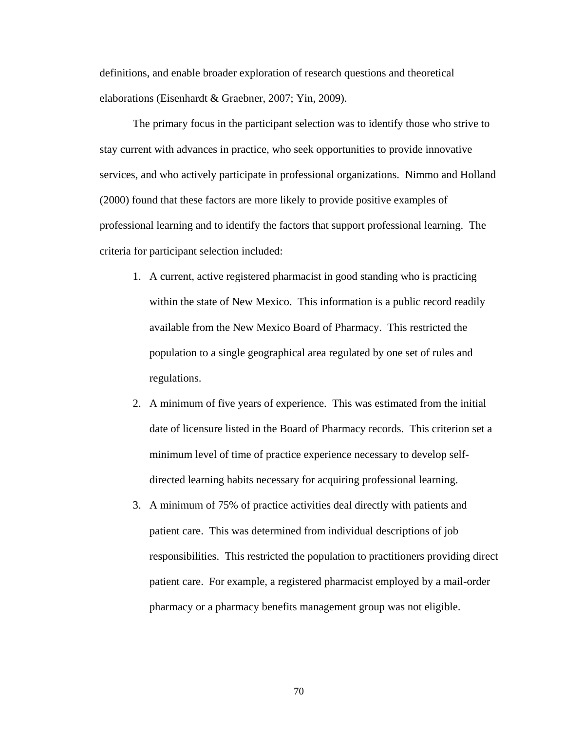definitions, and enable broader exploration of research questions and theoretical elaborations (Eisenhardt & Graebner, 2007; Yin, 2009).

The primary focus in the participant selection was to identify those who strive to stay current with advances in practice, who seek opportunities to provide innovative services, and who actively participate in professional organizations. Nimmo and Holland (2000) found that these factors are more likely to provide positive examples of professional learning and to identify the factors that support professional learning. The criteria for participant selection included:

- 1. A current, active registered pharmacist in good standing who is practicing within the state of New Mexico. This information is a public record readily available from the New Mexico Board of Pharmacy. This restricted the population to a single geographical area regulated by one set of rules and regulations.
- 2. A minimum of five years of experience. This was estimated from the initial date of licensure listed in the Board of Pharmacy records. This criterion set a minimum level of time of practice experience necessary to develop selfdirected learning habits necessary for acquiring professional learning.
- 3. A minimum of 75% of practice activities deal directly with patients and patient care. This was determined from individual descriptions of job responsibilities. This restricted the population to practitioners providing direct patient care. For example, a registered pharmacist employed by a mail-order pharmacy or a pharmacy benefits management group was not eligible.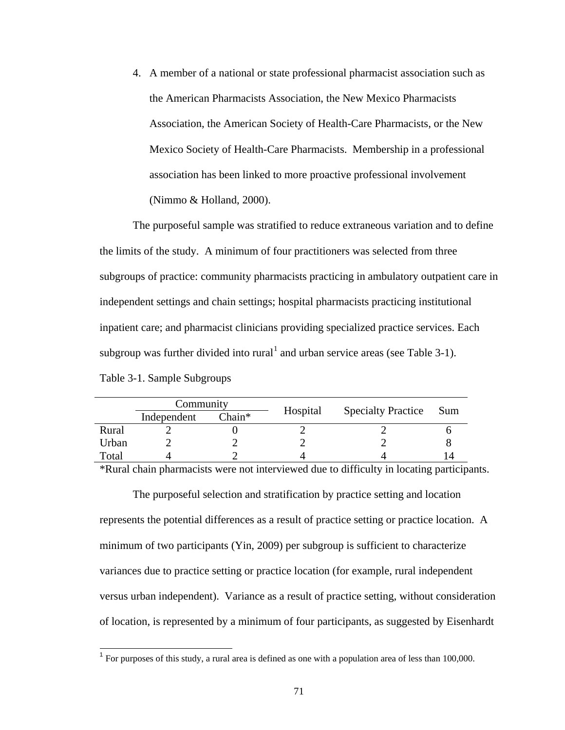4. A member of a national or state professional pharmacist association such as the American Pharmacists Association, the New Mexico Pharmacists Association, the American Society of Health-Care Pharmacists, or the New Mexico Society of Health-Care Pharmacists. Membership in a professional association has been linked to more proactive professional involvement (Nimmo & Holland, 2000).

The purposeful sample was stratified to reduce extraneous variation and to define the limits of the study. A minimum of four practitioners was selected from three subgroups of practice: community pharmacists practicing in ambulatory outpatient care in independent settings and chain settings; hospital pharmacists practicing institutional inpatient care; and pharmacist clinicians providing specialized practice services. Each subgroup was further divided into rural<sup>[1](#page-81-0)</sup> and urban service areas (see Table 3-1). Table 3-1. Sample Subgroups

| Community   |        |          |                           |
|-------------|--------|----------|---------------------------|
| Independent | Chain* |          | <b>Sum</b>                |
|             |        |          |                           |
|             |        |          |                           |
|             |        |          |                           |
|             |        | Hospital | <b>Specialty Practice</b> |

\*Rural chain pharmacists were not interviewed due to difficulty in locating participants.

The purposeful selection and stratification by practice setting and location represents the potential differences as a result of practice setting or practice location. A minimum of two participants (Yin, 2009) per subgroup is sufficient to characterize variances due to practice setting or practice location (for example, rural independent versus urban independent). Variance as a result of practice setting, without consideration of location, is represented by a minimum of four participants, as suggested by Eisenhardt

 $<sup>1</sup>$  For purposes of this study, a rural area is defined as one with a population area of less than 100,000.</sup>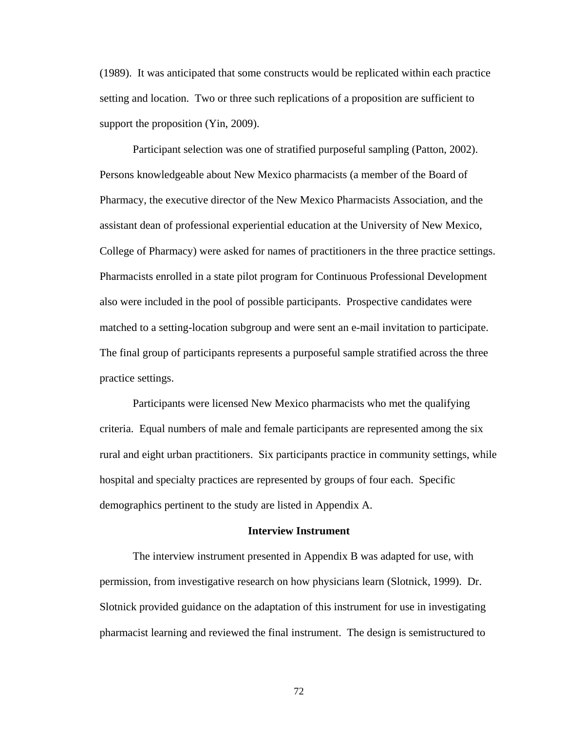(1989). It was anticipated that some constructs would be replicated within each practice setting and location. Two or three such replications of a proposition are sufficient to support the proposition (Yin, 2009).

Participant selection was one of stratified purposeful sampling (Patton, 2002). Persons knowledgeable about New Mexico pharmacists (a member of the Board of Pharmacy, the executive director of the New Mexico Pharmacists Association, and the assistant dean of professional experiential education at the University of New Mexico, College of Pharmacy) were asked for names of practitioners in the three practice settings. Pharmacists enrolled in a state pilot program for Continuous Professional Development also were included in the pool of possible participants. Prospective candidates were matched to a setting-location subgroup and were sent an e-mail invitation to participate. The final group of participants represents a purposeful sample stratified across the three practice settings.

Participants were licensed New Mexico pharmacists who met the qualifying criteria. Equal numbers of male and female participants are represented among the six rural and eight urban practitioners. Six participants practice in community settings, while hospital and specialty practices are represented by groups of four each. Specific demographics pertinent to the study are listed in Appendix A.

#### **Interview Instrument**

The interview instrument presented in Appendix B was adapted for use, with permission, from investigative research on how physicians learn (Slotnick, 1999). Dr. Slotnick provided guidance on the adaptation of this instrument for use in investigating pharmacist learning and reviewed the final instrument. The design is semistructured to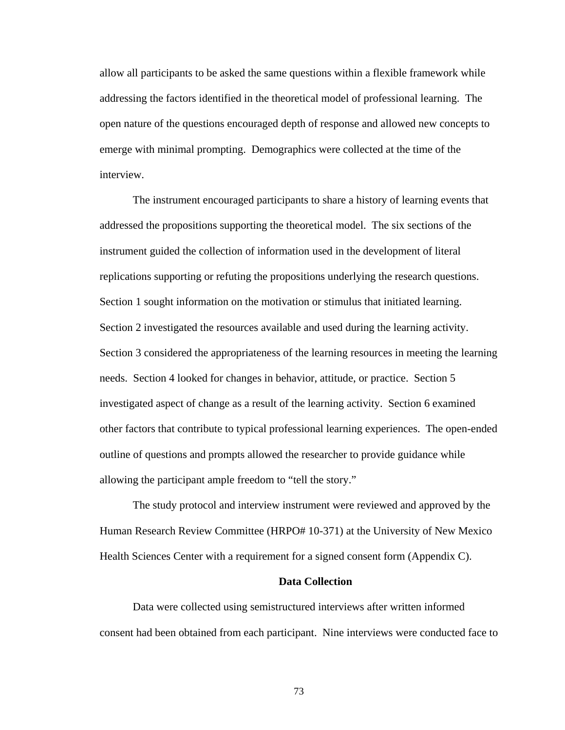allow all participants to be asked the same questions within a flexible framework while addressing the factors identified in the theoretical model of professional learning. The open nature of the questions encouraged depth of response and allowed new concepts to emerge with minimal prompting. Demographics were collected at the time of the interview.

The instrument encouraged participants to share a history of learning events that addressed the propositions supporting the theoretical model. The six sections of the instrument guided the collection of information used in the development of literal replications supporting or refuting the propositions underlying the research questions. Section 1 sought information on the motivation or stimulus that initiated learning. Section 2 investigated the resources available and used during the learning activity. Section 3 considered the appropriateness of the learning resources in meeting the learning needs. Section 4 looked for changes in behavior, attitude, or practice. Section 5 investigated aspect of change as a result of the learning activity. Section 6 examined other factors that contribute to typical professional learning experiences. The open-ended outline of questions and prompts allowed the researcher to provide guidance while allowing the participant ample freedom to "tell the story."

The study protocol and interview instrument were reviewed and approved by the Human Research Review Committee (HRPO# 10-371) at the University of New Mexico Health Sciences Center with a requirement for a signed consent form (Appendix C).

# **Data Collection**

Data were collected using semistructured interviews after written informed consent had been obtained from each participant. Nine interviews were conducted face to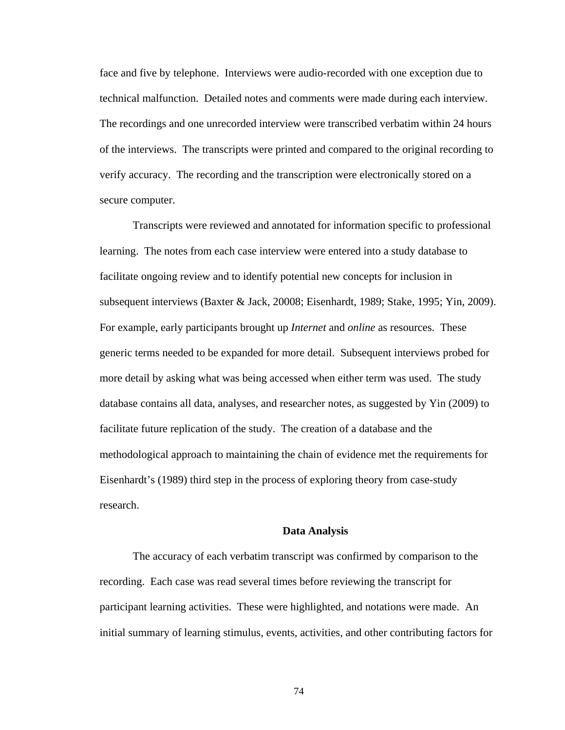face and five by telephone. Interviews were audio-recorded with one exception due to technical malfunction. Detailed notes and comments were made during each interview. The recordings and one unrecorded interview were transcribed verbatim within 24 hours of the interviews. The transcripts were printed and compared to the original recording to verify accuracy. The recording and the transcription were electronically stored on a secure computer.

Transcripts were reviewed and annotated for information specific to professional learning. The notes from each case interview were entered into a study database to facilitate ongoing review and to identify potential new concepts for inclusion in subsequent interviews (Baxter & Jack, 20008; Eisenhardt, 1989; Stake, 1995; Yin, 2009). For example, early participants brought up *Internet* and *online* as resources. These generic terms needed to be expanded for more detail. Subsequent interviews probed for more detail by asking what was being accessed when either term was used. The study database contains all data, analyses, and researcher notes, as suggested by Yin (2009) to facilitate future replication of the study. The creation of a database and the methodological approach to maintaining the chain of evidence met the requirements for Eisenhardt's (1989) third step in the process of exploring theory from case-study research.

#### **Data Analysis**

The accuracy of each verbatim transcript was confirmed by comparison to the recording. Each case was read several times before reviewing the transcript for participant learning activities. These were highlighted, and notations were made. An initial summary of learning stimulus, events, activities, and other contributing factors for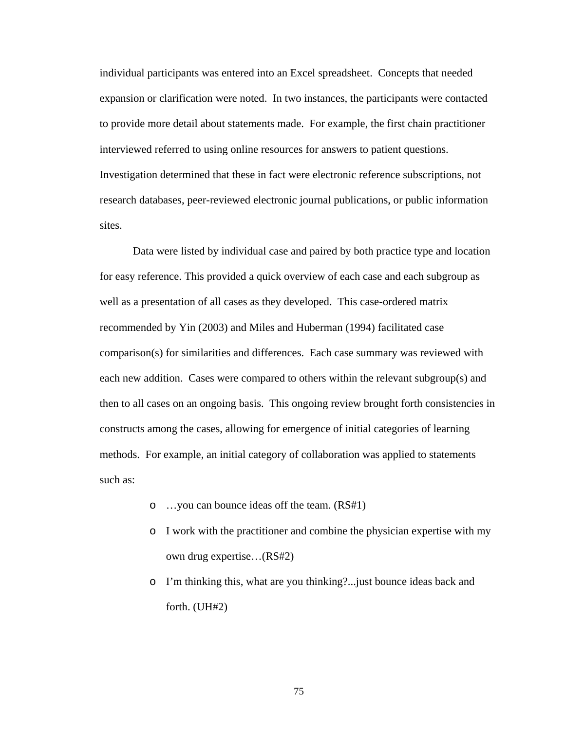individual participants was entered into an Excel spreadsheet. Concepts that needed expansion or clarification were noted. In two instances, the participants were contacted to provide more detail about statements made. For example, the first chain practitioner interviewed referred to using online resources for answers to patient questions. Investigation determined that these in fact were electronic reference subscriptions, not research databases, peer-reviewed electronic journal publications, or public information sites.

Data were listed by individual case and paired by both practice type and location for easy reference. This provided a quick overview of each case and each subgroup as well as a presentation of all cases as they developed. This case-ordered matrix recommended by Yin (2003) and Miles and Huberman (1994) facilitated case comparison(s) for similarities and differences. Each case summary was reviewed with each new addition. Cases were compared to others within the relevant subgroup(s) and then to all cases on an ongoing basis. This ongoing review brought forth consistencies in constructs among the cases, allowing for emergence of initial categories of learning methods. For example, an initial category of collaboration was applied to statements such as:

- o …you can bounce ideas off the team. (RS#1)
- o I work with the practitioner and combine the physician expertise with my own drug expertise…(RS#2)
- o I'm thinking this, what are you thinking?...just bounce ideas back and forth. (UH#2)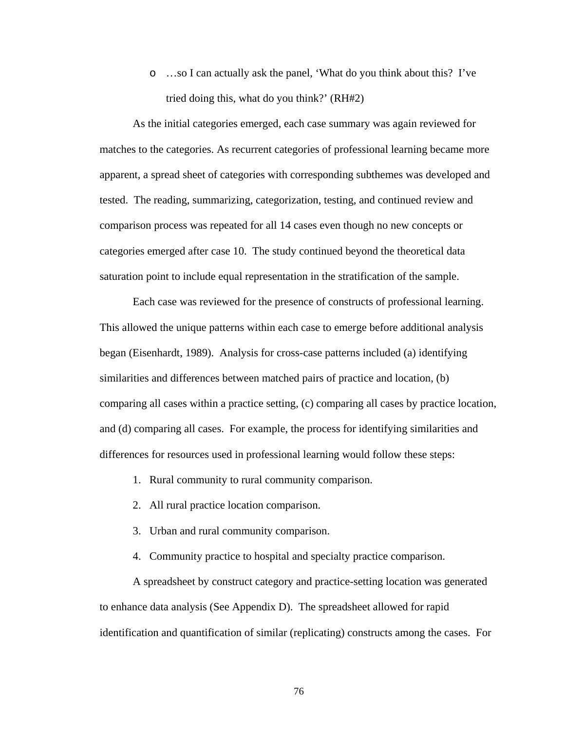o …so I can actually ask the panel, 'What do you think about this? I've tried doing this, what do you think?' (RH#2)

As the initial categories emerged, each case summary was again reviewed for matches to the categories. As recurrent categories of professional learning became more apparent, a spread sheet of categories with corresponding subthemes was developed and tested. The reading, summarizing, categorization, testing, and continued review and comparison process was repeated for all 14 cases even though no new concepts or categories emerged after case 10. The study continued beyond the theoretical data saturation point to include equal representation in the stratification of the sample.

Each case was reviewed for the presence of constructs of professional learning. This allowed the unique patterns within each case to emerge before additional analysis began (Eisenhardt, 1989). Analysis for cross-case patterns included (a) identifying similarities and differences between matched pairs of practice and location, (b) comparing all cases within a practice setting, (c) comparing all cases by practice location, and (d) comparing all cases. For example, the process for identifying similarities and differences for resources used in professional learning would follow these steps:

- 1. Rural community to rural community comparison.
- 2. All rural practice location comparison.
- 3. Urban and rural community comparison.
- 4. Community practice to hospital and specialty practice comparison.

A spreadsheet by construct category and practice-setting location was generated to enhance data analysis (See Appendix D). The spreadsheet allowed for rapid identification and quantification of similar (replicating) constructs among the cases. For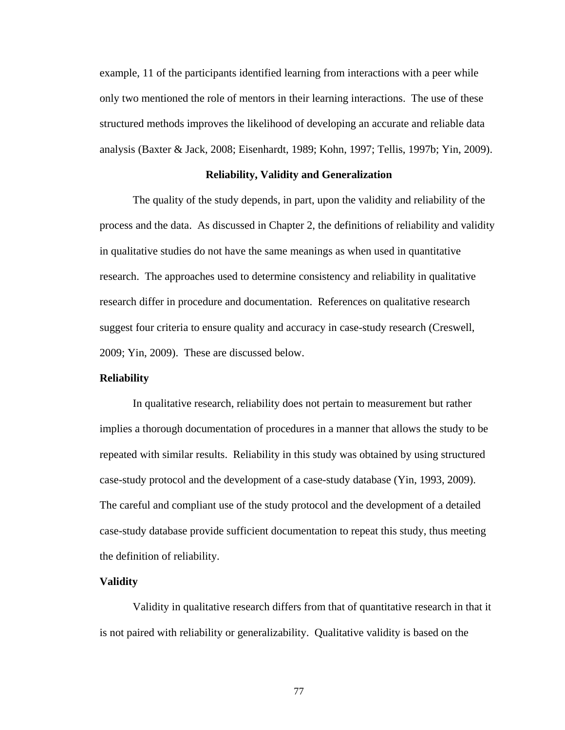example, 11 of the participants identified learning from interactions with a peer while only two mentioned the role of mentors in their learning interactions. The use of these structured methods improves the likelihood of developing an accurate and reliable data analysis (Baxter & Jack, 2008; Eisenhardt, 1989; Kohn, 1997; Tellis, 1997b; Yin, 2009).

#### **Reliability, Validity and Generalization**

The quality of the study depends, in part, upon the validity and reliability of the process and the data. As discussed in Chapter 2, the definitions of reliability and validity in qualitative studies do not have the same meanings as when used in quantitative research. The approaches used to determine consistency and reliability in qualitative research differ in procedure and documentation. References on qualitative research suggest four criteria to ensure quality and accuracy in case-study research (Creswell, 2009; Yin, 2009). These are discussed below.

# **Reliability**

In qualitative research, reliability does not pertain to measurement but rather implies a thorough documentation of procedures in a manner that allows the study to be repeated with similar results. Reliability in this study was obtained by using structured case-study protocol and the development of a case-study database (Yin, 1993, 2009). The careful and compliant use of the study protocol and the development of a detailed case-study database provide sufficient documentation to repeat this study, thus meeting the definition of reliability.

#### **Validity**

Validity in qualitative research differs from that of quantitative research in that it is not paired with reliability or generalizability. Qualitative validity is based on the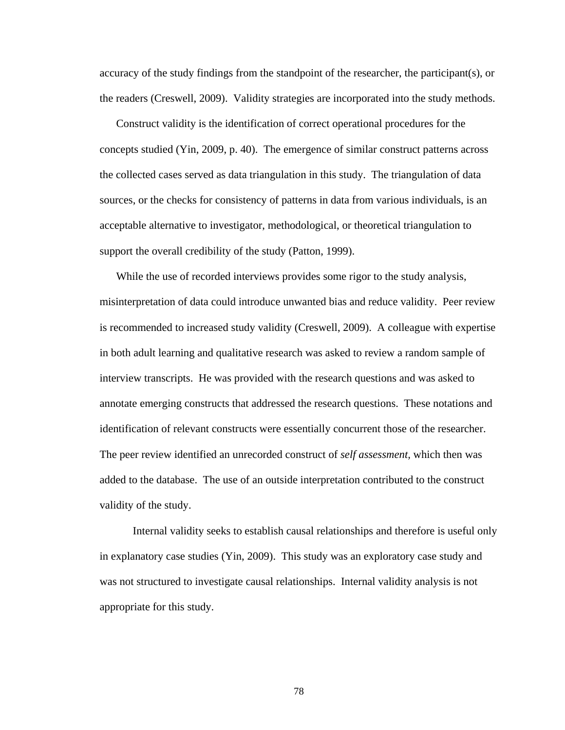accuracy of the study findings from the standpoint of the researcher, the participant(s), or the readers (Creswell, 2009). Validity strategies are incorporated into the study methods.

Construct validity is the identification of correct operational procedures for the concepts studied (Yin, 2009, p. 40). The emergence of similar construct patterns across the collected cases served as data triangulation in this study. The triangulation of data sources, or the checks for consistency of patterns in data from various individuals, is an acceptable alternative to investigator, methodological, or theoretical triangulation to support the overall credibility of the study (Patton, 1999).

While the use of recorded interviews provides some rigor to the study analysis, misinterpretation of data could introduce unwanted bias and reduce validity. Peer review is recommended to increased study validity (Creswell, 2009). A colleague with expertise in both adult learning and qualitative research was asked to review a random sample of interview transcripts. He was provided with the research questions and was asked to annotate emerging constructs that addressed the research questions. These notations and identification of relevant constructs were essentially concurrent those of the researcher. The peer review identified an unrecorded construct of *self assessment,* which then was added to the database. The use of an outside interpretation contributed to the construct validity of the study.

Internal validity seeks to establish causal relationships and therefore is useful only in explanatory case studies (Yin, 2009). This study was an exploratory case study and was not structured to investigate causal relationships. Internal validity analysis is not appropriate for this study.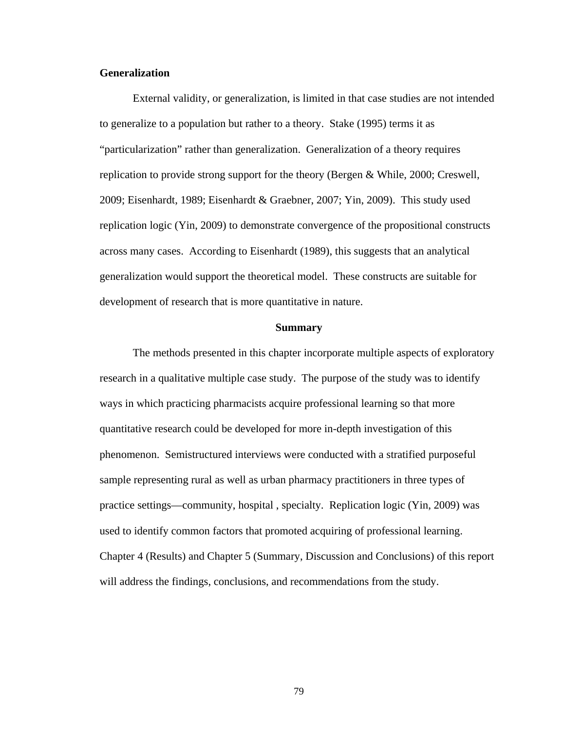# **Generalization**

External validity, or generalization, is limited in that case studies are not intended to generalize to a population but rather to a theory. Stake (1995) terms it as "particularization" rather than generalization. Generalization of a theory requires replication to provide strong support for the theory (Bergen & While, 2000; Creswell, 2009; Eisenhardt, 1989; Eisenhardt & Graebner, 2007; Yin, 2009). This study used replication logic (Yin, 2009) to demonstrate convergence of the propositional constructs across many cases. According to Eisenhardt (1989), this suggests that an analytical generalization would support the theoretical model. These constructs are suitable for development of research that is more quantitative in nature.

#### **Summary**

The methods presented in this chapter incorporate multiple aspects of exploratory research in a qualitative multiple case study. The purpose of the study was to identify ways in which practicing pharmacists acquire professional learning so that more quantitative research could be developed for more in-depth investigation of this phenomenon. Semistructured interviews were conducted with a stratified purposeful sample representing rural as well as urban pharmacy practitioners in three types of practice settings—community, hospital , specialty. Replication logic (Yin, 2009) was used to identify common factors that promoted acquiring of professional learning. Chapter 4 (Results) and Chapter 5 (Summary, Discussion and Conclusions) of this report will address the findings, conclusions, and recommendations from the study.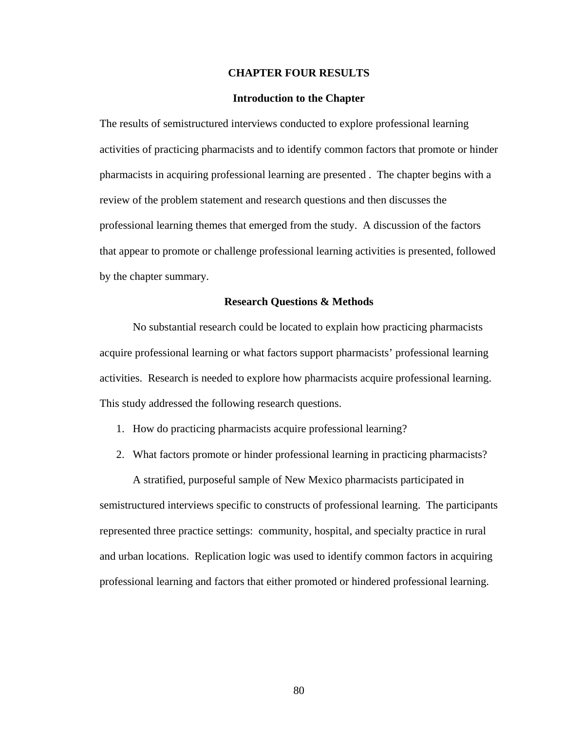### **CHAPTER FOUR RESULTS**

## **Introduction to the Chapter**

The results of semistructured interviews conducted to explore professional learning activities of practicing pharmacists and to identify common factors that promote or hinder pharmacists in acquiring professional learning are presented . The chapter begins with a review of the problem statement and research questions and then discusses the professional learning themes that emerged from the study. A discussion of the factors that appear to promote or challenge professional learning activities is presented, followed by the chapter summary.

## **Research Questions & Methods**

No substantial research could be located to explain how practicing pharmacists acquire professional learning or what factors support pharmacists' professional learning activities. Research is needed to explore how pharmacists acquire professional learning. This study addressed the following research questions.

- 1. How do practicing pharmacists acquire professional learning?
- 2. What factors promote or hinder professional learning in practicing pharmacists?

A stratified, purposeful sample of New Mexico pharmacists participated in semistructured interviews specific to constructs of professional learning. The participants represented three practice settings: community, hospital, and specialty practice in rural and urban locations. Replication logic was used to identify common factors in acquiring professional learning and factors that either promoted or hindered professional learning.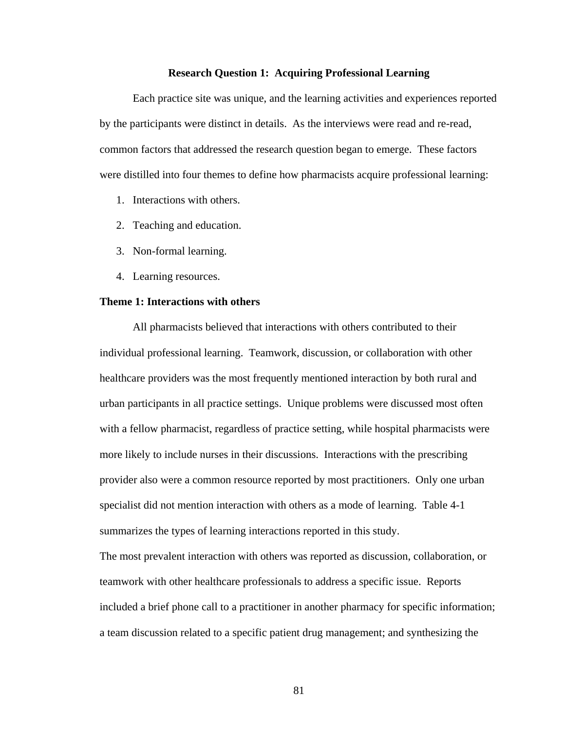#### **Research Question 1: Acquiring Professional Learning**

Each practice site was unique, and the learning activities and experiences reported by the participants were distinct in details. As the interviews were read and re-read, common factors that addressed the research question began to emerge. These factors were distilled into four themes to define how pharmacists acquire professional learning:

- 1. Interactions with others.
- 2. Teaching and education.
- 3. Non-formal learning.
- 4. Learning resources.

# **Theme 1: Interactions with others**

All pharmacists believed that interactions with others contributed to their individual professional learning. Teamwork, discussion, or collaboration with other healthcare providers was the most frequently mentioned interaction by both rural and urban participants in all practice settings. Unique problems were discussed most often with a fellow pharmacist, regardless of practice setting, while hospital pharmacists were more likely to include nurses in their discussions. Interactions with the prescribing provider also were a common resource reported by most practitioners. Only one urban specialist did not mention interaction with others as a mode of learning. Table 4-1 summarizes the types of learning interactions reported in this study.

The most prevalent interaction with others was reported as discussion, collaboration, or teamwork with other healthcare professionals to address a specific issue. Reports included a brief phone call to a practitioner in another pharmacy for specific information; a team discussion related to a specific patient drug management; and synthesizing the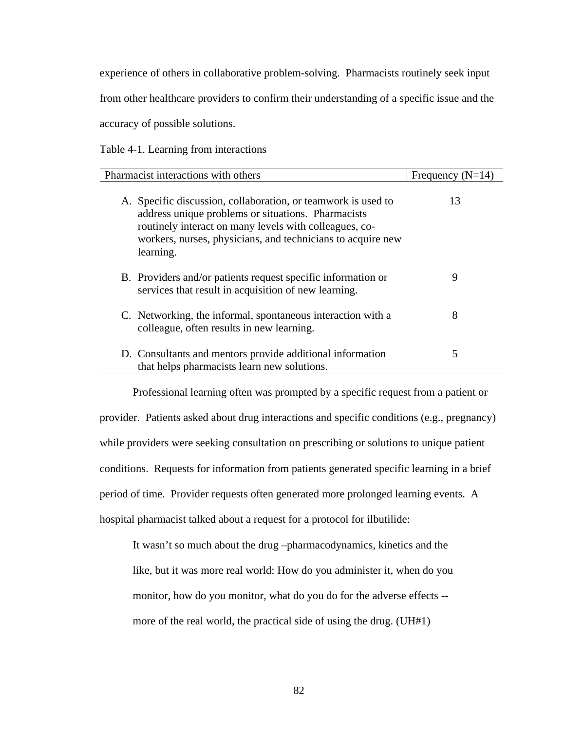experience of others in collaborative problem-solving. Pharmacists routinely seek input

from other healthcare providers to confirm their understanding of a specific issue and the

accuracy of possible solutions.

Table 4-1. Learning from interactions

| Pharmacist interactions with others                                                                                                                                                                                                                       | Frequency $(N=14)$ |
|-----------------------------------------------------------------------------------------------------------------------------------------------------------------------------------------------------------------------------------------------------------|--------------------|
| A. Specific discussion, collaboration, or teamwork is used to<br>address unique problems or situations. Pharmacists<br>routinely interact on many levels with colleagues, co-<br>workers, nurses, physicians, and technicians to acquire new<br>learning. | 13                 |
| B. Providers and/or patients request specific information or<br>services that result in acquisition of new learning.                                                                                                                                      | 9                  |
| C. Networking, the informal, spontaneous interaction with a<br>colleague, often results in new learning.                                                                                                                                                  | 8                  |
| D. Consultants and mentors provide additional information<br>that helps pharmacists learn new solutions.                                                                                                                                                  | 5                  |

Professional learning often was prompted by a specific request from a patient or provider. Patients asked about drug interactions and specific conditions (e.g., pregnancy) while providers were seeking consultation on prescribing or solutions to unique patient conditions. Requests for information from patients generated specific learning in a brief period of time. Provider requests often generated more prolonged learning events. A hospital pharmacist talked about a request for a protocol for ilbutilide:

It wasn't so much about the drug –pharmacodynamics, kinetics and the like, but it was more real world: How do you administer it, when do you monitor, how do you monitor, what do you do for the adverse effects - more of the real world, the practical side of using the drug. (UH#1)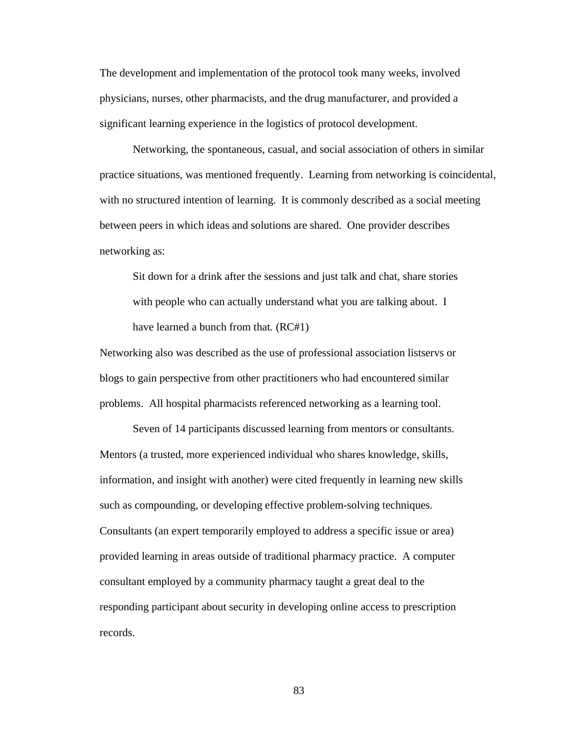The development and implementation of the protocol took many weeks, involved physicians, nurses, other pharmacists, and the drug manufacturer, and provided a significant learning experience in the logistics of protocol development.

Networking, the spontaneous, casual, and social association of others in similar practice situations, was mentioned frequently. Learning from networking is coincidental, with no structured intention of learning. It is commonly described as a social meeting between peers in which ideas and solutions are shared. One provider describes networking as:

Sit down for a drink after the sessions and just talk and chat, share stories with people who can actually understand what you are talking about. I have learned a bunch from that*.* (RC#1)

Networking also was described as the use of professional association listservs or blogs to gain perspective from other practitioners who had encountered similar problems. All hospital pharmacists referenced networking as a learning tool.

Seven of 14 participants discussed learning from mentors or consultants. Mentors (a trusted, more experienced individual who shares knowledge, skills, information, and insight with another) were cited frequently in learning new skills such as compounding, or developing effective problem-solving techniques. Consultants (an expert temporarily employed to address a specific issue or area) provided learning in areas outside of traditional pharmacy practice. A computer consultant employed by a community pharmacy taught a great deal to the responding participant about security in developing online access to prescription records.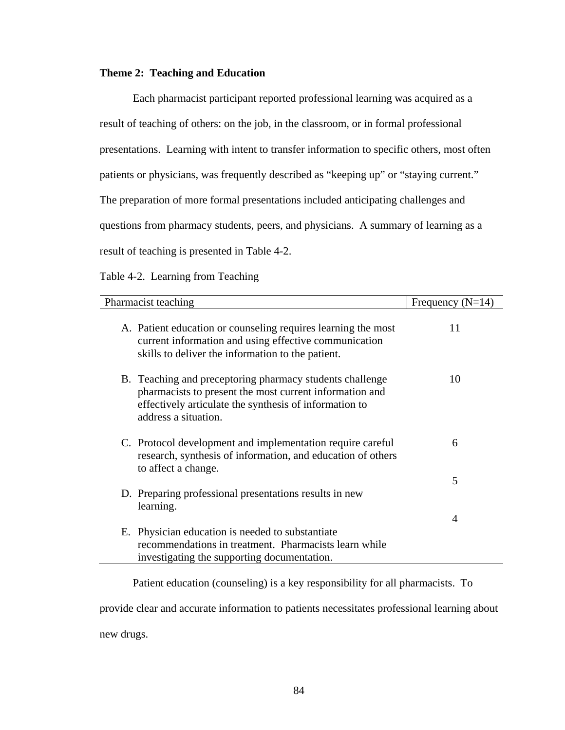# **Theme 2: Teaching and Education**

Each pharmacist participant reported professional learning was acquired as a result of teaching of others: on the job, in the classroom, or in formal professional presentations. Learning with intent to transfer information to specific others, most often patients or physicians, was frequently described as "keeping up" or "staying current." The preparation of more formal presentations included anticipating challenges and questions from pharmacy students, peers, and physicians. A summary of learning as a result of teaching is presented in Table 4-2.

Table 4-2. Learning from Teaching

| Pharmacist teaching                                                                                                                                                                                   | Frequency $(N=14)$ |
|-------------------------------------------------------------------------------------------------------------------------------------------------------------------------------------------------------|--------------------|
| A. Patient education or counseling requires learning the most<br>current information and using effective communication<br>skills to deliver the information to the patient.                           | 11                 |
| B. Teaching and preceptoring pharmacy students challenge<br>pharmacists to present the most current information and<br>effectively articulate the synthesis of information to<br>address a situation. | 10                 |
| C. Protocol development and implementation require careful<br>research, synthesis of information, and education of others<br>to affect a change.                                                      | 6                  |
| D. Preparing professional presentations results in new<br>learning.                                                                                                                                   | 5                  |
| E. Physician education is needed to substantiate<br>recommendations in treatment. Pharmacists learn while<br>investigating the supporting documentation.                                              | 4                  |

Patient education (counseling) is a key responsibility for all pharmacists. To

provide clear and accurate information to patients necessitates professional learning about new drugs.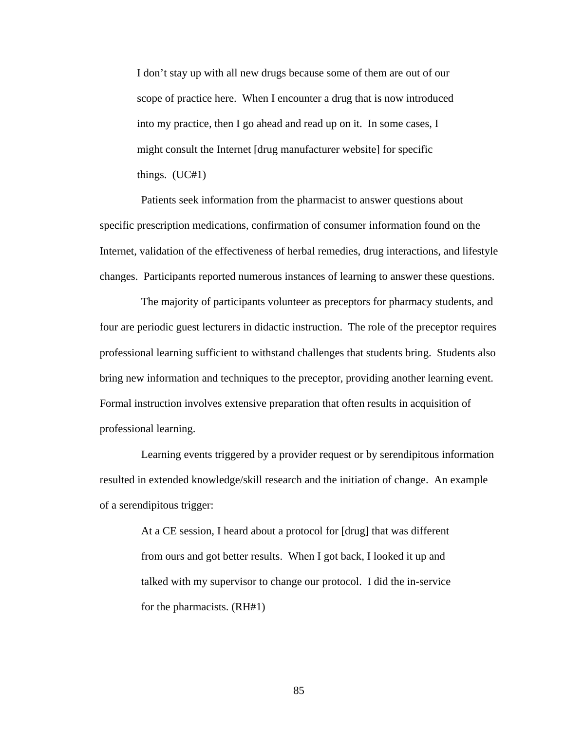I don't stay up with all new drugs because some of them are out of our scope of practice here. When I encounter a drug that is now introduced into my practice, then I go ahead and read up on it. In some cases, I might consult the Internet [drug manufacturer website] for specific things. (UC#1)

Patients seek information from the pharmacist to answer questions about specific prescription medications, confirmation of consumer information found on the Internet, validation of the effectiveness of herbal remedies, drug interactions, and lifestyle changes. Participants reported numerous instances of learning to answer these questions.

The majority of participants volunteer as preceptors for pharmacy students, and four are periodic guest lecturers in didactic instruction. The role of the preceptor requires professional learning sufficient to withstand challenges that students bring. Students also bring new information and techniques to the preceptor, providing another learning event. Formal instruction involves extensive preparation that often results in acquisition of professional learning.

Learning events triggered by a provider request or by serendipitous information resulted in extended knowledge/skill research and the initiation of change. An example of a serendipitous trigger:

> At a CE session, I heard about a protocol for [drug] that was different from ours and got better results. When I got back, I looked it up and talked with my supervisor to change our protocol. I did the in-service for the pharmacists. (RH#1)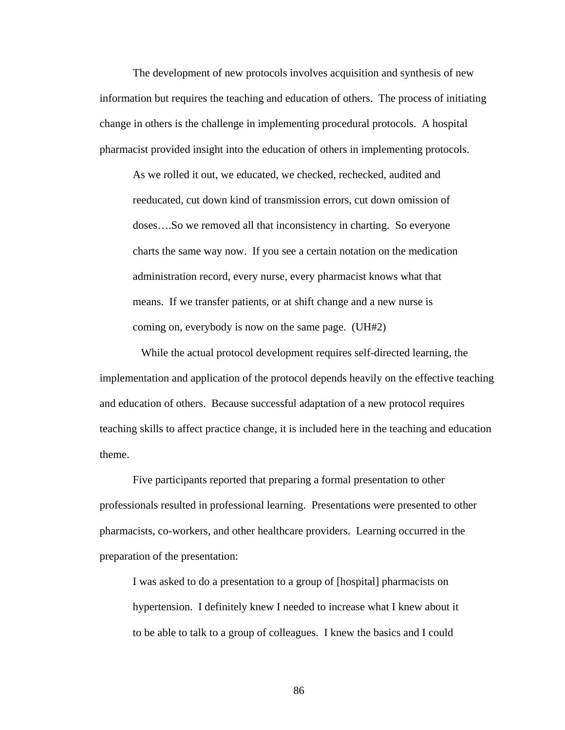The development of new protocols involves acquisition and synthesis of new information but requires the teaching and education of others. The process of initiating change in others is the challenge in implementing procedural protocols. A hospital pharmacist provided insight into the education of others in implementing protocols.

As we rolled it out, we educated, we checked, rechecked, audited and reeducated, cut down kind of transmission errors, cut down omission of doses….So we removed all that inconsistency in charting. So everyone charts the same way now. If you see a certain notation on the medication administration record, every nurse, every pharmacist knows what that means. If we transfer patients, or at shift change and a new nurse is coming on, everybody is now on the same page. (UH#2)

While the actual protocol development requires self-directed learning, the implementation and application of the protocol depends heavily on the effective teaching and education of others. Because successful adaptation of a new protocol requires teaching skills to affect practice change, it is included here in the teaching and education theme.

Five participants reported that preparing a formal presentation to other professionals resulted in professional learning. Presentations were presented to other pharmacists, co-workers, and other healthcare providers. Learning occurred in the preparation of the presentation:

I was asked to do a presentation to a group of [hospital] pharmacists on hypertension. I definitely knew I needed to increase what I knew about it to be able to talk to a group of colleagues. I knew the basics and I could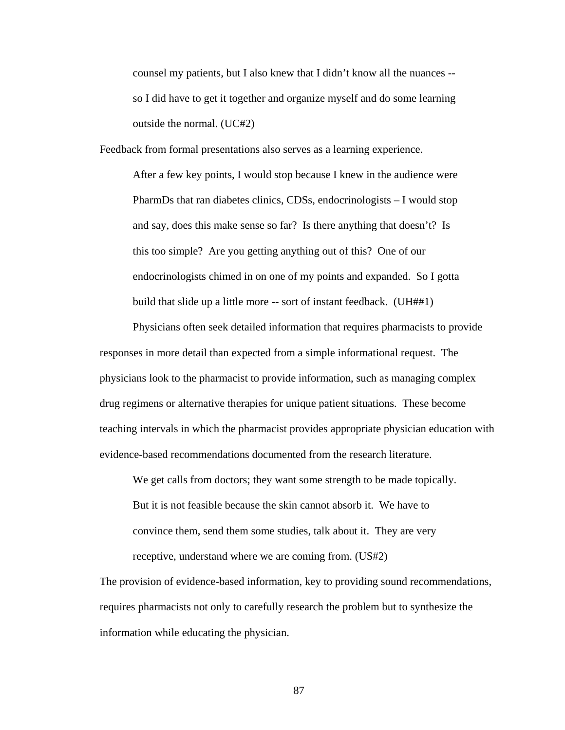counsel my patients, but I also knew that I didn't know all the nuances - so I did have to get it together and organize myself and do some learning outside the normal. (UC#2)

Feedback from formal presentations also serves as a learning experience.

After a few key points, I would stop because I knew in the audience were PharmDs that ran diabetes clinics, CDSs, endocrinologists – I would stop and say, does this make sense so far? Is there anything that doesn't? Is this too simple? Are you getting anything out of this? One of our endocrinologists chimed in on one of my points and expanded. So I gotta build that slide up a little more -- sort of instant feedback. (UH##1)

Physicians often seek detailed information that requires pharmacists to provide responses in more detail than expected from a simple informational request. The physicians look to the pharmacist to provide information, such as managing complex drug regimens or alternative therapies for unique patient situations. These become teaching intervals in which the pharmacist provides appropriate physician education with evidence-based recommendations documented from the research literature.

We get calls from doctors; they want some strength to be made topically. But it is not feasible because the skin cannot absorb it. We have to convince them, send them some studies, talk about it. They are very receptive, understand where we are coming from. (US#2)

The provision of evidence-based information, key to providing sound recommendations, requires pharmacists not only to carefully research the problem but to synthesize the information while educating the physician.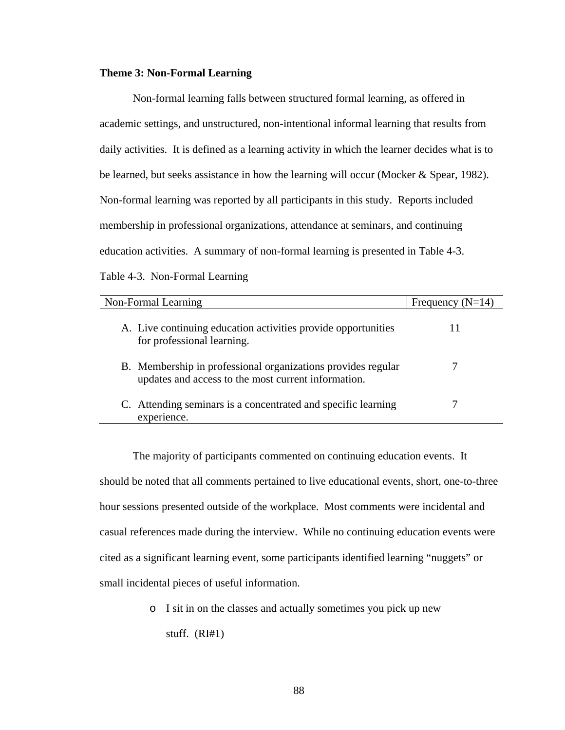# **Theme 3: Non-Formal Learning**

Non-formal learning falls between structured formal learning, as offered in academic settings, and unstructured, non-intentional informal learning that results from daily activities. It is defined as a learning activity in which the learner decides what is to be learned, but seeks assistance in how the learning will occur (Mocker & Spear, 1982). Non-formal learning was reported by all participants in this study. Reports included membership in professional organizations, attendance at seminars, and continuing education activities. A summary of non-formal learning is presented in Table 4-3. Table 4-3. Non-Formal Learning

| Non-Formal Learning                                                                                                 | Frequency $(N=14)$ |
|---------------------------------------------------------------------------------------------------------------------|--------------------|
| A. Live continuing education activities provide opportunities<br>for professional learning.                         |                    |
| B. Membership in professional organizations provides regular<br>updates and access to the most current information. |                    |
| C. Attending seminars is a concentrated and specific learning<br>experience.                                        |                    |

The majority of participants commented on continuing education events. It should be noted that all comments pertained to live educational events, short, one-to-three hour sessions presented outside of the workplace. Most comments were incidental and casual references made during the interview. While no continuing education events were cited as a significant learning event, some participants identified learning "nuggets" or small incidental pieces of useful information.

> o I sit in on the classes and actually sometimes you pick up new stuff. (RI#1)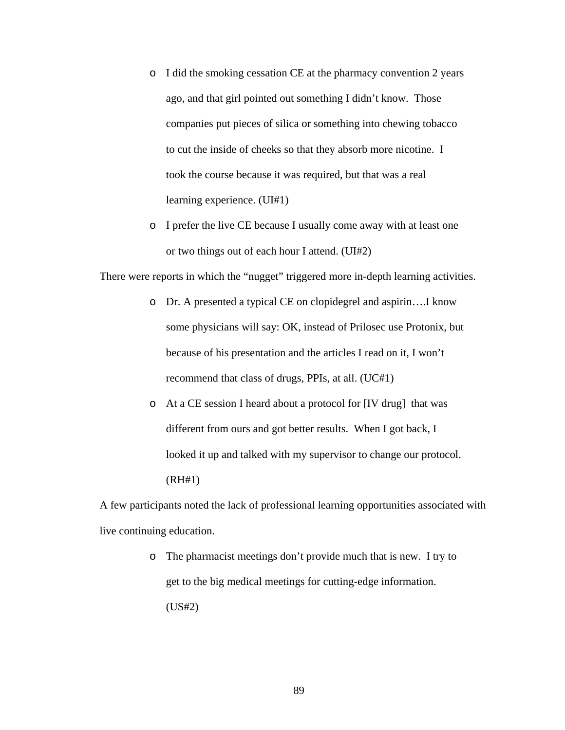- o I did the smoking cessation CE at the pharmacy convention 2 years ago, and that girl pointed out something I didn't know. Those companies put pieces of silica or something into chewing tobacco to cut the inside of cheeks so that they absorb more nicotine. I took the course because it was required, but that was a real learning experience. (UI#1)
- o I prefer the live CE because I usually come away with at least one or two things out of each hour I attend. (UI#2)

There were reports in which the "nugget" triggered more in-depth learning activities.

- o Dr. A presented a typical CE on clopidegrel and aspirin….I know some physicians will say: OK, instead of Prilosec use Protonix, but because of his presentation and the articles I read on it, I won't recommend that class of drugs, PPIs, at all. (UC#1)
- o At a CE session I heard about a protocol for [IV drug] that was different from ours and got better results. When I got back, I looked it up and talked with my supervisor to change our protocol. (RH#1)

A few participants noted the lack of professional learning opportunities associated with live continuing education.

> o The pharmacist meetings don't provide much that is new. I try to get to the big medical meetings for cutting-edge information. (US#2)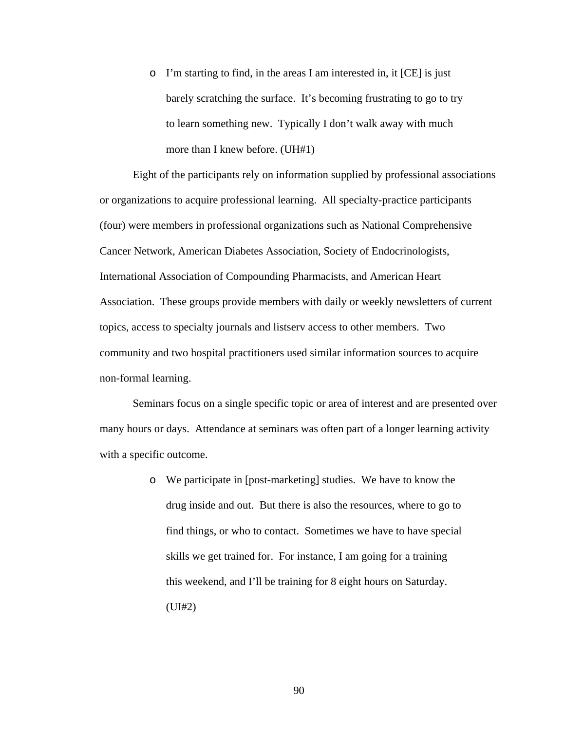o I'm starting to find, in the areas I am interested in, it [CE] is just barely scratching the surface. It's becoming frustrating to go to try to learn something new. Typically I don't walk away with much more than I knew before. (UH#1)

Eight of the participants rely on information supplied by professional associations or organizations to acquire professional learning. All specialty-practice participants (four) were members in professional organizations such as National Comprehensive Cancer Network, American Diabetes Association, Society of Endocrinologists, International Association of Compounding Pharmacists, and American Heart Association. These groups provide members with daily or weekly newsletters of current topics, access to specialty journals and listserv access to other members. Two community and two hospital practitioners used similar information sources to acquire non-formal learning.

Seminars focus on a single specific topic or area of interest and are presented over many hours or days. Attendance at seminars was often part of a longer learning activity with a specific outcome.

> o We participate in [post-marketing] studies. We have to know the drug inside and out. But there is also the resources, where to go to find things, or who to contact. Sometimes we have to have special skills we get trained for. For instance, I am going for a training this weekend, and I'll be training for 8 eight hours on Saturday. (UI#2)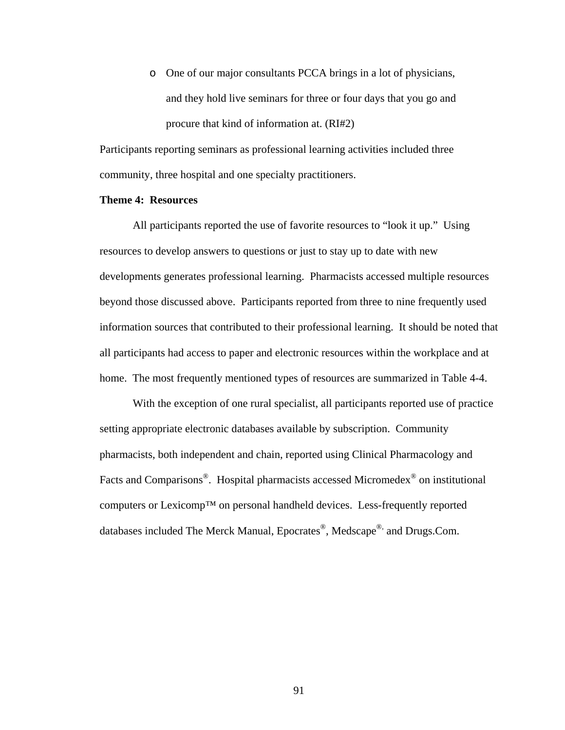o One of our major consultants PCCA brings in a lot of physicians, and they hold live seminars for three or four days that you go and procure that kind of information at. (RI#2)

Participants reporting seminars as professional learning activities included three community, three hospital and one specialty practitioners.

## **Theme 4: Resources**

All participants reported the use of favorite resources to "look it up." Using resources to develop answers to questions or just to stay up to date with new developments generates professional learning. Pharmacists accessed multiple resources beyond those discussed above. Participants reported from three to nine frequently used information sources that contributed to their professional learning. It should be noted that all participants had access to paper and electronic resources within the workplace and at home. The most frequently mentioned types of resources are summarized in Table 4-4.

With the exception of one rural specialist, all participants reported use of practice setting appropriate electronic databases available by subscription. Community pharmacists, both independent and chain, reported using Clinical Pharmacology and Facts and Comparisons<sup>®</sup>. Hospital pharmacists accessed Micromedex<sup>®</sup> on institutional computers or Lexicomp™ on personal handheld devices. Less-frequently reported databases included The Merck Manual, Epocrates®, Medscape® and Drugs.Com.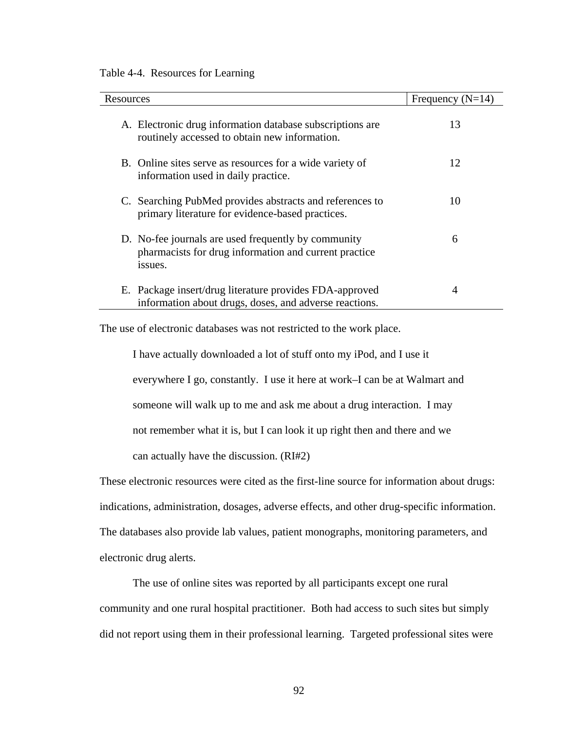#### Table 4-4. Resources for Learning

| Resources                                                                                                               | Frequency $(N=14)$ |
|-------------------------------------------------------------------------------------------------------------------------|--------------------|
| A. Electronic drug information database subscriptions are<br>routinely accessed to obtain new information.              | 13                 |
| B. Online sites serve as resources for a wide variety of<br>information used in daily practice.                         | 12                 |
| C. Searching PubMed provides abstracts and references to<br>primary literature for evidence-based practices.            | 10                 |
| D. No-fee journals are used frequently by community<br>pharmacists for drug information and current practice<br>issues. | 6                  |
| E. Package insert/drug literature provides FDA-approved<br>information about drugs, doses, and adverse reactions.       | 4                  |

The use of electronic databases was not restricted to the work place.

I have actually downloaded a lot of stuff onto my iPod, and I use it everywhere I go, constantly. I use it here at work–I can be at Walmart and someone will walk up to me and ask me about a drug interaction. I may not remember what it is, but I can look it up right then and there and we can actually have the discussion. (RI#2)

These electronic resources were cited as the first-line source for information about drugs: indications, administration, dosages, adverse effects, and other drug-specific information. The databases also provide lab values, patient monographs, monitoring parameters, and electronic drug alerts.

The use of online sites was reported by all participants except one rural community and one rural hospital practitioner. Both had access to such sites but simply did not report using them in their professional learning. Targeted professional sites were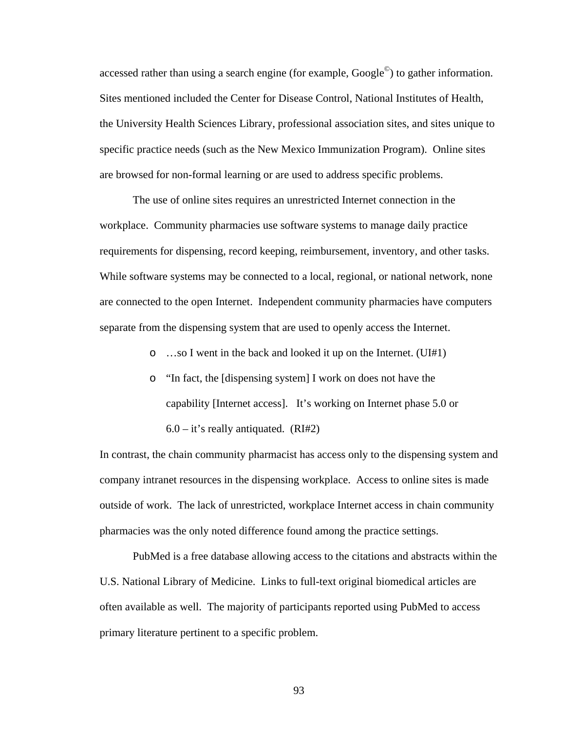accessed rather than using a search engine (for example,  $Google^{\circ}$ ) to gather information. Sites mentioned included the Center for Disease Control, National Institutes of Health, the University Health Sciences Library, professional association sites, and sites unique to specific practice needs (such as the New Mexico Immunization Program). Online sites are browsed for non-formal learning or are used to address specific problems.

The use of online sites requires an unrestricted Internet connection in the workplace. Community pharmacies use software systems to manage daily practice requirements for dispensing, record keeping, reimbursement, inventory, and other tasks. While software systems may be connected to a local, regional, or national network, none are connected to the open Internet. Independent community pharmacies have computers separate from the dispensing system that are used to openly access the Internet.

- o …so I went in the back and looked it up on the Internet. (UI#1)
- o "In fact, the [dispensing system] I work on does not have the capability [Internet access]. It's working on Internet phase 5.0 or  $6.0 - it's really antiquated. (RI#2)$

In contrast, the chain community pharmacist has access only to the dispensing system and company intranet resources in the dispensing workplace. Access to online sites is made outside of work. The lack of unrestricted, workplace Internet access in chain community pharmacies was the only noted difference found among the practice settings.

PubMed is a free database allowing access to the citations and abstracts within the U.S. National Library of Medicine. Links to full-text original biomedical articles are often available as well. The majority of participants reported using PubMed to access primary literature pertinent to a specific problem.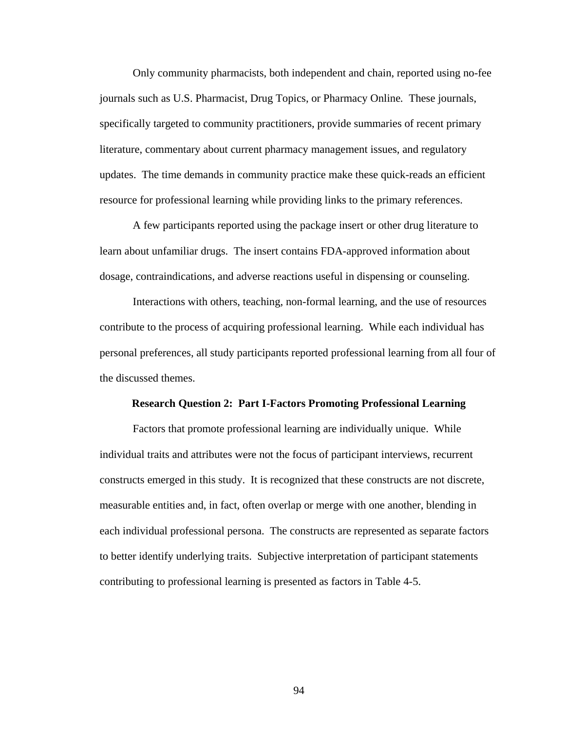Only community pharmacists, both independent and chain, reported using no-fee journals such as U.S. Pharmacist, Drug Topics, or Pharmacy Online*.* These journals, specifically targeted to community practitioners, provide summaries of recent primary literature, commentary about current pharmacy management issues, and regulatory updates. The time demands in community practice make these quick-reads an efficient resource for professional learning while providing links to the primary references.

A few participants reported using the package insert or other drug literature to learn about unfamiliar drugs. The insert contains FDA-approved information about dosage, contraindications, and adverse reactions useful in dispensing or counseling.

Interactions with others, teaching, non-formal learning, and the use of resources contribute to the process of acquiring professional learning. While each individual has personal preferences, all study participants reported professional learning from all four of the discussed themes.

#### **Research Question 2: Part I-Factors Promoting Professional Learning**

Factors that promote professional learning are individually unique. While individual traits and attributes were not the focus of participant interviews, recurrent constructs emerged in this study. It is recognized that these constructs are not discrete, measurable entities and, in fact, often overlap or merge with one another, blending in each individual professional persona. The constructs are represented as separate factors to better identify underlying traits. Subjective interpretation of participant statements contributing to professional learning is presented as factors in Table 4-5.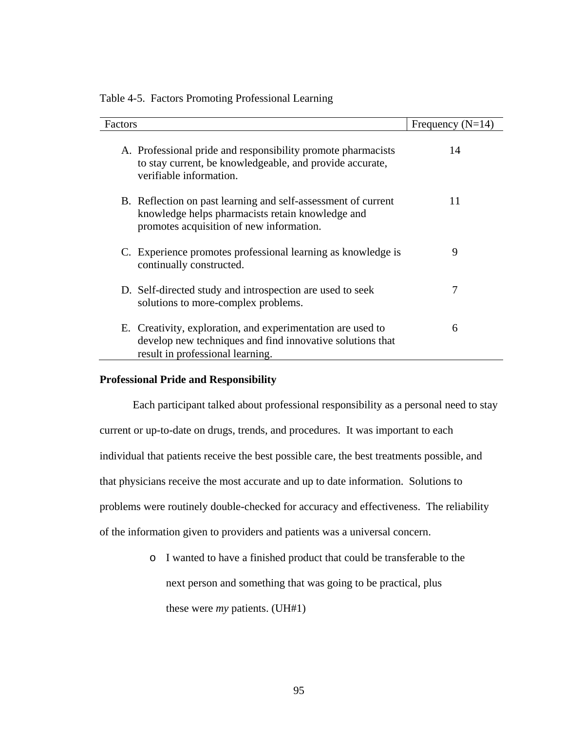| Factors |                                                                                                                                                               | Frequency $(N=14)$ |
|---------|---------------------------------------------------------------------------------------------------------------------------------------------------------------|--------------------|
|         | A. Professional pride and responsibility promote pharmacists<br>to stay current, be knowledgeable, and provide accurate,<br>verifiable information.           | 14                 |
|         | B. Reflection on past learning and self-assessment of current<br>knowledge helps pharmacists retain knowledge and<br>promotes acquisition of new information. | 11                 |
|         | C. Experience promotes professional learning as knowledge is<br>continually constructed.                                                                      | 9                  |
|         | D. Self-directed study and introspection are used to seek<br>solutions to more-complex problems.                                                              | 7                  |
|         | E. Creativity, exploration, and experimentation are used to<br>develop new techniques and find innovative solutions that<br>result in professional learning.  | 6                  |

Table 4-5. Factors Promoting Professional Learning

# **Professional Pride and Responsibility**

Each participant talked about professional responsibility as a personal need to stay current or up-to-date on drugs, trends, and procedures. It was important to each individual that patients receive the best possible care, the best treatments possible, and that physicians receive the most accurate and up to date information. Solutions to problems were routinely double-checked for accuracy and effectiveness. The reliability of the information given to providers and patients was a universal concern.

> o I wanted to have a finished product that could be transferable to the next person and something that was going to be practical, plus these were *my* patients. (UH#1)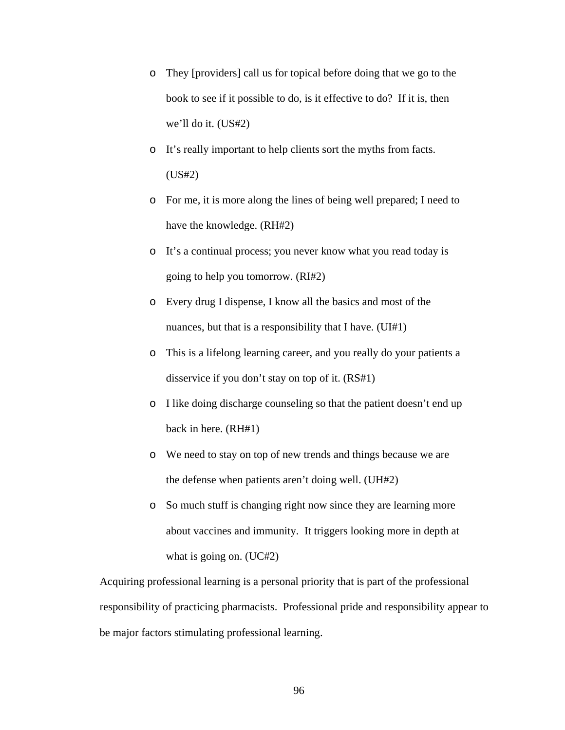- o They [providers] call us for topical before doing that we go to the book to see if it possible to do, is it effective to do? If it is, then we'll do it. (US#2)
- o It's really important to help clients sort the myths from facts. (US#2)
- o For me, it is more along the lines of being well prepared; I need to have the knowledge. (RH#2)
- o It's a continual process; you never know what you read today is going to help you tomorrow. (RI#2)
- o Every drug I dispense, I know all the basics and most of the nuances, but that is a responsibility that I have. (UI#1)
- o This is a lifelong learning career, and you really do your patients a disservice if you don't stay on top of it. (RS#1)
- o I like doing discharge counseling so that the patient doesn't end up back in here. (RH#1)
- o We need to stay on top of new trends and things because we are the defense when patients aren't doing well. (UH#2)
- o So much stuff is changing right now since they are learning more about vaccines and immunity. It triggers looking more in depth at what is going on. (UC#2)

Acquiring professional learning is a personal priority that is part of the professional responsibility of practicing pharmacists. Professional pride and responsibility appear to be major factors stimulating professional learning.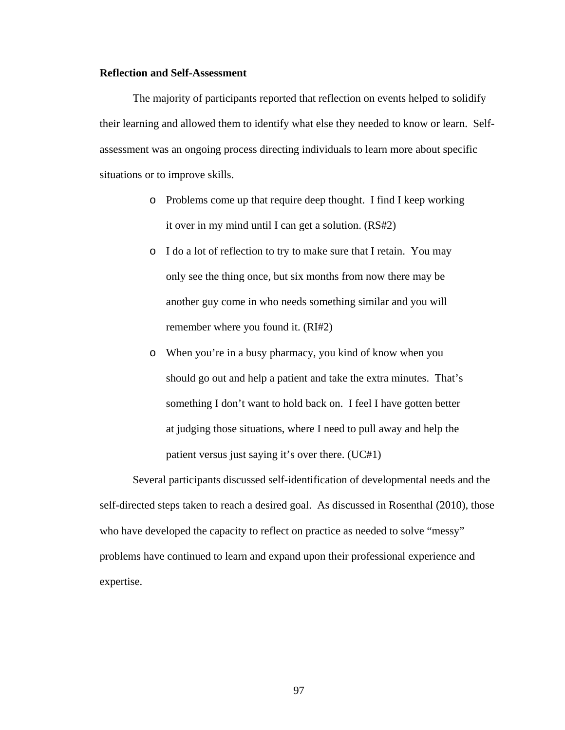## **Reflection and Self-Assessment**

The majority of participants reported that reflection on events helped to solidify their learning and allowed them to identify what else they needed to know or learn. Selfassessment was an ongoing process directing individuals to learn more about specific situations or to improve skills.

- o Problems come up that require deep thought. I find I keep working it over in my mind until I can get a solution. (RS#2)
- o I do a lot of reflection to try to make sure that I retain. You may only see the thing once, but six months from now there may be another guy come in who needs something similar and you will remember where you found it. (RI#2)
- o When you're in a busy pharmacy, you kind of know when you should go out and help a patient and take the extra minutes. That's something I don't want to hold back on. I feel I have gotten better at judging those situations, where I need to pull away and help the patient versus just saying it's over there. (UC#1)

Several participants discussed self-identification of developmental needs and the self-directed steps taken to reach a desired goal. As discussed in Rosenthal (2010), those who have developed the capacity to reflect on practice as needed to solve "messy" problems have continued to learn and expand upon their professional experience and expertise.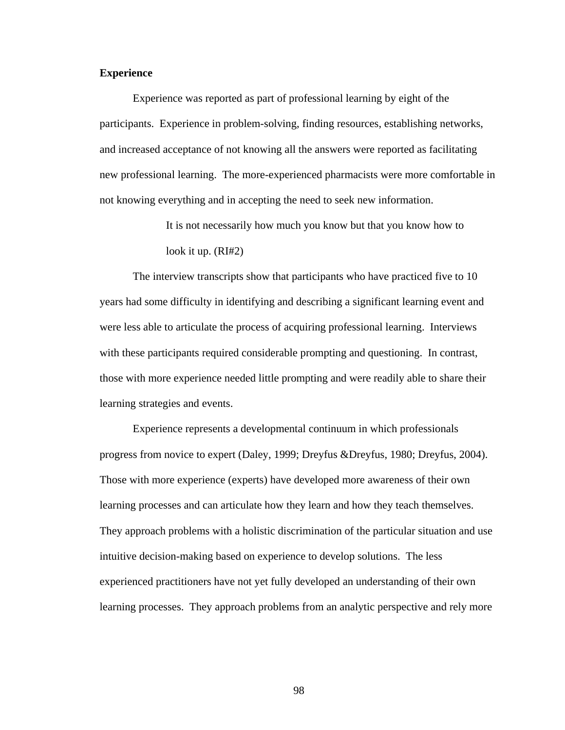# **Experience**

Experience was reported as part of professional learning by eight of the participants. Experience in problem-solving, finding resources, establishing networks, and increased acceptance of not knowing all the answers were reported as facilitating new professional learning. The more-experienced pharmacists were more comfortable in not knowing everything and in accepting the need to seek new information.

> It is not necessarily how much you know but that you know how to look it up. (RI#2)

The interview transcripts show that participants who have practiced five to 10 years had some difficulty in identifying and describing a significant learning event and were less able to articulate the process of acquiring professional learning. Interviews with these participants required considerable prompting and questioning. In contrast, those with more experience needed little prompting and were readily able to share their learning strategies and events.

Experience represents a developmental continuum in which professionals progress from novice to expert (Daley, 1999; Dreyfus &Dreyfus, 1980; Dreyfus, 2004). Those with more experience (experts) have developed more awareness of their own learning processes and can articulate how they learn and how they teach themselves. They approach problems with a holistic discrimination of the particular situation and use intuitive decision-making based on experience to develop solutions. The less experienced practitioners have not yet fully developed an understanding of their own learning processes. They approach problems from an analytic perspective and rely more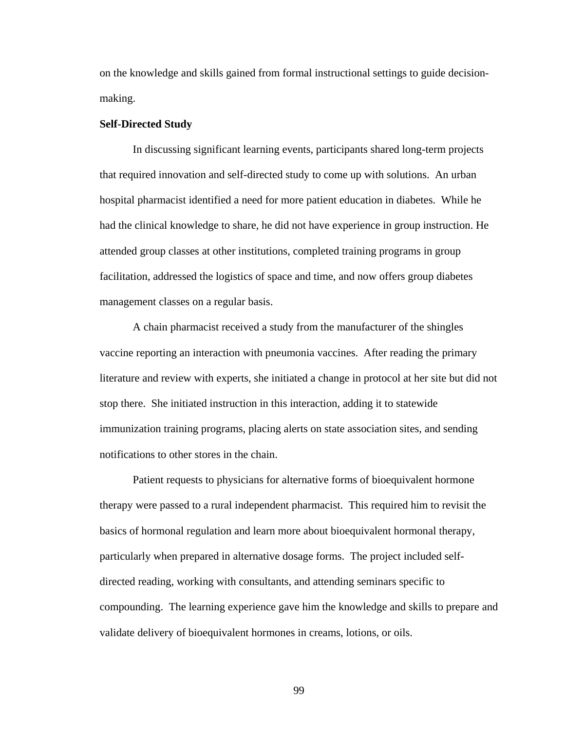on the knowledge and skills gained from formal instructional settings to guide decisionmaking.

## **Self-Directed Study**

In discussing significant learning events, participants shared long-term projects that required innovation and self-directed study to come up with solutions. An urban hospital pharmacist identified a need for more patient education in diabetes. While he had the clinical knowledge to share, he did not have experience in group instruction. He attended group classes at other institutions, completed training programs in group facilitation, addressed the logistics of space and time, and now offers group diabetes management classes on a regular basis.

A chain pharmacist received a study from the manufacturer of the shingles vaccine reporting an interaction with pneumonia vaccines. After reading the primary literature and review with experts, she initiated a change in protocol at her site but did not stop there. She initiated instruction in this interaction, adding it to statewide immunization training programs, placing alerts on state association sites, and sending notifications to other stores in the chain.

Patient requests to physicians for alternative forms of bioequivalent hormone therapy were passed to a rural independent pharmacist. This required him to revisit the basics of hormonal regulation and learn more about bioequivalent hormonal therapy, particularly when prepared in alternative dosage forms. The project included selfdirected reading, working with consultants, and attending seminars specific to compounding. The learning experience gave him the knowledge and skills to prepare and validate delivery of bioequivalent hormones in creams, lotions, or oils.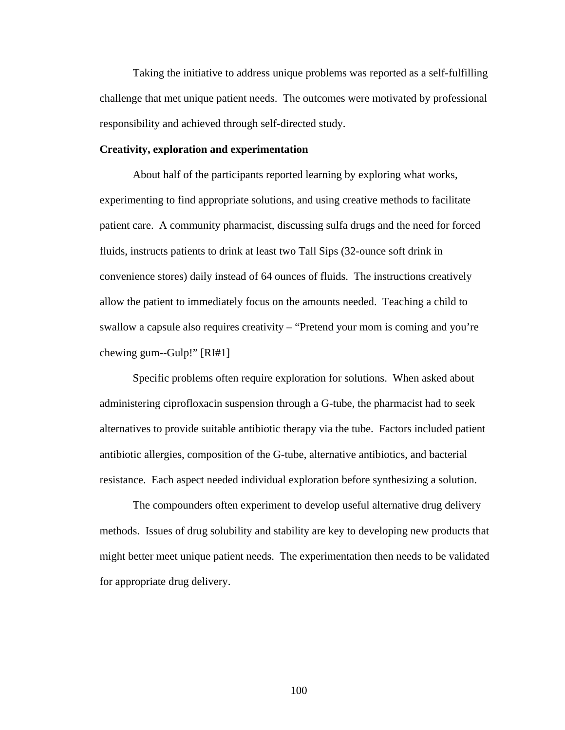Taking the initiative to address unique problems was reported as a self-fulfilling challenge that met unique patient needs. The outcomes were motivated by professional responsibility and achieved through self-directed study.

## **Creativity, exploration and experimentation**

About half of the participants reported learning by exploring what works, experimenting to find appropriate solutions, and using creative methods to facilitate patient care. A community pharmacist, discussing sulfa drugs and the need for forced fluids, instructs patients to drink at least two Tall Sips (32-ounce soft drink in convenience stores) daily instead of 64 ounces of fluids. The instructions creatively allow the patient to immediately focus on the amounts needed. Teaching a child to swallow a capsule also requires creativity – "Pretend your mom is coming and you're chewing gum--Gulp!" [RI#1]

Specific problems often require exploration for solutions. When asked about administering ciprofloxacin suspension through a G-tube, the pharmacist had to seek alternatives to provide suitable antibiotic therapy via the tube. Factors included patient antibiotic allergies, composition of the G-tube, alternative antibiotics, and bacterial resistance. Each aspect needed individual exploration before synthesizing a solution.

The compounders often experiment to develop useful alternative drug delivery methods. Issues of drug solubility and stability are key to developing new products that might better meet unique patient needs. The experimentation then needs to be validated for appropriate drug delivery.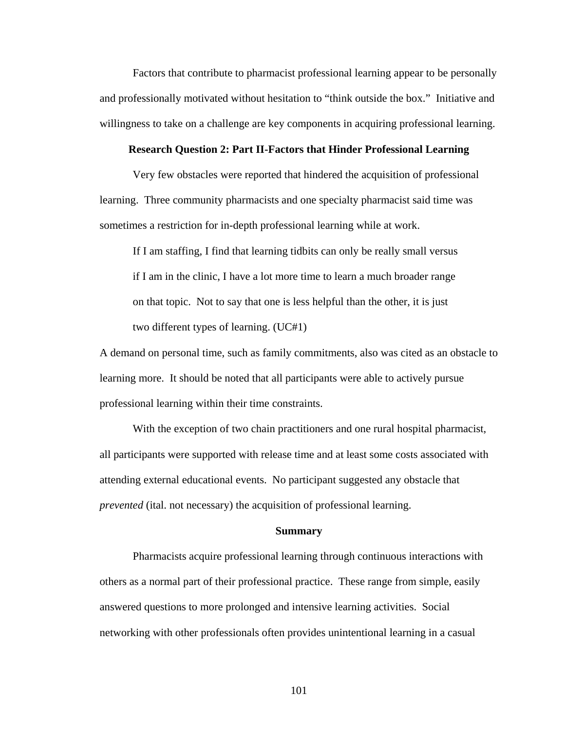Factors that contribute to pharmacist professional learning appear to be personally and professionally motivated without hesitation to "think outside the box." Initiative and willingness to take on a challenge are key components in acquiring professional learning.

#### **Research Question 2: Part II-Factors that Hinder Professional Learning**

Very few obstacles were reported that hindered the acquisition of professional learning. Three community pharmacists and one specialty pharmacist said time was sometimes a restriction for in-depth professional learning while at work.

If I am staffing, I find that learning tidbits can only be really small versus if I am in the clinic, I have a lot more time to learn a much broader range on that topic. Not to say that one is less helpful than the other, it is just two different types of learning. (UC#1)

A demand on personal time, such as family commitments, also was cited as an obstacle to learning more. It should be noted that all participants were able to actively pursue professional learning within their time constraints.

With the exception of two chain practitioners and one rural hospital pharmacist, all participants were supported with release time and at least some costs associated with attending external educational events. No participant suggested any obstacle that *prevented* (ital. not necessary) the acquisition of professional learning.

### **Summary**

Pharmacists acquire professional learning through continuous interactions with others as a normal part of their professional practice. These range from simple, easily answered questions to more prolonged and intensive learning activities. Social networking with other professionals often provides unintentional learning in a casual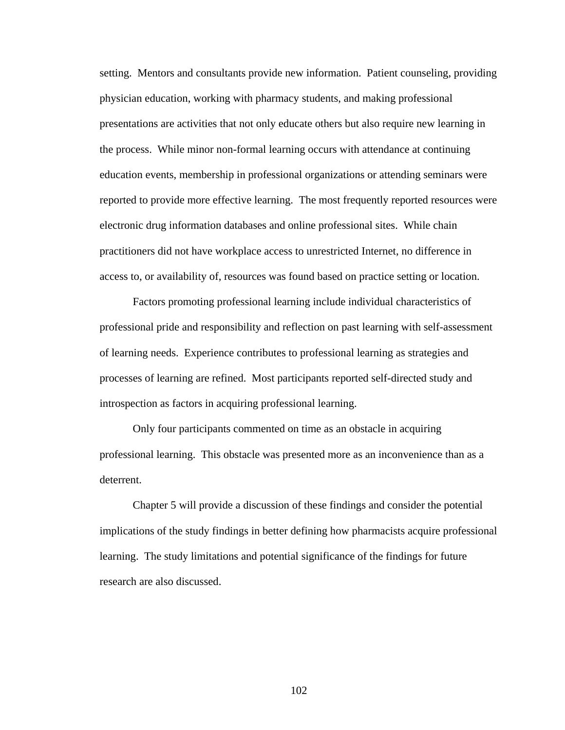setting. Mentors and consultants provide new information. Patient counseling, providing physician education, working with pharmacy students, and making professional presentations are activities that not only educate others but also require new learning in the process. While minor non-formal learning occurs with attendance at continuing education events, membership in professional organizations or attending seminars were reported to provide more effective learning. The most frequently reported resources were electronic drug information databases and online professional sites. While chain practitioners did not have workplace access to unrestricted Internet, no difference in access to, or availability of, resources was found based on practice setting or location.

Factors promoting professional learning include individual characteristics of professional pride and responsibility and reflection on past learning with self-assessment of learning needs. Experience contributes to professional learning as strategies and processes of learning are refined. Most participants reported self-directed study and introspection as factors in acquiring professional learning.

Only four participants commented on time as an obstacle in acquiring professional learning. This obstacle was presented more as an inconvenience than as a deterrent.

Chapter 5 will provide a discussion of these findings and consider the potential implications of the study findings in better defining how pharmacists acquire professional learning. The study limitations and potential significance of the findings for future research are also discussed.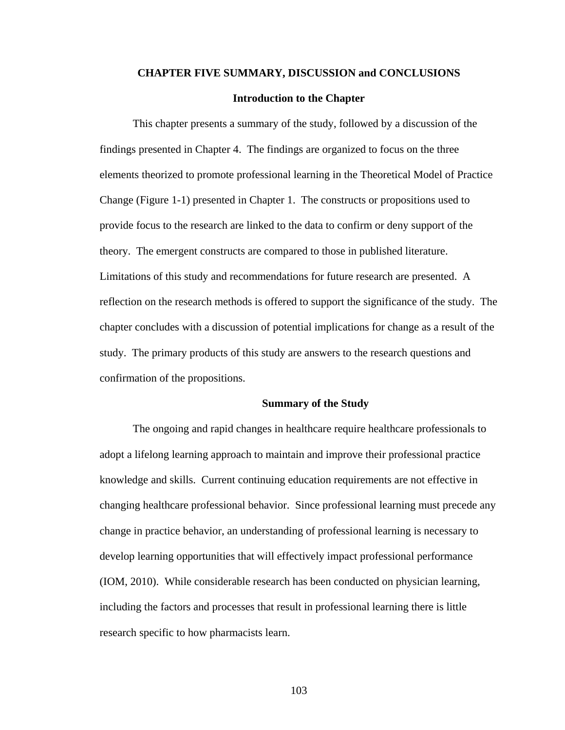# **CHAPTER FIVE SUMMARY, DISCUSSION and CONCLUSIONS**

## **Introduction to the Chapter**

This chapter presents a summary of the study, followed by a discussion of the findings presented in Chapter 4. The findings are organized to focus on the three elements theorized to promote professional learning in the Theoretical Model of Practice Change (Figure 1-1) presented in Chapter 1. The constructs or propositions used to provide focus to the research are linked to the data to confirm or deny support of the theory. The emergent constructs are compared to those in published literature. Limitations of this study and recommendations for future research are presented. A reflection on the research methods is offered to support the significance of the study. The chapter concludes with a discussion of potential implications for change as a result of the study. The primary products of this study are answers to the research questions and confirmation of the propositions.

#### **Summary of the Study**

The ongoing and rapid changes in healthcare require healthcare professionals to adopt a lifelong learning approach to maintain and improve their professional practice knowledge and skills. Current continuing education requirements are not effective in changing healthcare professional behavior. Since professional learning must precede any change in practice behavior, an understanding of professional learning is necessary to develop learning opportunities that will effectively impact professional performance (IOM, 2010). While considerable research has been conducted on physician learning, including the factors and processes that result in professional learning there is little research specific to how pharmacists learn.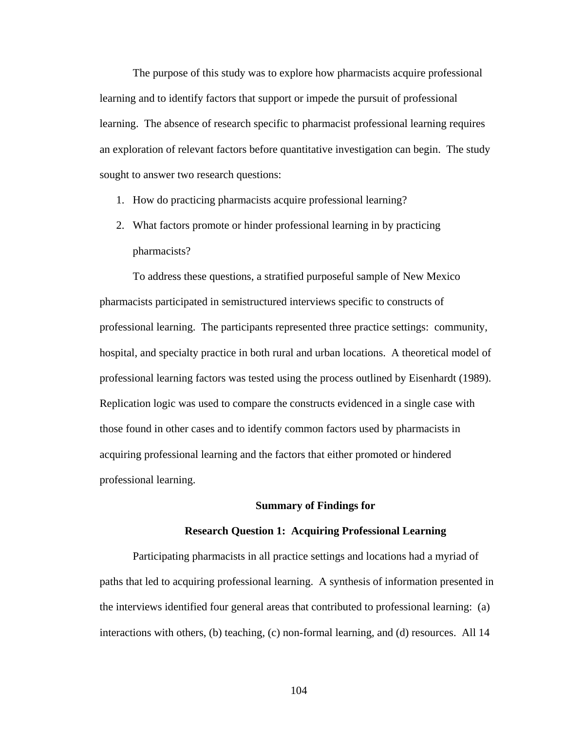The purpose of this study was to explore how pharmacists acquire professional learning and to identify factors that support or impede the pursuit of professional learning. The absence of research specific to pharmacist professional learning requires an exploration of relevant factors before quantitative investigation can begin. The study sought to answer two research questions:

- 1. How do practicing pharmacists acquire professional learning?
- 2. What factors promote or hinder professional learning in by practicing pharmacists?

To address these questions, a stratified purposeful sample of New Mexico pharmacists participated in semistructured interviews specific to constructs of professional learning. The participants represented three practice settings: community, hospital, and specialty practice in both rural and urban locations. A theoretical model of professional learning factors was tested using the process outlined by Eisenhardt (1989). Replication logic was used to compare the constructs evidenced in a single case with those found in other cases and to identify common factors used by pharmacists in acquiring professional learning and the factors that either promoted or hindered professional learning.

### **Summary of Findings for**

### **Research Question 1: Acquiring Professional Learning**

Participating pharmacists in all practice settings and locations had a myriad of paths that led to acquiring professional learning. A synthesis of information presented in the interviews identified four general areas that contributed to professional learning: (a) interactions with others, (b) teaching, (c) non-formal learning, and (d) resources. All 14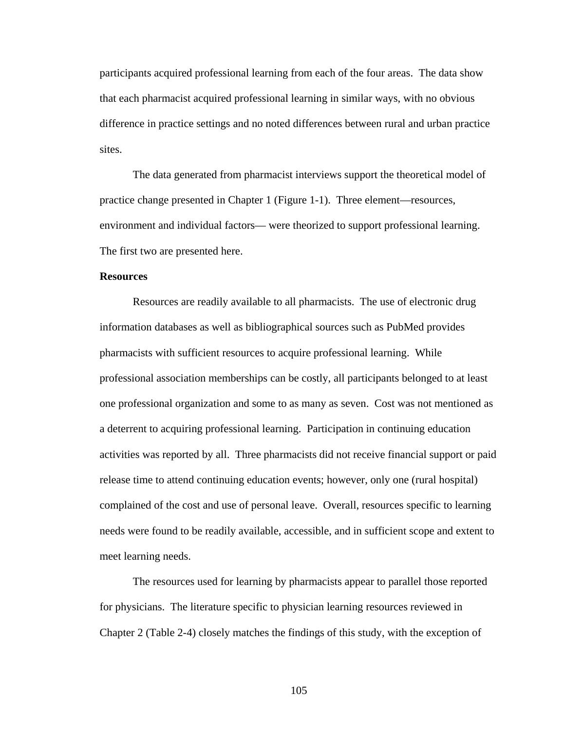participants acquired professional learning from each of the four areas. The data show that each pharmacist acquired professional learning in similar ways, with no obvious difference in practice settings and no noted differences between rural and urban practice sites.

The data generated from pharmacist interviews support the theoretical model of practice change presented in Chapter 1 (Figure 1-1). Three element—resources, environment and individual factors— were theorized to support professional learning. The first two are presented here.

## **Resources**

Resources are readily available to all pharmacists. The use of electronic drug information databases as well as bibliographical sources such as PubMed provides pharmacists with sufficient resources to acquire professional learning. While professional association memberships can be costly, all participants belonged to at least one professional organization and some to as many as seven. Cost was not mentioned as a deterrent to acquiring professional learning. Participation in continuing education activities was reported by all. Three pharmacists did not receive financial support or paid release time to attend continuing education events; however, only one (rural hospital) complained of the cost and use of personal leave. Overall, resources specific to learning needs were found to be readily available, accessible, and in sufficient scope and extent to meet learning needs.

The resources used for learning by pharmacists appear to parallel those reported for physicians. The literature specific to physician learning resources reviewed in Chapter 2 (Table 2-4) closely matches the findings of this study, with the exception of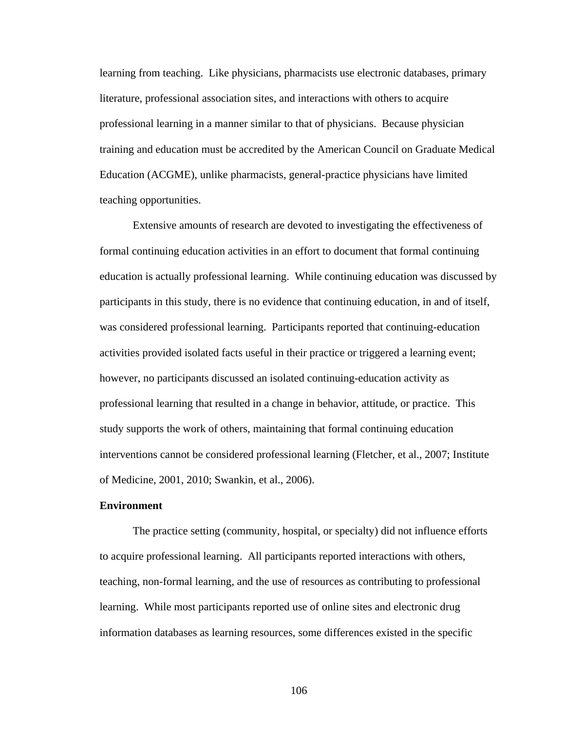learning from teaching. Like physicians, pharmacists use electronic databases, primary literature, professional association sites, and interactions with others to acquire professional learning in a manner similar to that of physicians. Because physician training and education must be accredited by the American Council on Graduate Medical Education (ACGME), unlike pharmacists, general-practice physicians have limited teaching opportunities.

Extensive amounts of research are devoted to investigating the effectiveness of formal continuing education activities in an effort to document that formal continuing education is actually professional learning. While continuing education was discussed by participants in this study, there is no evidence that continuing education, in and of itself, was considered professional learning. Participants reported that continuing-education activities provided isolated facts useful in their practice or triggered a learning event; however, no participants discussed an isolated continuing-education activity as professional learning that resulted in a change in behavior, attitude, or practice. This study supports the work of others, maintaining that formal continuing education interventions cannot be considered professional learning (Fletcher, et al., 2007; Institute of Medicine, 2001, 2010; Swankin, et al., 2006).

## **Environment**

The practice setting (community, hospital, or specialty) did not influence efforts to acquire professional learning. All participants reported interactions with others, teaching, non-formal learning, and the use of resources as contributing to professional learning. While most participants reported use of online sites and electronic drug information databases as learning resources, some differences existed in the specific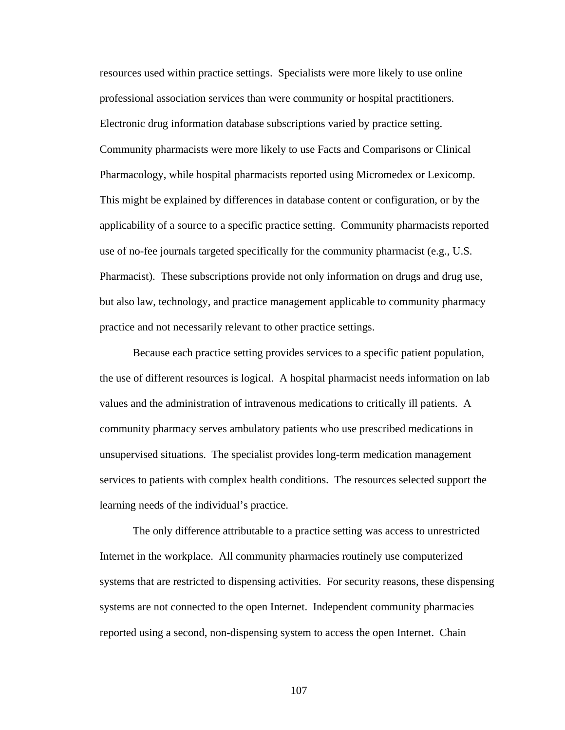resources used within practice settings. Specialists were more likely to use online professional association services than were community or hospital practitioners. Electronic drug information database subscriptions varied by practice setting. Community pharmacists were more likely to use Facts and Comparisons or Clinical Pharmacology, while hospital pharmacists reported using Micromedex or Lexicomp. This might be explained by differences in database content or configuration, or by the applicability of a source to a specific practice setting. Community pharmacists reported use of no-fee journals targeted specifically for the community pharmacist (e.g., U.S. Pharmacist). These subscriptions provide not only information on drugs and drug use, but also law, technology, and practice management applicable to community pharmacy practice and not necessarily relevant to other practice settings.

Because each practice setting provides services to a specific patient population, the use of different resources is logical. A hospital pharmacist needs information on lab values and the administration of intravenous medications to critically ill patients. A community pharmacy serves ambulatory patients who use prescribed medications in unsupervised situations. The specialist provides long-term medication management services to patients with complex health conditions. The resources selected support the learning needs of the individual's practice.

The only difference attributable to a practice setting was access to unrestricted Internet in the workplace. All community pharmacies routinely use computerized systems that are restricted to dispensing activities. For security reasons, these dispensing systems are not connected to the open Internet. Independent community pharmacies reported using a second, non-dispensing system to access the open Internet. Chain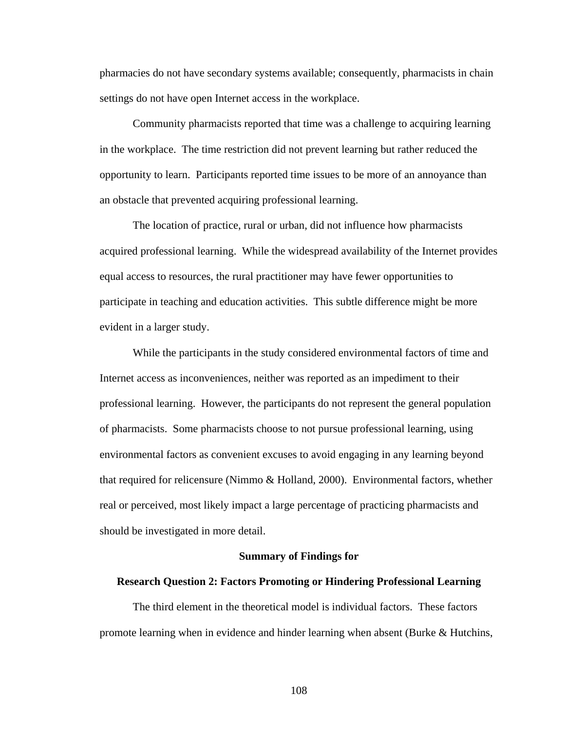pharmacies do not have secondary systems available; consequently, pharmacists in chain settings do not have open Internet access in the workplace.

Community pharmacists reported that time was a challenge to acquiring learning in the workplace. The time restriction did not prevent learning but rather reduced the opportunity to learn. Participants reported time issues to be more of an annoyance than an obstacle that prevented acquiring professional learning.

The location of practice, rural or urban, did not influence how pharmacists acquired professional learning. While the widespread availability of the Internet provides equal access to resources, the rural practitioner may have fewer opportunities to participate in teaching and education activities. This subtle difference might be more evident in a larger study.

While the participants in the study considered environmental factors of time and Internet access as inconveniences, neither was reported as an impediment to their professional learning. However, the participants do not represent the general population of pharmacists. Some pharmacists choose to not pursue professional learning, using environmental factors as convenient excuses to avoid engaging in any learning beyond that required for relicensure (Nimmo & Holland, 2000). Environmental factors, whether real or perceived, most likely impact a large percentage of practicing pharmacists and should be investigated in more detail.

## **Summary of Findings for**

## **Research Question 2: Factors Promoting or Hindering Professional Learning**

The third element in the theoretical model is individual factors. These factors promote learning when in evidence and hinder learning when absent (Burke & Hutchins,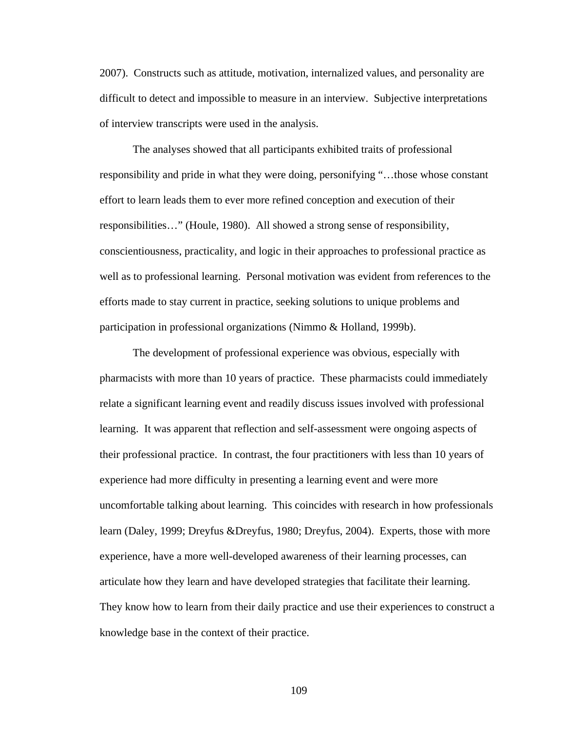2007). Constructs such as attitude, motivation, internalized values, and personality are difficult to detect and impossible to measure in an interview. Subjective interpretations of interview transcripts were used in the analysis.

The analyses showed that all participants exhibited traits of professional responsibility and pride in what they were doing, personifying "…those whose constant effort to learn leads them to ever more refined conception and execution of their responsibilities…" (Houle, 1980). All showed a strong sense of responsibility, conscientiousness, practicality, and logic in their approaches to professional practice as well as to professional learning. Personal motivation was evident from references to the efforts made to stay current in practice, seeking solutions to unique problems and participation in professional organizations (Nimmo & Holland, 1999b).

The development of professional experience was obvious, especially with pharmacists with more than 10 years of practice. These pharmacists could immediately relate a significant learning event and readily discuss issues involved with professional learning. It was apparent that reflection and self-assessment were ongoing aspects of their professional practice. In contrast, the four practitioners with less than 10 years of experience had more difficulty in presenting a learning event and were more uncomfortable talking about learning. This coincides with research in how professionals learn (Daley, 1999; Dreyfus &Dreyfus, 1980; Dreyfus, 2004). Experts, those with more experience, have a more well-developed awareness of their learning processes, can articulate how they learn and have developed strategies that facilitate their learning. They know how to learn from their daily practice and use their experiences to construct a knowledge base in the context of their practice.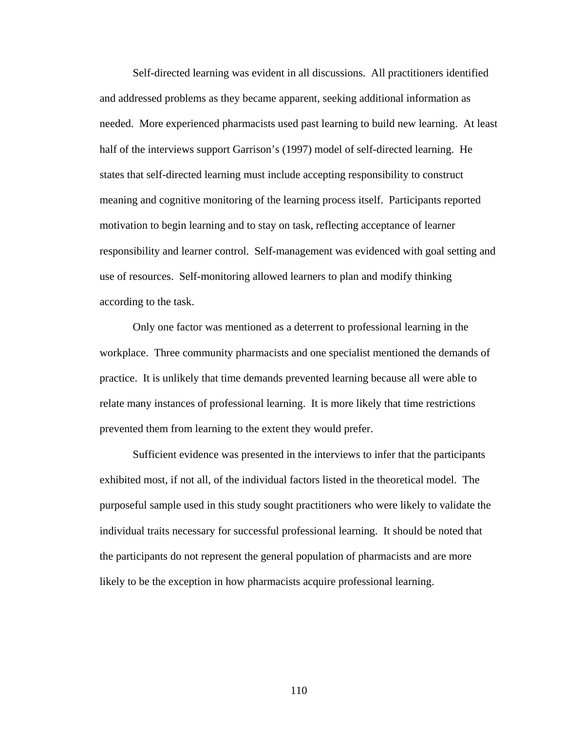Self-directed learning was evident in all discussions. All practitioners identified and addressed problems as they became apparent, seeking additional information as needed. More experienced pharmacists used past learning to build new learning. At least half of the interviews support Garrison's (1997) model of self-directed learning. He states that self-directed learning must include accepting responsibility to construct meaning and cognitive monitoring of the learning process itself. Participants reported motivation to begin learning and to stay on task, reflecting acceptance of learner responsibility and learner control. Self-management was evidenced with goal setting and use of resources. Self-monitoring allowed learners to plan and modify thinking according to the task.

Only one factor was mentioned as a deterrent to professional learning in the workplace. Three community pharmacists and one specialist mentioned the demands of practice. It is unlikely that time demands prevented learning because all were able to relate many instances of professional learning. It is more likely that time restrictions prevented them from learning to the extent they would prefer.

Sufficient evidence was presented in the interviews to infer that the participants exhibited most, if not all, of the individual factors listed in the theoretical model. The purposeful sample used in this study sought practitioners who were likely to validate the individual traits necessary for successful professional learning. It should be noted that the participants do not represent the general population of pharmacists and are more likely to be the exception in how pharmacists acquire professional learning.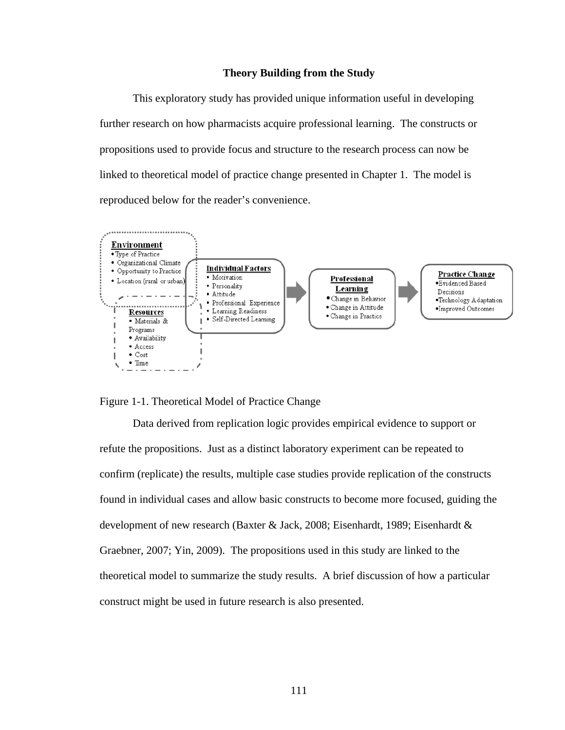# **Theory Building from the Study**

This exploratory study has provided unique information useful in developing further research on how pharmacists acquire professional learning. The constructs or propositions used to provide focus and structure to the research process can now be linked to theoretical model of practice change presented in Chapter 1. The model is reproduced below for the reader's convenience.



Figure 1-1. Theoretical Model of Practice Change

Data derived from replication logic provides empirical evidence to support or refute the propositions. Just as a distinct laboratory experiment can be repeated to confirm (replicate) the results, multiple case studies provide replication of the constructs found in individual cases and allow basic constructs to become more focused, guiding the development of new research (Baxter & Jack, 2008; Eisenhardt, 1989; Eisenhardt & Graebner, 2007; Yin, 2009). The propositions used in this study are linked to the theoretical model to summarize the study results. A brief discussion of how a particular construct might be used in future research is also presented.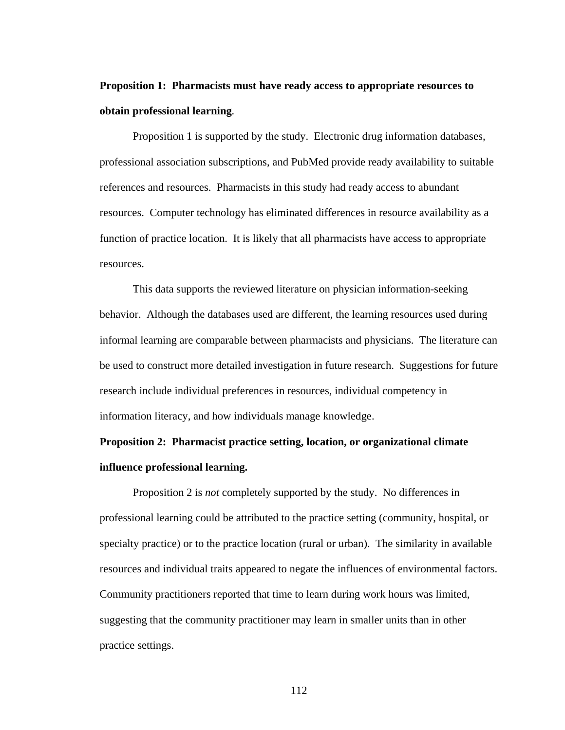# **Proposition 1: Pharmacists must have ready access to appropriate resources to obtain professional learning***.*

Proposition 1 is supported by the study. Electronic drug information databases, professional association subscriptions, and PubMed provide ready availability to suitable references and resources. Pharmacists in this study had ready access to abundant resources. Computer technology has eliminated differences in resource availability as a function of practice location. It is likely that all pharmacists have access to appropriate resources.

This data supports the reviewed literature on physician information-seeking behavior. Although the databases used are different, the learning resources used during informal learning are comparable between pharmacists and physicians. The literature can be used to construct more detailed investigation in future research. Suggestions for future research include individual preferences in resources, individual competency in information literacy, and how individuals manage knowledge.

# **Proposition 2: Pharmacist practice setting, location, or organizational climate influence professional learning.**

Proposition 2 is *not* completely supported by the study. No differences in professional learning could be attributed to the practice setting (community, hospital, or specialty practice) or to the practice location (rural or urban). The similarity in available resources and individual traits appeared to negate the influences of environmental factors. Community practitioners reported that time to learn during work hours was limited, suggesting that the community practitioner may learn in smaller units than in other practice settings.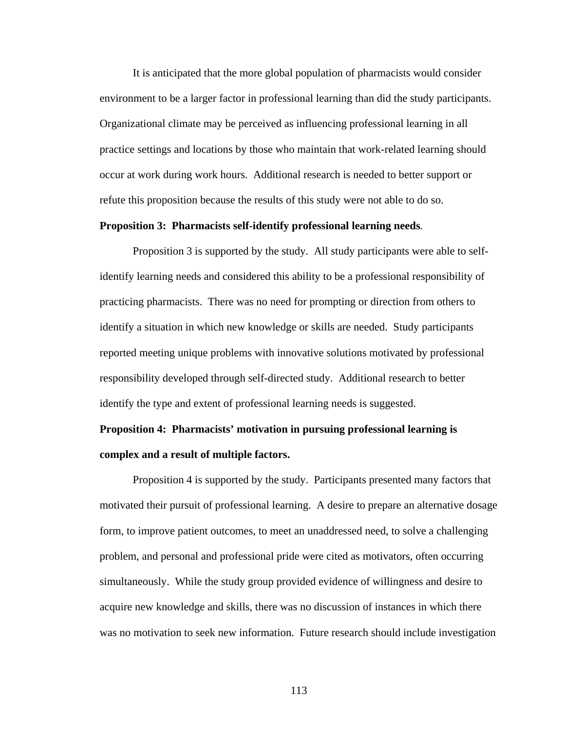It is anticipated that the more global population of pharmacists would consider environment to be a larger factor in professional learning than did the study participants. Organizational climate may be perceived as influencing professional learning in all practice settings and locations by those who maintain that work-related learning should occur at work during work hours. Additional research is needed to better support or refute this proposition because the results of this study were not able to do so.

## **Proposition 3: Pharmacists self-identify professional learning needs***.*

Proposition 3 is supported by the study. All study participants were able to selfidentify learning needs and considered this ability to be a professional responsibility of practicing pharmacists. There was no need for prompting or direction from others to identify a situation in which new knowledge or skills are needed. Study participants reported meeting unique problems with innovative solutions motivated by professional responsibility developed through self-directed study. Additional research to better identify the type and extent of professional learning needs is suggested.

# **Proposition 4: Pharmacists' motivation in pursuing professional learning is complex and a result of multiple factors.**

Proposition 4 is supported by the study. Participants presented many factors that motivated their pursuit of professional learning. A desire to prepare an alternative dosage form, to improve patient outcomes, to meet an unaddressed need, to solve a challenging problem, and personal and professional pride were cited as motivators, often occurring simultaneously. While the study group provided evidence of willingness and desire to acquire new knowledge and skills, there was no discussion of instances in which there was no motivation to seek new information. Future research should include investigation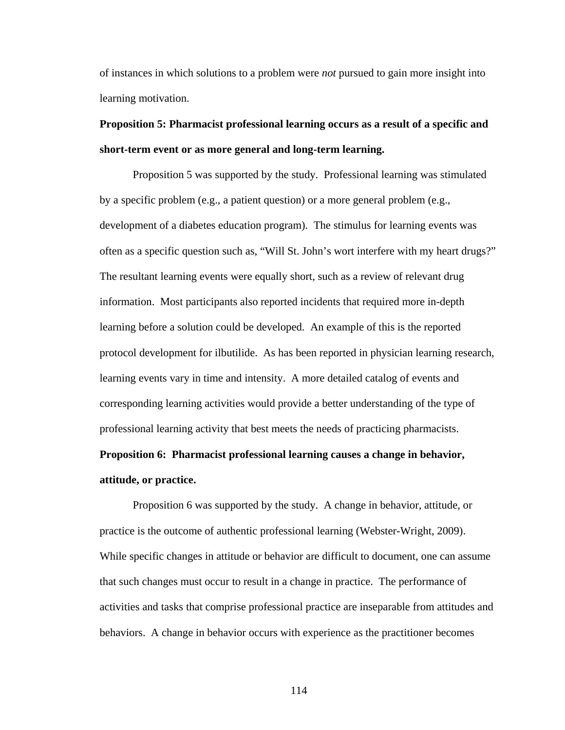of instances in which solutions to a problem were *not* pursued to gain more insight into learning motivation.

# **Proposition 5: Pharmacist professional learning occurs as a result of a specific and short-term event or as more general and long-term learning.**

Proposition 5 was supported by the study. Professional learning was stimulated by a specific problem (e.g., a patient question) or a more general problem (e.g., development of a diabetes education program). The stimulus for learning events was often as a specific question such as, "Will St. John's wort interfere with my heart drugs?" The resultant learning events were equally short, such as a review of relevant drug information. Most participants also reported incidents that required more in-depth learning before a solution could be developed. An example of this is the reported protocol development for ilbutilide. As has been reported in physician learning research, learning events vary in time and intensity. A more detailed catalog of events and corresponding learning activities would provide a better understanding of the type of professional learning activity that best meets the needs of practicing pharmacists.

# **Proposition 6: Pharmacist professional learning causes a change in behavior, attitude, or practice.**

Proposition 6 was supported by the study. A change in behavior, attitude, or practice is the outcome of authentic professional learning (Webster-Wright, 2009). While specific changes in attitude or behavior are difficult to document, one can assume that such changes must occur to result in a change in practice. The performance of activities and tasks that comprise professional practice are inseparable from attitudes and behaviors. A change in behavior occurs with experience as the practitioner becomes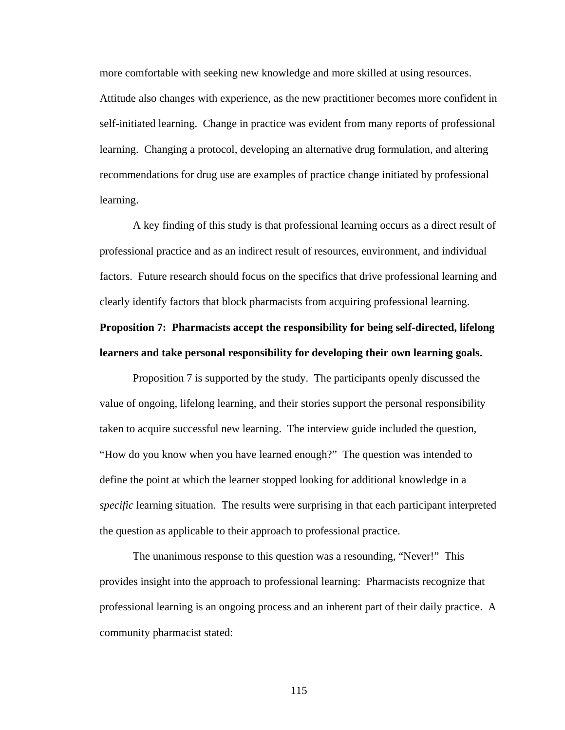more comfortable with seeking new knowledge and more skilled at using resources. Attitude also changes with experience, as the new practitioner becomes more confident in self-initiated learning. Change in practice was evident from many reports of professional learning. Changing a protocol, developing an alternative drug formulation, and altering recommendations for drug use are examples of practice change initiated by professional learning.

A key finding of this study is that professional learning occurs as a direct result of professional practice and as an indirect result of resources, environment, and individual factors. Future research should focus on the specifics that drive professional learning and clearly identify factors that block pharmacists from acquiring professional learning.

# **Proposition 7: Pharmacists accept the responsibility for being self-directed, lifelong learners and take personal responsibility for developing their own learning goals.**

Proposition 7 is supported by the study. The participants openly discussed the value of ongoing, lifelong learning, and their stories support the personal responsibility taken to acquire successful new learning. The interview guide included the question, "How do you know when you have learned enough?" The question was intended to define the point at which the learner stopped looking for additional knowledge in a *specific* learning situation. The results were surprising in that each participant interpreted the question as applicable to their approach to professional practice.

The unanimous response to this question was a resounding, "Never!" This provides insight into the approach to professional learning: Pharmacists recognize that professional learning is an ongoing process and an inherent part of their daily practice. A community pharmacist stated: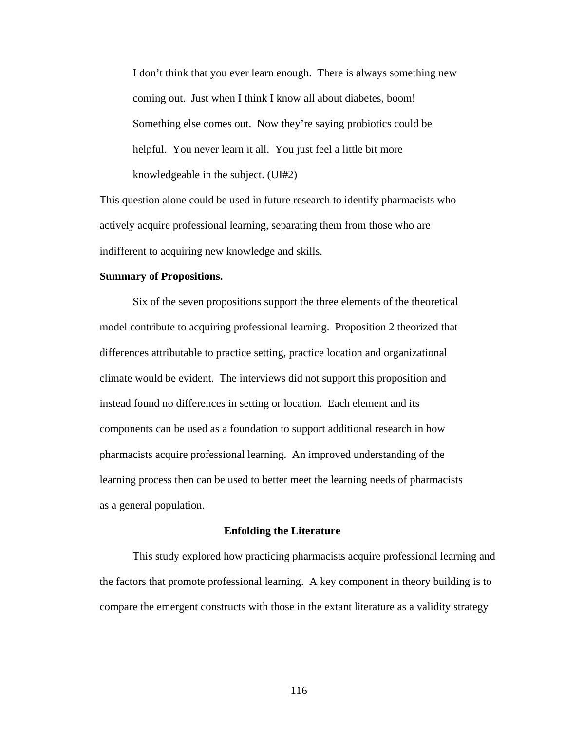I don't think that you ever learn enough. There is always something new coming out. Just when I think I know all about diabetes, boom! Something else comes out. Now they're saying probiotics could be helpful. You never learn it all. You just feel a little bit more knowledgeable in the subject. (UI#2)

This question alone could be used in future research to identify pharmacists who actively acquire professional learning, separating them from those who are indifferent to acquiring new knowledge and skills.

### **Summary of Propositions.**

Six of the seven propositions support the three elements of the theoretical model contribute to acquiring professional learning. Proposition 2 theorized that differences attributable to practice setting, practice location and organizational climate would be evident. The interviews did not support this proposition and instead found no differences in setting or location. Each element and its components can be used as a foundation to support additional research in how pharmacists acquire professional learning. An improved understanding of the learning process then can be used to better meet the learning needs of pharmacists as a general population.

## **Enfolding the Literature**

This study explored how practicing pharmacists acquire professional learning and the factors that promote professional learning. A key component in theory building is to compare the emergent constructs with those in the extant literature as a validity strategy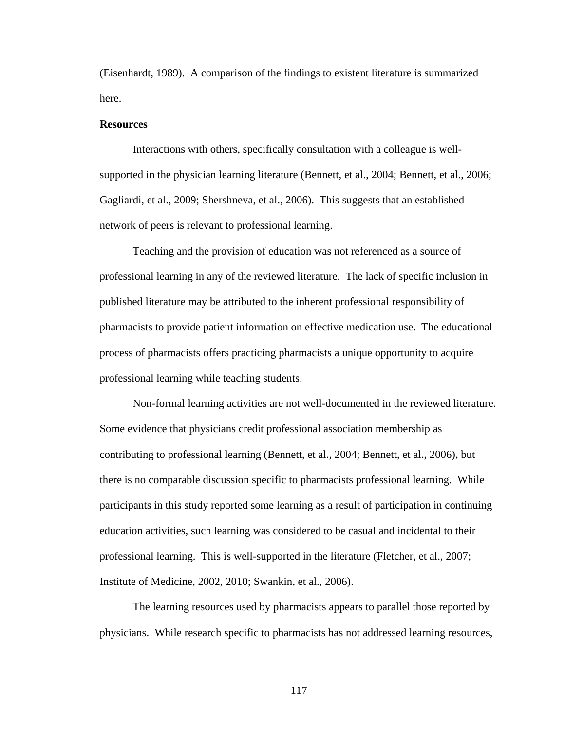(Eisenhardt, 1989). A comparison of the findings to existent literature is summarized here.

## **Resources**

Interactions with others, specifically consultation with a colleague is wellsupported in the physician learning literature (Bennett, et al., 2004; Bennett, et al., 2006; Gagliardi, et al., 2009; Shershneva, et al., 2006). This suggests that an established network of peers is relevant to professional learning.

Teaching and the provision of education was not referenced as a source of professional learning in any of the reviewed literature. The lack of specific inclusion in published literature may be attributed to the inherent professional responsibility of pharmacists to provide patient information on effective medication use. The educational process of pharmacists offers practicing pharmacists a unique opportunity to acquire professional learning while teaching students.

Non-formal learning activities are not well-documented in the reviewed literature. Some evidence that physicians credit professional association membership as contributing to professional learning (Bennett, et al., 2004; Bennett, et al., 2006), but there is no comparable discussion specific to pharmacists professional learning. While participants in this study reported some learning as a result of participation in continuing education activities, such learning was considered to be casual and incidental to their professional learning. This is well-supported in the literature (Fletcher, et al., 2007; Institute of Medicine, 2002, 2010; Swankin, et al., 2006).

The learning resources used by pharmacists appears to parallel those reported by physicians. While research specific to pharmacists has not addressed learning resources,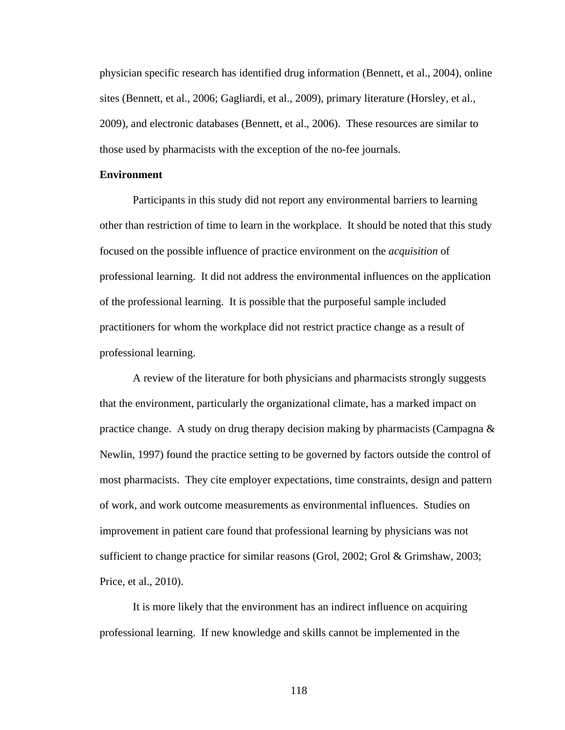physician specific research has identified drug information (Bennett, et al., 2004), online sites (Bennett, et al., 2006; Gagliardi, et al., 2009), primary literature (Horsley, et al., 2009), and electronic databases (Bennett, et al., 2006). These resources are similar to those used by pharmacists with the exception of the no-fee journals.

### **Environment**

Participants in this study did not report any environmental barriers to learning other than restriction of time to learn in the workplace. It should be noted that this study focused on the possible influence of practice environment on the *acquisition* of professional learning. It did not address the environmental influences on the application of the professional learning. It is possible that the purposeful sample included practitioners for whom the workplace did not restrict practice change as a result of professional learning.

A review of the literature for both physicians and pharmacists strongly suggests that the environment, particularly the organizational climate, has a marked impact on practice change. A study on drug therapy decision making by pharmacists (Campagna & Newlin, 1997) found the practice setting to be governed by factors outside the control of most pharmacists. They cite employer expectations, time constraints, design and pattern of work, and work outcome measurements as environmental influences. Studies on improvement in patient care found that professional learning by physicians was not sufficient to change practice for similar reasons (Grol, 2002; Grol & Grimshaw, 2003; Price, et al., 2010).

It is more likely that the environment has an indirect influence on acquiring professional learning. If new knowledge and skills cannot be implemented in the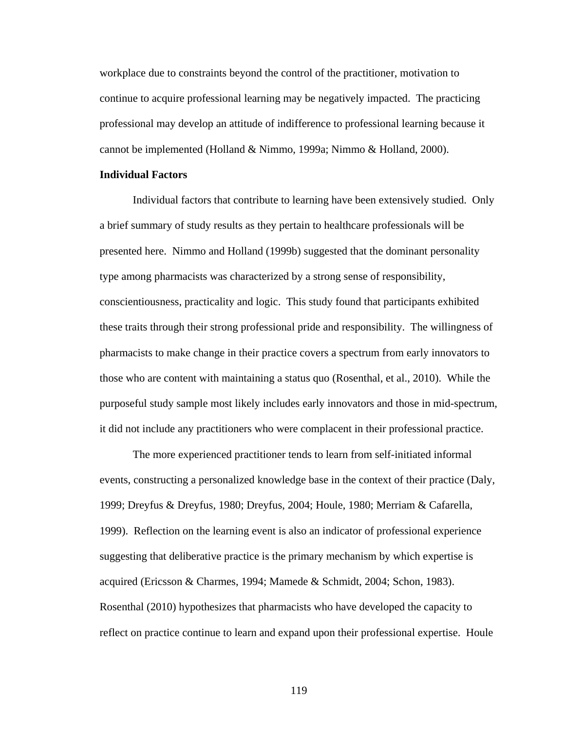workplace due to constraints beyond the control of the practitioner, motivation to continue to acquire professional learning may be negatively impacted. The practicing professional may develop an attitude of indifference to professional learning because it cannot be implemented (Holland & Nimmo, 1999a; Nimmo & Holland, 2000).

## **Individual Factors**

Individual factors that contribute to learning have been extensively studied. Only a brief summary of study results as they pertain to healthcare professionals will be presented here. Nimmo and Holland (1999b) suggested that the dominant personality type among pharmacists was characterized by a strong sense of responsibility, conscientiousness, practicality and logic. This study found that participants exhibited these traits through their strong professional pride and responsibility. The willingness of pharmacists to make change in their practice covers a spectrum from early innovators to those who are content with maintaining a status quo (Rosenthal, et al., 2010). While the purposeful study sample most likely includes early innovators and those in mid-spectrum, it did not include any practitioners who were complacent in their professional practice.

The more experienced practitioner tends to learn from self-initiated informal events, constructing a personalized knowledge base in the context of their practice (Daly, 1999; Dreyfus & Dreyfus, 1980; Dreyfus, 2004; Houle, 1980; Merriam & Cafarella, 1999). Reflection on the learning event is also an indicator of professional experience suggesting that deliberative practice is the primary mechanism by which expertise is acquired (Ericsson & Charmes, 1994; Mamede & Schmidt, 2004; Schon, 1983). Rosenthal (2010) hypothesizes that pharmacists who have developed the capacity to reflect on practice continue to learn and expand upon their professional expertise. Houle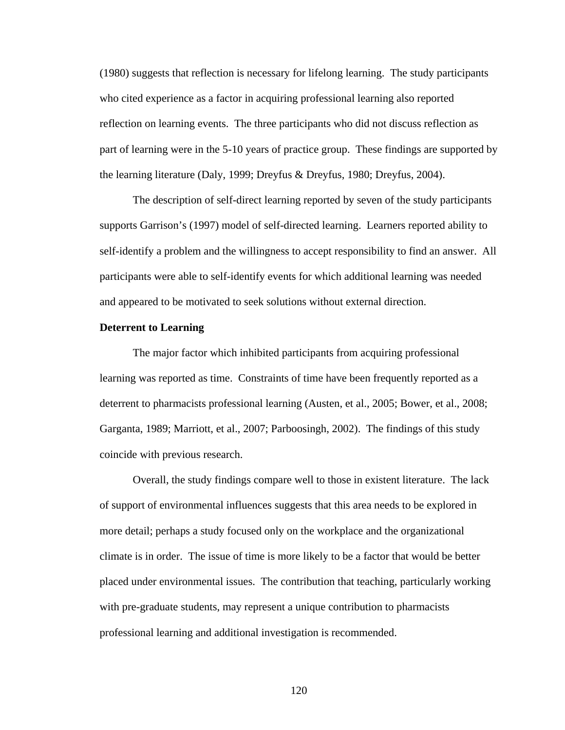(1980) suggests that reflection is necessary for lifelong learning. The study participants who cited experience as a factor in acquiring professional learning also reported reflection on learning events. The three participants who did not discuss reflection as part of learning were in the 5-10 years of practice group. These findings are supported by the learning literature (Daly, 1999; Dreyfus & Dreyfus, 1980; Dreyfus, 2004).

The description of self-direct learning reported by seven of the study participants supports Garrison's (1997) model of self-directed learning. Learners reported ability to self-identify a problem and the willingness to accept responsibility to find an answer. All participants were able to self-identify events for which additional learning was needed and appeared to be motivated to seek solutions without external direction.

### **Deterrent to Learning**

The major factor which inhibited participants from acquiring professional learning was reported as time. Constraints of time have been frequently reported as a deterrent to pharmacists professional learning (Austen, et al., 2005; Bower, et al., 2008; Garganta, 1989; Marriott, et al., 2007; Parboosingh, 2002). The findings of this study coincide with previous research.

Overall, the study findings compare well to those in existent literature. The lack of support of environmental influences suggests that this area needs to be explored in more detail; perhaps a study focused only on the workplace and the organizational climate is in order. The issue of time is more likely to be a factor that would be better placed under environmental issues. The contribution that teaching, particularly working with pre-graduate students, may represent a unique contribution to pharmacists professional learning and additional investigation is recommended.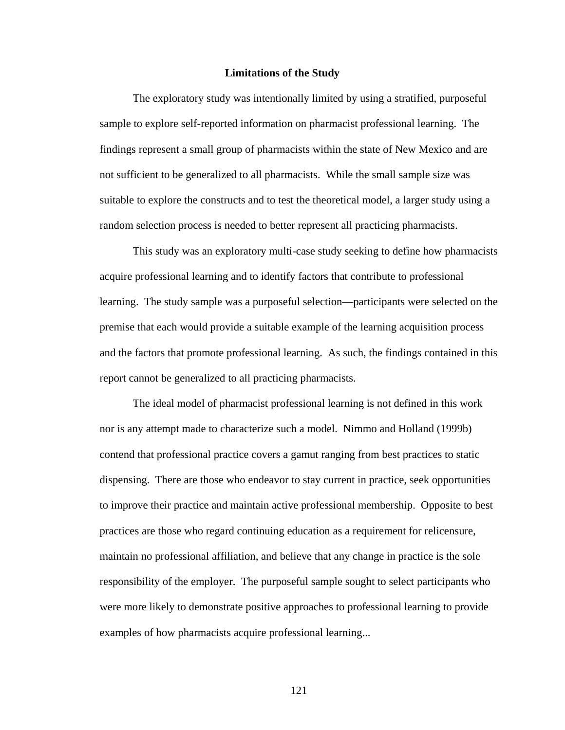### **Limitations of the Study**

The exploratory study was intentionally limited by using a stratified, purposeful sample to explore self-reported information on pharmacist professional learning. The findings represent a small group of pharmacists within the state of New Mexico and are not sufficient to be generalized to all pharmacists. While the small sample size was suitable to explore the constructs and to test the theoretical model, a larger study using a random selection process is needed to better represent all practicing pharmacists.

This study was an exploratory multi-case study seeking to define how pharmacists acquire professional learning and to identify factors that contribute to professional learning. The study sample was a purposeful selection—participants were selected on the premise that each would provide a suitable example of the learning acquisition process and the factors that promote professional learning. As such, the findings contained in this report cannot be generalized to all practicing pharmacists.

The ideal model of pharmacist professional learning is not defined in this work nor is any attempt made to characterize such a model. Nimmo and Holland (1999b) contend that professional practice covers a gamut ranging from best practices to static dispensing. There are those who endeavor to stay current in practice, seek opportunities to improve their practice and maintain active professional membership. Opposite to best practices are those who regard continuing education as a requirement for relicensure, maintain no professional affiliation, and believe that any change in practice is the sole responsibility of the employer. The purposeful sample sought to select participants who were more likely to demonstrate positive approaches to professional learning to provide examples of how pharmacists acquire professional learning...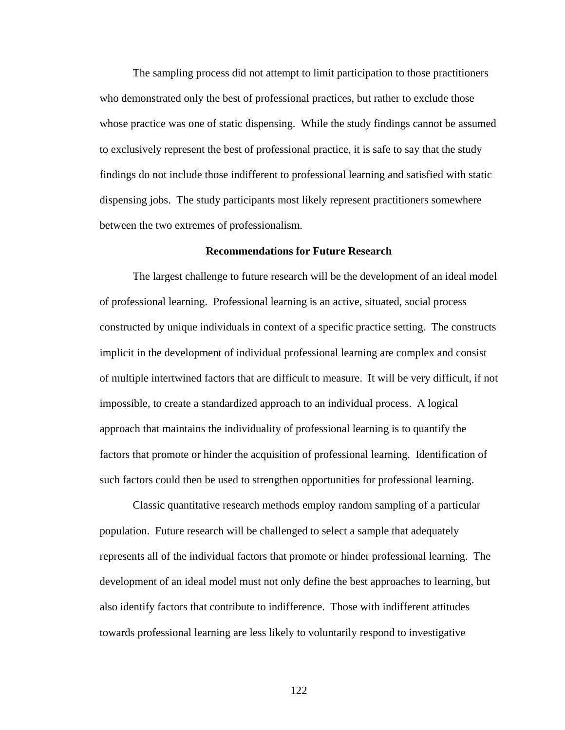The sampling process did not attempt to limit participation to those practitioners who demonstrated only the best of professional practices, but rather to exclude those whose practice was one of static dispensing. While the study findings cannot be assumed to exclusively represent the best of professional practice, it is safe to say that the study findings do not include those indifferent to professional learning and satisfied with static dispensing jobs. The study participants most likely represent practitioners somewhere between the two extremes of professionalism.

# **Recommendations for Future Research**

The largest challenge to future research will be the development of an ideal model of professional learning. Professional learning is an active, situated, social process constructed by unique individuals in context of a specific practice setting. The constructs implicit in the development of individual professional learning are complex and consist of multiple intertwined factors that are difficult to measure. It will be very difficult, if not impossible, to create a standardized approach to an individual process. A logical approach that maintains the individuality of professional learning is to quantify the factors that promote or hinder the acquisition of professional learning. Identification of such factors could then be used to strengthen opportunities for professional learning.

Classic quantitative research methods employ random sampling of a particular population. Future research will be challenged to select a sample that adequately represents all of the individual factors that promote or hinder professional learning. The development of an ideal model must not only define the best approaches to learning, but also identify factors that contribute to indifference. Those with indifferent attitudes towards professional learning are less likely to voluntarily respond to investigative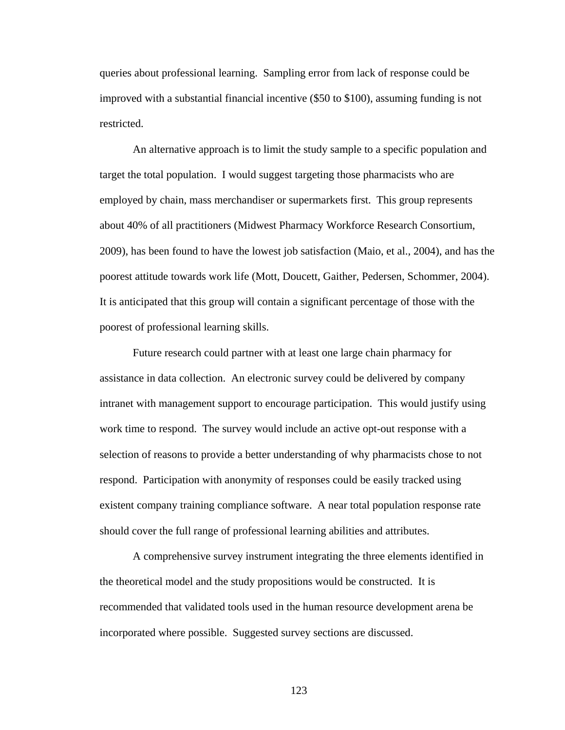queries about professional learning. Sampling error from lack of response could be improved with a substantial financial incentive (\$50 to \$100), assuming funding is not restricted.

An alternative approach is to limit the study sample to a specific population and target the total population. I would suggest targeting those pharmacists who are employed by chain, mass merchandiser or supermarkets first. This group represents about 40% of all practitioners (Midwest Pharmacy Workforce Research Consortium, 2009), has been found to have the lowest job satisfaction (Maio, et al., 2004), and has the poorest attitude towards work life (Mott, Doucett, Gaither, Pedersen, Schommer, 2004). It is anticipated that this group will contain a significant percentage of those with the poorest of professional learning skills.

Future research could partner with at least one large chain pharmacy for assistance in data collection. An electronic survey could be delivered by company intranet with management support to encourage participation. This would justify using work time to respond. The survey would include an active opt-out response with a selection of reasons to provide a better understanding of why pharmacists chose to not respond. Participation with anonymity of responses could be easily tracked using existent company training compliance software. A near total population response rate should cover the full range of professional learning abilities and attributes.

A comprehensive survey instrument integrating the three elements identified in the theoretical model and the study propositions would be constructed. It is recommended that validated tools used in the human resource development arena be incorporated where possible. Suggested survey sections are discussed.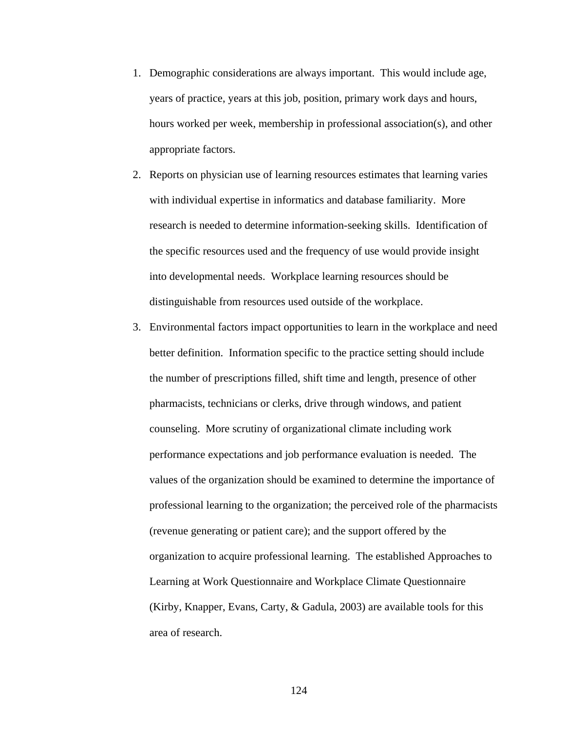- 1. Demographic considerations are always important. This would include age, years of practice, years at this job, position, primary work days and hours, hours worked per week, membership in professional association(s), and other appropriate factors.
- 2. Reports on physician use of learning resources estimates that learning varies with individual expertise in informatics and database familiarity. More research is needed to determine information-seeking skills. Identification of the specific resources used and the frequency of use would provide insight into developmental needs. Workplace learning resources should be distinguishable from resources used outside of the workplace.
- 3. Environmental factors impact opportunities to learn in the workplace and need better definition. Information specific to the practice setting should include the number of prescriptions filled, shift time and length, presence of other pharmacists, technicians or clerks, drive through windows, and patient counseling. More scrutiny of organizational climate including work performance expectations and job performance evaluation is needed. The values of the organization should be examined to determine the importance of professional learning to the organization; the perceived role of the pharmacists (revenue generating or patient care); and the support offered by the organization to acquire professional learning. The established Approaches to Learning at Work Questionnaire and Workplace Climate Questionnaire (Kirby, Knapper, Evans, Carty, & Gadula, 2003) are available tools for this area of research.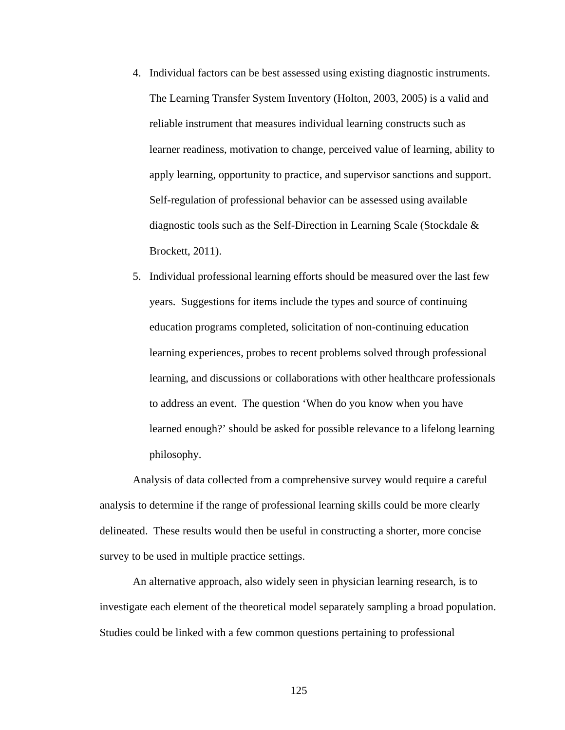- 4. Individual factors can be best assessed using existing diagnostic instruments. The Learning Transfer System Inventory (Holton, 2003, 2005) is a valid and reliable instrument that measures individual learning constructs such as learner readiness, motivation to change, perceived value of learning, ability to apply learning, opportunity to practice, and supervisor sanctions and support. Self-regulation of professional behavior can be assessed using available diagnostic tools such as the Self-Direction in Learning Scale (Stockdale & Brockett, 2011).
- 5. Individual professional learning efforts should be measured over the last few years. Suggestions for items include the types and source of continuing education programs completed, solicitation of non-continuing education learning experiences, probes to recent problems solved through professional learning, and discussions or collaborations with other healthcare professionals to address an event. The question 'When do you know when you have learned enough?' should be asked for possible relevance to a lifelong learning philosophy.

Analysis of data collected from a comprehensive survey would require a careful analysis to determine if the range of professional learning skills could be more clearly delineated. These results would then be useful in constructing a shorter, more concise survey to be used in multiple practice settings.

An alternative approach, also widely seen in physician learning research, is to investigate each element of the theoretical model separately sampling a broad population. Studies could be linked with a few common questions pertaining to professional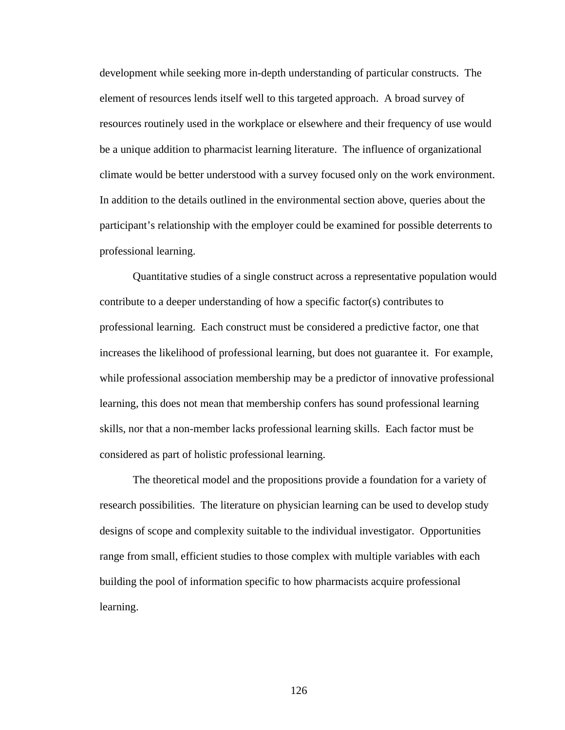development while seeking more in-depth understanding of particular constructs. The element of resources lends itself well to this targeted approach. A broad survey of resources routinely used in the workplace or elsewhere and their frequency of use would be a unique addition to pharmacist learning literature. The influence of organizational climate would be better understood with a survey focused only on the work environment. In addition to the details outlined in the environmental section above, queries about the participant's relationship with the employer could be examined for possible deterrents to professional learning.

Quantitative studies of a single construct across a representative population would contribute to a deeper understanding of how a specific factor(s) contributes to professional learning. Each construct must be considered a predictive factor, one that increases the likelihood of professional learning, but does not guarantee it. For example, while professional association membership may be a predictor of innovative professional learning, this does not mean that membership confers has sound professional learning skills, nor that a non-member lacks professional learning skills. Each factor must be considered as part of holistic professional learning.

The theoretical model and the propositions provide a foundation for a variety of research possibilities. The literature on physician learning can be used to develop study designs of scope and complexity suitable to the individual investigator. Opportunities range from small, efficient studies to those complex with multiple variables with each building the pool of information specific to how pharmacists acquire professional learning.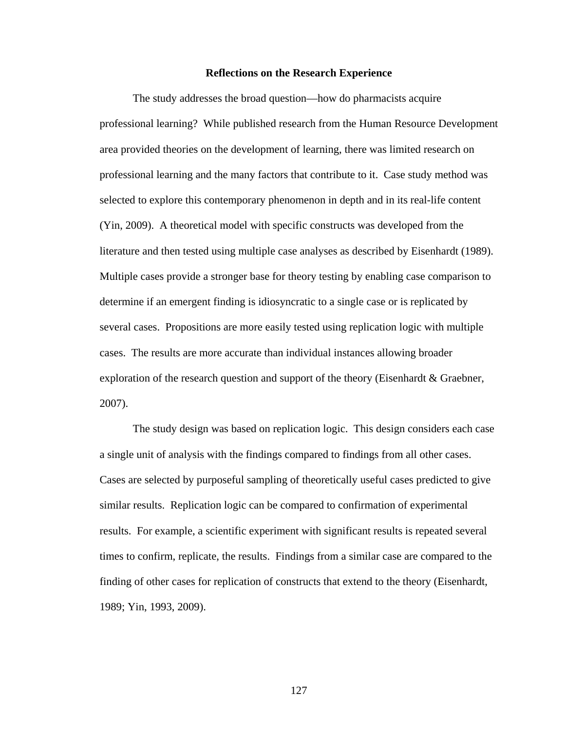### **Reflections on the Research Experience**

The study addresses the broad question—how do pharmacists acquire professional learning? While published research from the Human Resource Development area provided theories on the development of learning, there was limited research on professional learning and the many factors that contribute to it. Case study method was selected to explore this contemporary phenomenon in depth and in its real-life content (Yin, 2009). A theoretical model with specific constructs was developed from the literature and then tested using multiple case analyses as described by Eisenhardt (1989). Multiple cases provide a stronger base for theory testing by enabling case comparison to determine if an emergent finding is idiosyncratic to a single case or is replicated by several cases. Propositions are more easily tested using replication logic with multiple cases. The results are more accurate than individual instances allowing broader exploration of the research question and support of the theory (Eisenhardt & Graebner, 2007).

The study design was based on replication logic. This design considers each case a single unit of analysis with the findings compared to findings from all other cases. Cases are selected by purposeful sampling of theoretically useful cases predicted to give similar results. Replication logic can be compared to confirmation of experimental results. For example, a scientific experiment with significant results is repeated several times to confirm, replicate, the results. Findings from a similar case are compared to the finding of other cases for replication of constructs that extend to the theory (Eisenhardt, 1989; Yin, 1993, 2009).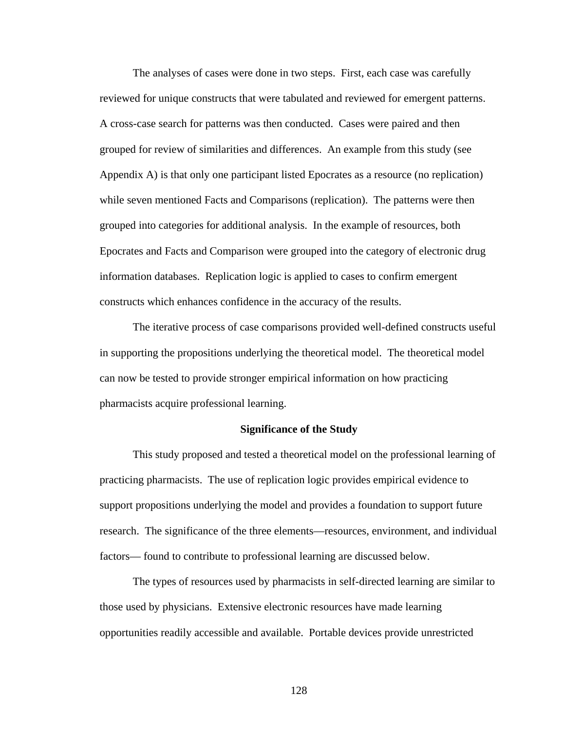The analyses of cases were done in two steps. First, each case was carefully reviewed for unique constructs that were tabulated and reviewed for emergent patterns. A cross-case search for patterns was then conducted. Cases were paired and then grouped for review of similarities and differences. An example from this study (see Appendix A) is that only one participant listed Epocrates as a resource (no replication) while seven mentioned Facts and Comparisons (replication). The patterns were then grouped into categories for additional analysis. In the example of resources, both Epocrates and Facts and Comparison were grouped into the category of electronic drug information databases. Replication logic is applied to cases to confirm emergent constructs which enhances confidence in the accuracy of the results.

The iterative process of case comparisons provided well-defined constructs useful in supporting the propositions underlying the theoretical model. The theoretical model can now be tested to provide stronger empirical information on how practicing pharmacists acquire professional learning.

### **Significance of the Study**

This study proposed and tested a theoretical model on the professional learning of practicing pharmacists. The use of replication logic provides empirical evidence to support propositions underlying the model and provides a foundation to support future research. The significance of the three elements—resources, environment, and individual factors— found to contribute to professional learning are discussed below.

The types of resources used by pharmacists in self-directed learning are similar to those used by physicians. Extensive electronic resources have made learning opportunities readily accessible and available. Portable devices provide unrestricted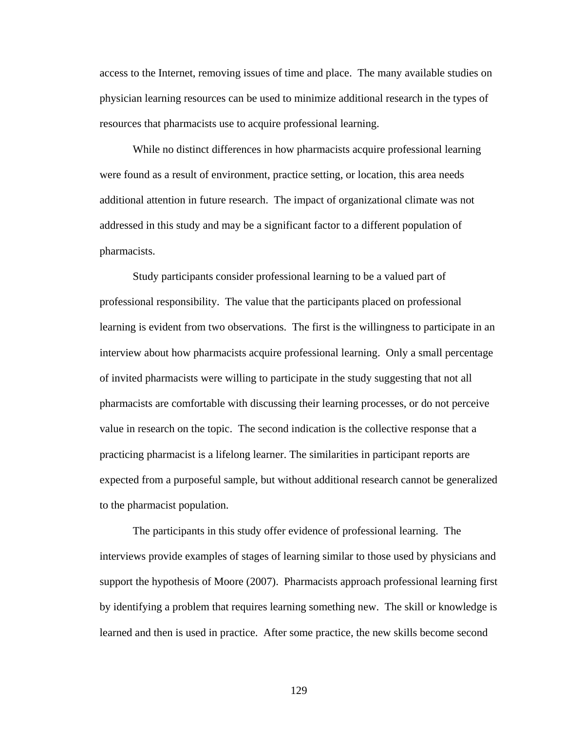access to the Internet, removing issues of time and place. The many available studies on physician learning resources can be used to minimize additional research in the types of resources that pharmacists use to acquire professional learning.

While no distinct differences in how pharmacists acquire professional learning were found as a result of environment, practice setting, or location, this area needs additional attention in future research. The impact of organizational climate was not addressed in this study and may be a significant factor to a different population of pharmacists.

Study participants consider professional learning to be a valued part of professional responsibility. The value that the participants placed on professional learning is evident from two observations. The first is the willingness to participate in an interview about how pharmacists acquire professional learning. Only a small percentage of invited pharmacists were willing to participate in the study suggesting that not all pharmacists are comfortable with discussing their learning processes, or do not perceive value in research on the topic. The second indication is the collective response that a practicing pharmacist is a lifelong learner. The similarities in participant reports are expected from a purposeful sample, but without additional research cannot be generalized to the pharmacist population.

The participants in this study offer evidence of professional learning. The interviews provide examples of stages of learning similar to those used by physicians and support the hypothesis of Moore (2007). Pharmacists approach professional learning first by identifying a problem that requires learning something new. The skill or knowledge is learned and then is used in practice. After some practice, the new skills become second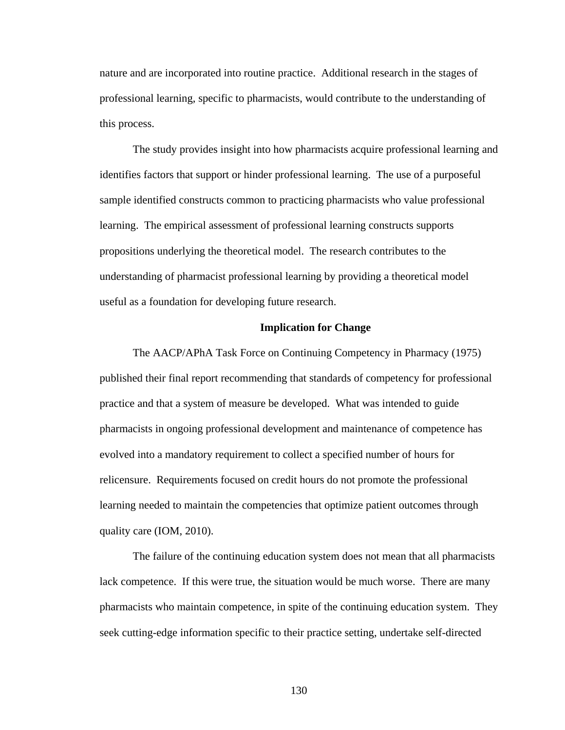nature and are incorporated into routine practice. Additional research in the stages of professional learning, specific to pharmacists, would contribute to the understanding of this process.

The study provides insight into how pharmacists acquire professional learning and identifies factors that support or hinder professional learning. The use of a purposeful sample identified constructs common to practicing pharmacists who value professional learning. The empirical assessment of professional learning constructs supports propositions underlying the theoretical model. The research contributes to the understanding of pharmacist professional learning by providing a theoretical model useful as a foundation for developing future research.

## **Implication for Change**

The AACP/APhA Task Force on Continuing Competency in Pharmacy (1975) published their final report recommending that standards of competency for professional practice and that a system of measure be developed. What was intended to guide pharmacists in ongoing professional development and maintenance of competence has evolved into a mandatory requirement to collect a specified number of hours for relicensure. Requirements focused on credit hours do not promote the professional learning needed to maintain the competencies that optimize patient outcomes through quality care (IOM, 2010).

The failure of the continuing education system does not mean that all pharmacists lack competence. If this were true, the situation would be much worse. There are many pharmacists who maintain competence, in spite of the continuing education system. They seek cutting-edge information specific to their practice setting, undertake self-directed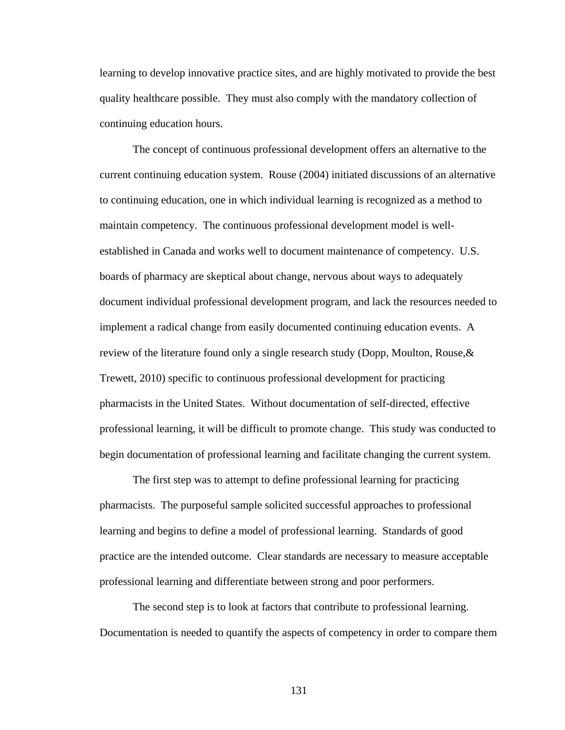learning to develop innovative practice sites, and are highly motivated to provide the best quality healthcare possible. They must also comply with the mandatory collection of continuing education hours.

The concept of continuous professional development offers an alternative to the current continuing education system. Rouse (2004) initiated discussions of an alternative to continuing education, one in which individual learning is recognized as a method to maintain competency. The continuous professional development model is wellestablished in Canada and works well to document maintenance of competency. U.S. boards of pharmacy are skeptical about change, nervous about ways to adequately document individual professional development program, and lack the resources needed to implement a radical change from easily documented continuing education events. A review of the literature found only a single research study (Dopp, Moulton, Rouse,  $\&$ Trewett, 2010) specific to continuous professional development for practicing pharmacists in the United States. Without documentation of self-directed, effective professional learning, it will be difficult to promote change. This study was conducted to begin documentation of professional learning and facilitate changing the current system.

The first step was to attempt to define professional learning for practicing pharmacists. The purposeful sample solicited successful approaches to professional learning and begins to define a model of professional learning. Standards of good practice are the intended outcome. Clear standards are necessary to measure acceptable professional learning and differentiate between strong and poor performers.

The second step is to look at factors that contribute to professional learning. Documentation is needed to quantify the aspects of competency in order to compare them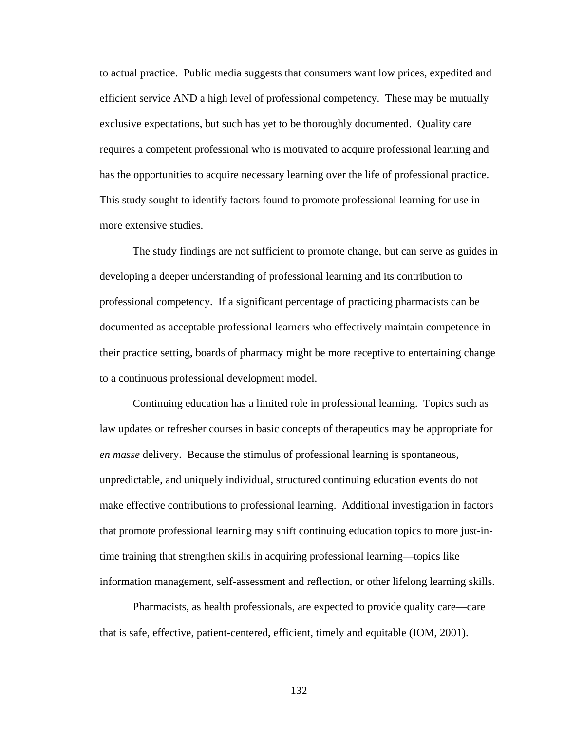to actual practice. Public media suggests that consumers want low prices, expedited and efficient service AND a high level of professional competency. These may be mutually exclusive expectations, but such has yet to be thoroughly documented. Quality care requires a competent professional who is motivated to acquire professional learning and has the opportunities to acquire necessary learning over the life of professional practice. This study sought to identify factors found to promote professional learning for use in more extensive studies.

The study findings are not sufficient to promote change, but can serve as guides in developing a deeper understanding of professional learning and its contribution to professional competency. If a significant percentage of practicing pharmacists can be documented as acceptable professional learners who effectively maintain competence in their practice setting, boards of pharmacy might be more receptive to entertaining change to a continuous professional development model.

Continuing education has a limited role in professional learning. Topics such as law updates or refresher courses in basic concepts of therapeutics may be appropriate for *en masse* delivery. Because the stimulus of professional learning is spontaneous, unpredictable, and uniquely individual, structured continuing education events do not make effective contributions to professional learning. Additional investigation in factors that promote professional learning may shift continuing education topics to more just-intime training that strengthen skills in acquiring professional learning—topics like information management, self-assessment and reflection, or other lifelong learning skills.

Pharmacists, as health professionals, are expected to provide quality care—care that is safe, effective, patient-centered, efficient, timely and equitable (IOM, 2001).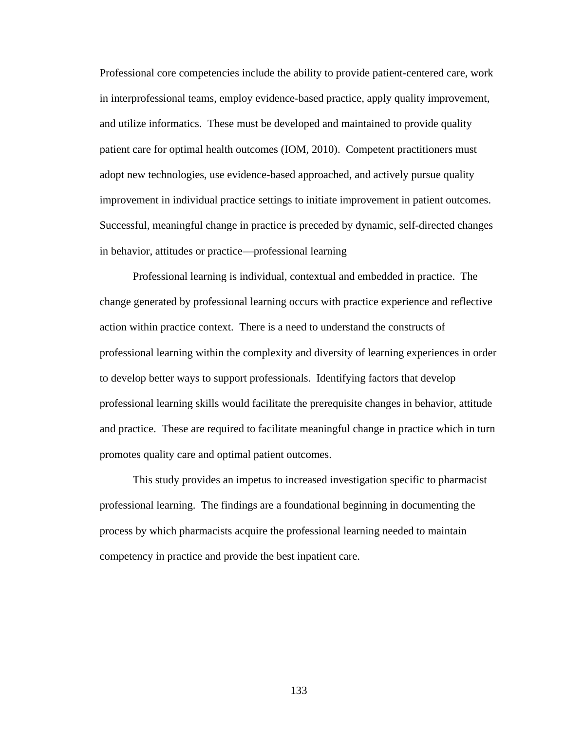Professional core competencies include the ability to provide patient-centered care, work in interprofessional teams, employ evidence-based practice, apply quality improvement, and utilize informatics. These must be developed and maintained to provide quality patient care for optimal health outcomes (IOM, 2010). Competent practitioners must adopt new technologies, use evidence-based approached, and actively pursue quality improvement in individual practice settings to initiate improvement in patient outcomes. Successful, meaningful change in practice is preceded by dynamic, self-directed changes in behavior, attitudes or practice—professional learning

Professional learning is individual, contextual and embedded in practice. The change generated by professional learning occurs with practice experience and reflective action within practice context. There is a need to understand the constructs of professional learning within the complexity and diversity of learning experiences in order to develop better ways to support professionals. Identifying factors that develop professional learning skills would facilitate the prerequisite changes in behavior, attitude and practice. These are required to facilitate meaningful change in practice which in turn promotes quality care and optimal patient outcomes.

This study provides an impetus to increased investigation specific to pharmacist professional learning. The findings are a foundational beginning in documenting the process by which pharmacists acquire the professional learning needed to maintain competency in practice and provide the best inpatient care.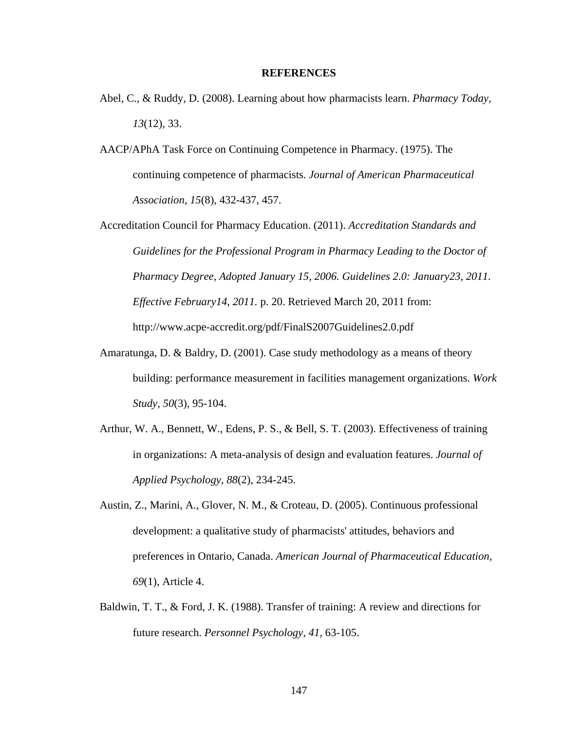## **REFERENCES**

- Abel, C., & Ruddy, D. (2008). Learning about how pharmacists learn. *Pharmacy Today, 13*(12), 33.
- AACP/APhA Task Force on Continuing Competence in Pharmacy. (1975). The continuing competence of pharmacists. *Journal of American Pharmaceutical Association, 15*(8), 432-437, 457.
- Accreditation Council for Pharmacy Education. (2011). *Accreditation Standards and Guidelines for the Professional Program in Pharmacy Leading to the Doctor of Pharmacy Degree, Adopted January 15, 2006. Guidelines 2.0: January23, 2011. Effective February14, 2011.* p. 20. Retrieved March 20, 2011 from: http://www.acpe-accredit.org/pdf/FinalS2007Guidelines2.0.pdf
- Amaratunga, D. & Baldry, D. (2001). Case study methodology as a means of theory building: performance measurement in facilities management organizations. *Work Study*, *50*(3), 95-104.
- Arthur, W. A., Bennett, W., Edens, P. S., & Bell, S. T. (2003). Effectiveness of training in organizations: A meta-analysis of design and evaluation features. *Journal of Applied Psychology, 88*(2), 234-245.
- Austin, Z., Marini, A., Glover, N. M., & Croteau, D. (2005). Continuous professional development: a qualitative study of pharmacists' attitudes, behaviors and preferences in Ontario, Canada. *American Journal of Pharmaceutical Education, 69*(1), Article 4.
- Baldwin, T. T., & Ford, J. K. (1988). Transfer of training: A review and directions for future research. *Personnel Psychology, 41*, 63-105.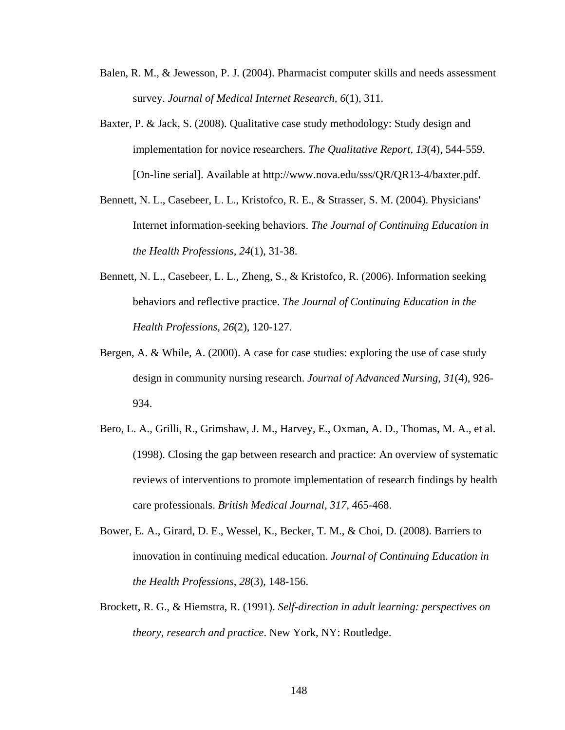- Balen, R. M., & Jewesson, P. J. (2004). Pharmacist computer skills and needs assessment survey. *Journal of Medical Internet Research, 6*(1), 311.
- Baxter, P. & Jack, S. (2008). Qualitative case study methodology: Study design and implementation for novice researchers. *The Qualitative Report, 13*(4), 544-559. [On-line serial]. Available at http://www.nova.edu/sss/QR/QR13-4/baxter.pdf.
- Bennett, N. L., Casebeer, L. L., Kristofco, R. E., & Strasser, S. M. (2004). Physicians' Internet information-seeking behaviors. *The Journal of Continuing Education in the Health Professions, 24*(1), 31-38.
- Bennett, N. L., Casebeer, L. L., Zheng, S., & Kristofco, R. (2006). Information seeking behaviors and reflective practice. *The Journal of Continuing Education in the Health Professions, 26*(2), 120-127.
- Bergen, A. & While, A. (2000). A case for case studies: exploring the use of case study design in community nursing research. *Journal of Advanced Nursing*, *31*(4), 926- 934.
- Bero, L. A., Grilli, R., Grimshaw, J. M., Harvey, E., Oxman, A. D., Thomas, M. A., et al. (1998). Closing the gap between research and practice: An overview of systematic reviews of interventions to promote implementation of research findings by health care professionals. *British Medical Journal, 317*, 465-468.
- Bower, E. A., Girard, D. E., Wessel, K., Becker, T. M., & Choi, D. (2008). Barriers to innovation in continuing medical education. *Journal of Continuing Education in the Health Professions, 28*(3), 148-156.
- Brockett, R. G., & Hiemstra, R. (1991). *Self-direction in adult learning: perspectives on theory, research and practice*. New York, NY: Routledge.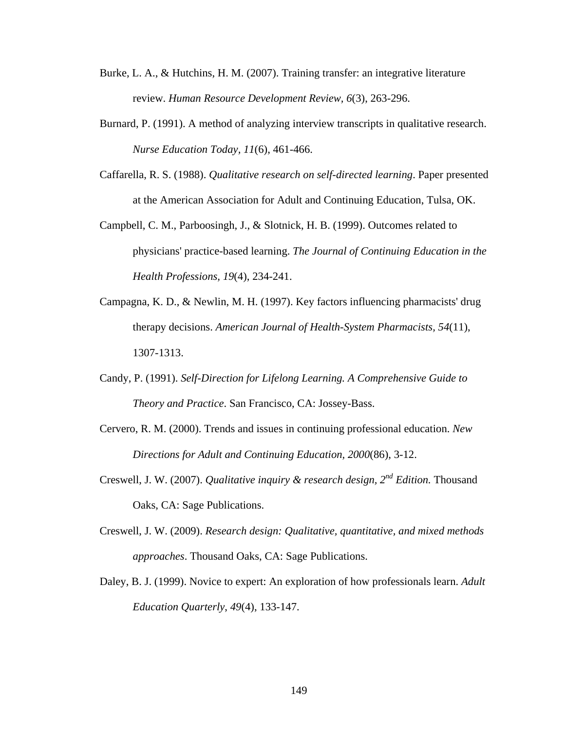- Burke, L. A., & Hutchins, H. M. (2007). Training transfer: an integrative literature review. *Human Resource Development Review, 6*(3), 263-296.
- Burnard, P. (1991). A method of analyzing interview transcripts in qualitative research. *Nurse Education Today, 11*(6), 461-466.
- Caffarella, R. S. (1988). *Qualitative research on self-directed learning*. Paper presented at the American Association for Adult and Continuing Education, Tulsa, OK.
- Campbell, C. M., Parboosingh, J., & Slotnick, H. B. (1999). Outcomes related to physicians' practice-based learning. *The Journal of Continuing Education in the Health Professions, 19*(4), 234-241.
- Campagna, K. D., & Newlin, M. H. (1997). Key factors influencing pharmacists' drug therapy decisions. *American Journal of Health-System Pharmacists, 54*(11), 1307-1313.
- Candy, P. (1991). *Self-Direction for Lifelong Learning. A Comprehensive Guide to Theory and Practice*. San Francisco, CA: Jossey-Bass.
- Cervero, R. M. (2000). Trends and issues in continuing professional education. *New Directions for Adult and Continuing Education, 2000*(86), 3-12.
- Creswell, J. W. (2007). *Qualitative inquiry & research design, 2nd Edition.* Thousand Oaks, CA: Sage Publications.
- Creswell, J. W. (2009). *Research design: Qualitative, quantitative, and mixed methods approaches*. Thousand Oaks, CA: Sage Publications.
- Daley, B. J. (1999). Novice to expert: An exploration of how professionals learn. *Adult Education Quarterly*, *49*(4), 133-147.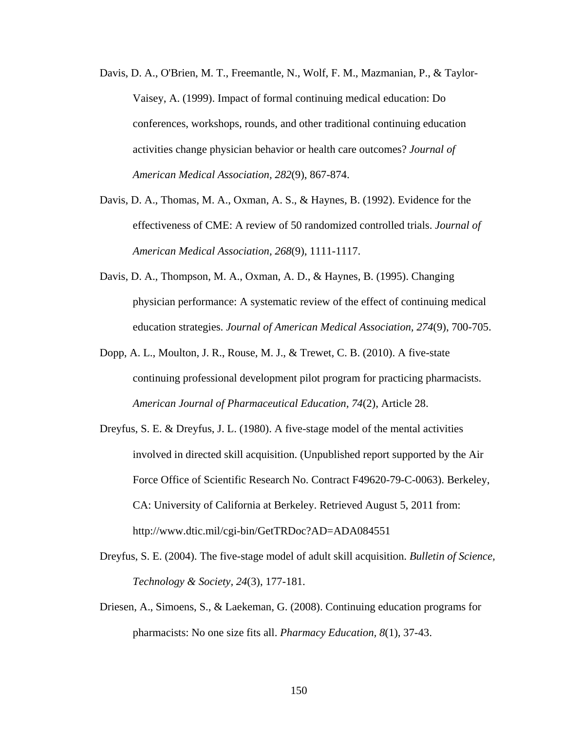- Davis, D. A., O'Brien, M. T., Freemantle, N., Wolf, F. M., Mazmanian, P., & Taylor-Vaisey, A. (1999). Impact of formal continuing medical education: Do conferences, workshops, rounds, and other traditional continuing education activities change physician behavior or health care outcomes? *Journal of American Medical Association, 282*(9), 867-874.
- Davis, D. A., Thomas, M. A., Oxman, A. S., & Haynes, B. (1992). Evidence for the effectiveness of CME: A review of 50 randomized controlled trials. *Journal of American Medical Association, 268*(9), 1111-1117.
- Davis, D. A., Thompson, M. A., Oxman, A. D., & Haynes, B. (1995). Changing physician performance: A systematic review of the effect of continuing medical education strategies. *Journal of American Medical Association, 274*(9), 700-705.
- Dopp, A. L., Moulton, J. R., Rouse, M. J., & Trewet, C. B. (2010). A five-state continuing professional development pilot program for practicing pharmacists. *American Journal of Pharmaceutical Education, 74*(2), Article 28.
- Dreyfus, S. E. & Dreyfus, J. L. (1980). A five-stage model of the mental activities involved in directed skill acquisition. (Unpublished report supported by the Air Force Office of Scientific Research No. Contract F49620-79-C-0063). Berkeley, CA: University of California at Berkeley. Retrieved August 5, 2011 from: http://www.dtic.mil/cgi-bin/GetTRDoc?AD=ADA084551
- Dreyfus, S. E. (2004). The five-stage model of adult skill acquisition. *Bulletin of Science, Technology & Society, 24*(3), 177-181.
- Driesen, A., Simoens, S., & Laekeman, G. (2008). Continuing education programs for pharmacists: No one size fits all. *Pharmacy Education, 8*(1), 37-43.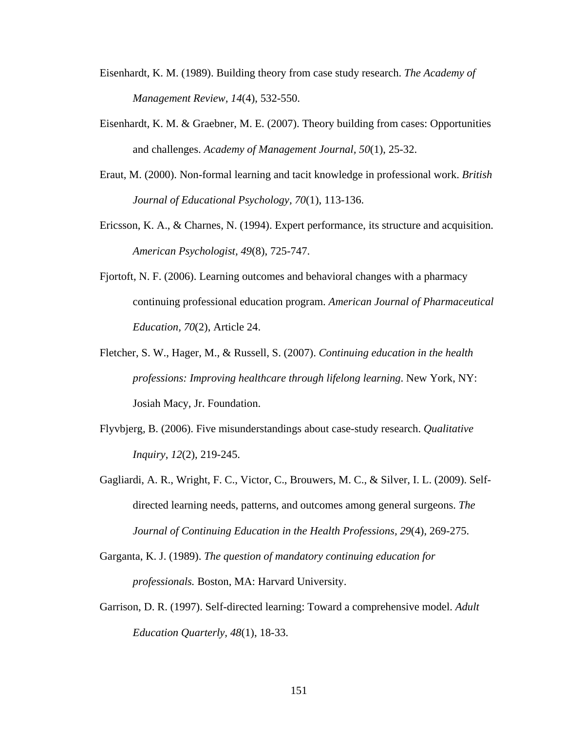- Eisenhardt, K. M. (1989). Building theory from case study research. *The Academy of Management Review, 14*(4), 532-550.
- Eisenhardt, K. M. & Graebner, M. E. (2007). Theory building from cases: Opportunities and challenges. *Academy of Management Journal, 50*(1), 25-32.
- Eraut, M. (2000). Non-formal learning and tacit knowledge in professional work. *British Journal of Educational Psychology, 70*(1), 113-136.
- Ericsson, K. A., & Charnes, N. (1994). Expert performance, its structure and acquisition. *American Psychologist, 49*(8), 725-747.
- Fjortoft, N. F. (2006). Learning outcomes and behavioral changes with a pharmacy continuing professional education program. *American Journal of Pharmaceutical Education, 70*(2), Article 24.
- Fletcher, S. W., Hager, M., & Russell, S. (2007). *Continuing education in the health professions: Improving healthcare through lifelong learning*. New York, NY: Josiah Macy, Jr. Foundation.
- Flyvbjerg, B. (2006). Five misunderstandings about case-study research. *Qualitative Inquiry*, *12*(2), 219-245.
- Gagliardi, A. R., Wright, F. C., Victor, C., Brouwers, M. C., & Silver, I. L. (2009). Selfdirected learning needs, patterns, and outcomes among general surgeons. *The Journal of Continuing Education in the Health Professions, 29*(4), 269-275.
- Garganta, K. J. (1989). *The question of mandatory continuing education for professionals.* Boston, MA: Harvard University.
- Garrison, D. R. (1997). Self-directed learning: Toward a comprehensive model. *Adult Education Quarterly, 48*(1), 18-33.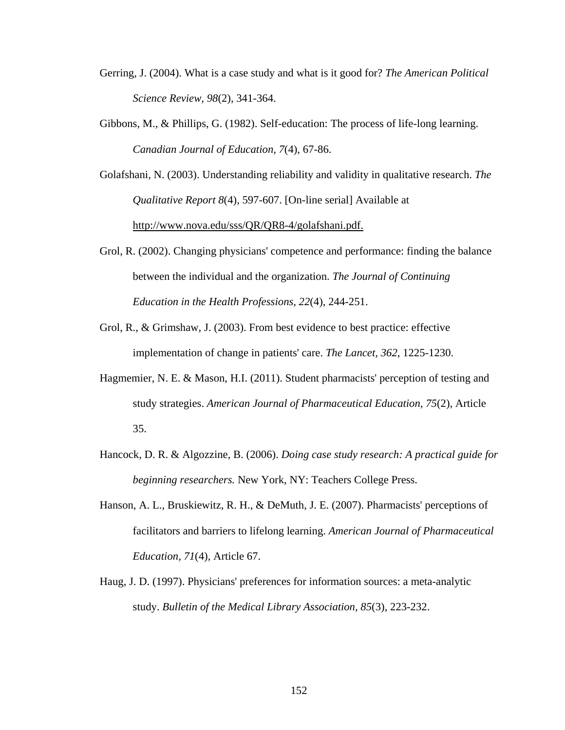- Gerring, J. (2004). What is a case study and what is it good for? *The American Political Science Review, 98*(2), 341-364.
- Gibbons, M., & Phillips, G. (1982). Self-education: The process of life-long learning. *Canadian Journal of Education*, *7*(4), 67-86.
- Golafshani, N. (2003). Understanding reliability and validity in qualitative research. *The Qualitative Report 8*(4), 597-607. [On-line serial] Available at http://www.nova.edu/sss/QR/QR8-4/golafshani.pdf.
- Grol, R. (2002). Changing physicians' competence and performance: finding the balance between the individual and the organization. *The Journal of Continuing Education in the Health Professions, 22*(4), 244-251.
- Grol, R., & Grimshaw, J. (2003). From best evidence to best practice: effective implementation of change in patients' care. *The Lancet, 362*, 1225-1230.
- Hagmemier, N. E. & Mason, H.I. (2011). Student pharmacists' perception of testing and study strategies. *American Journal of Pharmaceutical Education, 75*(2), Article 35.
- Hancock, D. R. & Algozzine, B. (2006). *Doing case study research: A practical guide for beginning researchers.* New York, NY: Teachers College Press.
- Hanson, A. L., Bruskiewitz, R. H., & DeMuth, J. E. (2007). Pharmacists' perceptions of facilitators and barriers to lifelong learning. *American Journal of Pharmaceutical Education, 71*(4), Article 67.
- Haug, J. D. (1997). Physicians' preferences for information sources: a meta-analytic study. *Bulletin of the Medical Library Association, 85*(3), 223-232.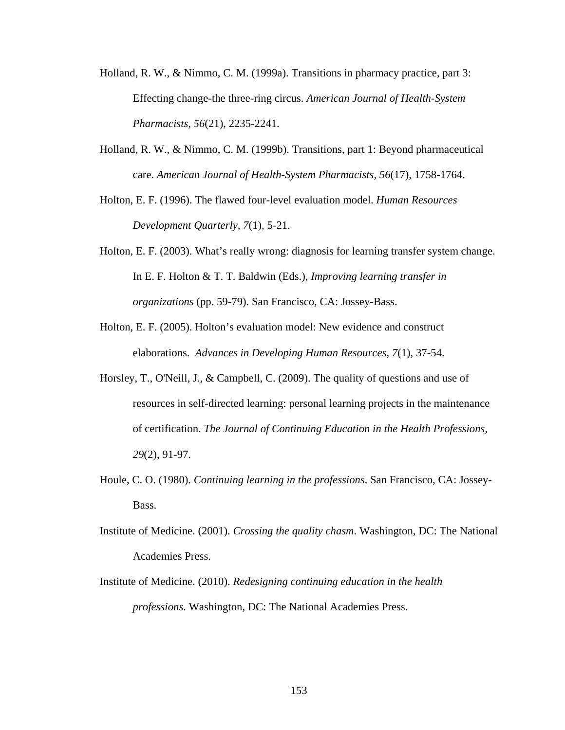- Holland, R. W., & Nimmo, C. M. (1999a). Transitions in pharmacy practice, part 3: Effecting change-the three-ring circus. *American Journal of Health-System Pharmacists, 56*(21), 2235-2241.
- Holland, R. W., & Nimmo, C. M. (1999b). Transitions, part 1: Beyond pharmaceutical care. *American Journal of Health-System Pharmacists, 56*(17), 1758-1764.
- Holton, E. F. (1996). The flawed four-level evaluation model. *Human Resources Development Quarterly, 7*(1), 5-21.
- Holton, E. F. (2003). What's really wrong: diagnosis for learning transfer system change. In E. F. Holton & T. T. Baldwin (Eds.), *Improving learning transfer in organizations* (pp. 59-79). San Francisco, CA: Jossey-Bass.
- Holton, E. F. (2005). Holton's evaluation model: New evidence and construct elaborations. *Advances in Developing Human Resources, 7*(1), 37-54.
- Horsley, T., O'Neill, J., & Campbell, C. (2009). The quality of questions and use of resources in self-directed learning: personal learning projects in the maintenance of certification. *The Journal of Continuing Education in the Health Professions, 29*(2), 91-97.
- Houle, C. O. (1980). *Continuing learning in the professions*. San Francisco, CA: Jossey-Bass.
- Institute of Medicine. (2001). *Crossing the quality chasm*. Washington, DC: The National Academies Press.
- Institute of Medicine. (2010). *Redesigning continuing education in the health professions*. Washington, DC: The National Academies Press.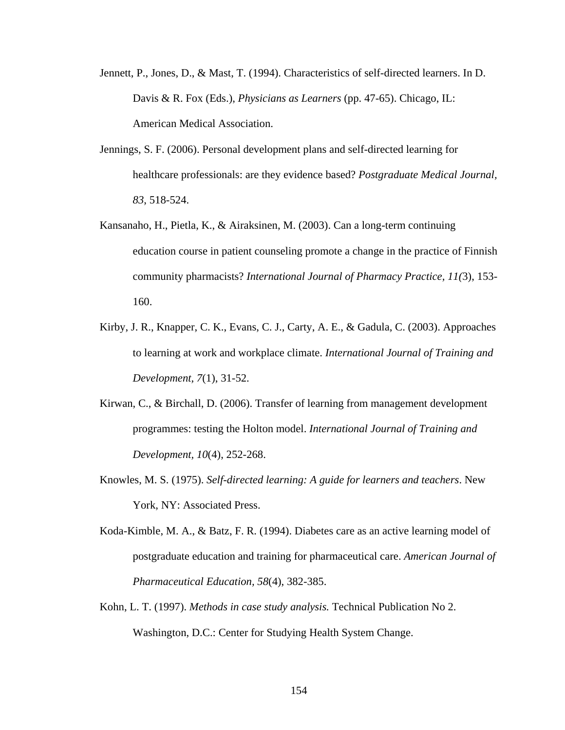- Jennett, P., Jones, D., & Mast, T. (1994). Characteristics of self-directed learners. In D. Davis & R. Fox (Eds.), *Physicians as Learners* (pp. 47-65). Chicago, IL: American Medical Association.
- Jennings, S. F. (2006). Personal development plans and self-directed learning for healthcare professionals: are they evidence based? *Postgraduate Medical Journal, 83*, 518-524.
- Kansanaho, H., Pietla, K., & Airaksinen, M. (2003). Can a long-term continuing education course in patient counseling promote a change in the practice of Finnish community pharmacists? *International Journal of Pharmacy Practice, 11(*3), 153- 160.
- Kirby, J. R., Knapper, C. K., Evans, C. J., Carty, A. E., & Gadula, C. (2003). Approaches to learning at work and workplace climate. *International Journal of Training and Development, 7*(1), 31-52.
- Kirwan, C., & Birchall, D. (2006). Transfer of learning from management development programmes: testing the Holton model. *International Journal of Training and Development, 10*(4), 252-268.
- Knowles, M. S. (1975). *Self-directed learning: A guide for learners and teachers*. New York, NY: Associated Press.
- Koda-Kimble, M. A., & Batz, F. R. (1994). Diabetes care as an active learning model of postgraduate education and training for pharmaceutical care. *American Journal of Pharmaceutical Education, 58*(4), 382-385.
- Kohn, L. T. (1997). *Methods in case study analysis.* Technical Publication No 2. Washington, D.C.: Center for Studying Health System Change.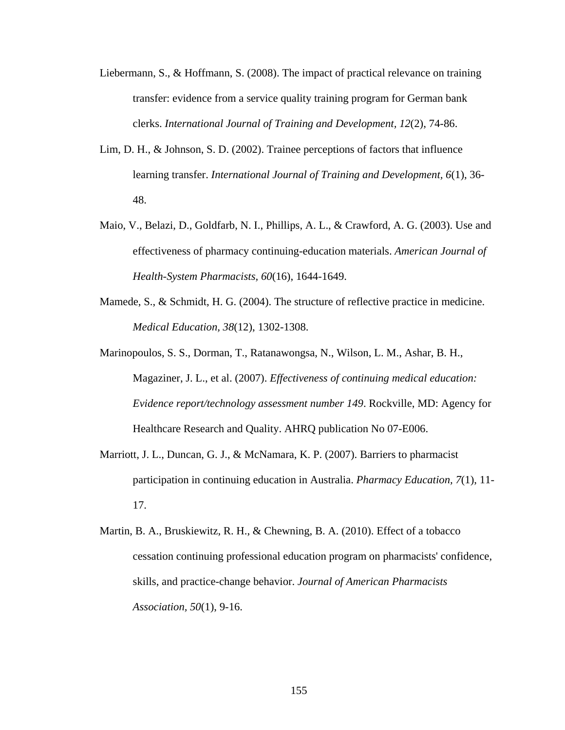- Liebermann, S., & Hoffmann, S. (2008). The impact of practical relevance on training transfer: evidence from a service quality training program for German bank clerks. *International Journal of Training and Development, 12*(2), 74-86.
- Lim, D. H., & Johnson, S. D. (2002). Trainee perceptions of factors that influence learning transfer. *International Journal of Training and Development, 6*(1), 36- 48.
- Maio, V., Belazi, D., Goldfarb, N. I., Phillips, A. L., & Crawford, A. G. (2003). Use and effectiveness of pharmacy continuing-education materials. *American Journal of Health-System Pharmacists, 60*(16), 1644-1649.
- Mamede, S., & Schmidt, H. G. (2004). The structure of reflective practice in medicine. *Medical Education, 38*(12), 1302-1308.
- Marinopoulos, S. S., Dorman, T., Ratanawongsa, N., Wilson, L. M., Ashar, B. H., Magaziner, J. L., et al. (2007). *Effectiveness of continuing medical education: Evidence report/technology assessment number 149*. Rockville, MD: Agency for Healthcare Research and Quality. AHRQ publication No 07-E006.
- Marriott, J. L., Duncan, G. J., & McNamara, K. P. (2007). Barriers to pharmacist participation in continuing education in Australia. *Pharmacy Education, 7*(1), 11- 17.
- Martin, B. A., Bruskiewitz, R. H., & Chewning, B. A. (2010). Effect of a tobacco cessation continuing professional education program on pharmacists' confidence, skills, and practice-change behavior. *Journal of American Pharmacists Association, 50*(1), 9-16.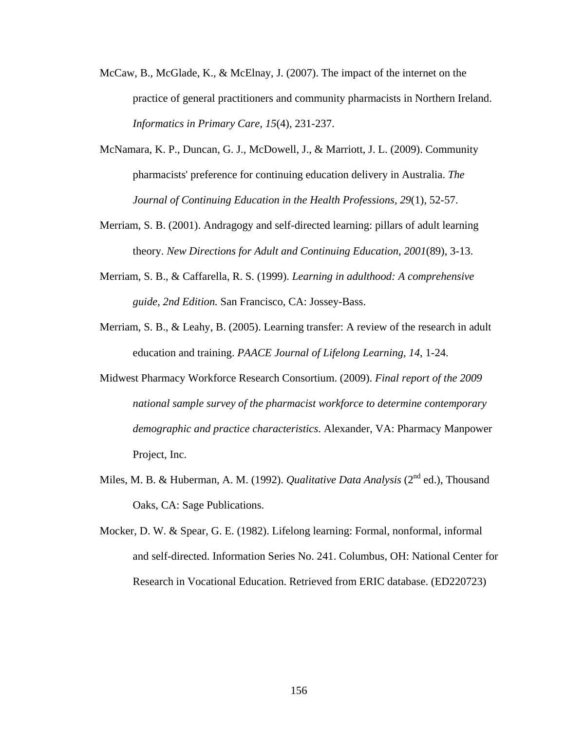- McCaw, B., McGlade, K., & McElnay, J. (2007). The impact of the internet on the practice of general practitioners and community pharmacists in Northern Ireland. *Informatics in Primary Care, 15*(4), 231-237.
- McNamara, K. P., Duncan, G. J., McDowell, J., & Marriott, J. L. (2009). Community pharmacists' preference for continuing education delivery in Australia. *The Journal of Continuing Education in the Health Professions, 29*(1), 52-57.
- Merriam, S. B. (2001). Andragogy and self-directed learning: pillars of adult learning theory. *New Directions for Adult and Continuing Education*, *2001*(89), 3-13.
- Merriam, S. B., & Caffarella, R. S. (1999). *Learning in adulthood: A comprehensive guide, 2nd Edition.* San Francisco, CA: Jossey-Bass.
- Merriam, S. B., & Leahy, B. (2005). Learning transfer: A review of the research in adult education and training. *PAACE Journal of Lifelong Learning, 14*, 1-24.
- Midwest Pharmacy Workforce Research Consortium. (2009). *Final report of the 2009 national sample survey of the pharmacist workforce to determine contemporary demographic and practice characteristics*. Alexander, VA: Pharmacy Manpower Project, Inc.
- Miles, M. B. & Huberman, A. M. (1992). *Qualitative Data Analysis* (2<sup>nd</sup> ed.). Thousand Oaks, CA: Sage Publications.
- Mocker, D. W. & Spear, G. E. (1982). Lifelong learning: Formal, nonformal, informal and self-directed. Information Series No. 241. Columbus, OH: National Center for Research in Vocational Education. Retrieved from ERIC database. (ED220723)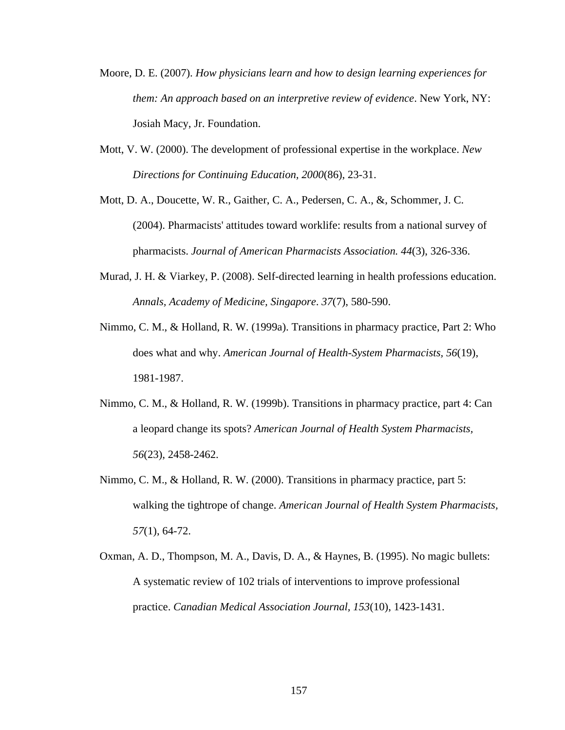- Moore, D. E. (2007). *How physicians learn and how to design learning experiences for them: An approach based on an interpretive review of evidence*. New York, NY: Josiah Macy, Jr. Foundation.
- Mott, V. W. (2000). The development of professional expertise in the workplace. *New Directions for Continuing Education, 2000*(86), 23-31.
- [Mott, D. A.](http://www.ncbi.nlm.nih.gov/pubmed?term=%22Mott%20DA%22%5BAuthor%5D), [Doucette, W. R.,](http://www.ncbi.nlm.nih.gov/pubmed?term=%22Doucette%20WR%22%5BAuthor%5D) [Gaither, C. A.](http://www.ncbi.nlm.nih.gov/pubmed?term=%22Gaither%20CA%22%5BAuthor%5D), [Pedersen, C. A.](http://www.ncbi.nlm.nih.gov/pubmed?term=%22Pedersen%20CA%22%5BAuthor%5D), &, [Schommer, J. C.](http://www.ncbi.nlm.nih.gov/pubmed?term=%22Schommer%20JC%22%5BAuthor%5D) (2004). Pharmacists' attitudes toward worklife: results from a national survey of pharmacists. *Journal of American Pharmacists Association. 44*(3), 326-336.
- Murad, J. H. & Viarkey, P. (2008). Self-directed learning in health professions education. *Annals, Academy of Medicine, Singapore*. *37*(7), 580-590.
- Nimmo, C. M., & Holland, R. W. (1999a). Transitions in pharmacy practice, Part 2: Who does what and why. *American Journal of Health-System Pharmacists, 56*(19), 1981-1987.
- Nimmo, C. M., & Holland, R. W. (1999b). Transitions in pharmacy practice, part 4: Can a leopard change its spots? *American Journal of Health System Pharmacists, 56*(23), 2458-2462.
- Nimmo, C. M., & Holland, R. W. (2000). Transitions in pharmacy practice, part 5: walking the tightrope of change. *American Journal of Health System Pharmacists, 57*(1), 64-72.
- Oxman, A. D., Thompson, M. A., Davis, D. A., & Haynes, B. (1995). No magic bullets: A systematic review of 102 trials of interventions to improve professional practice. *Canadian Medical Association Journal, 153*(10), 1423-1431.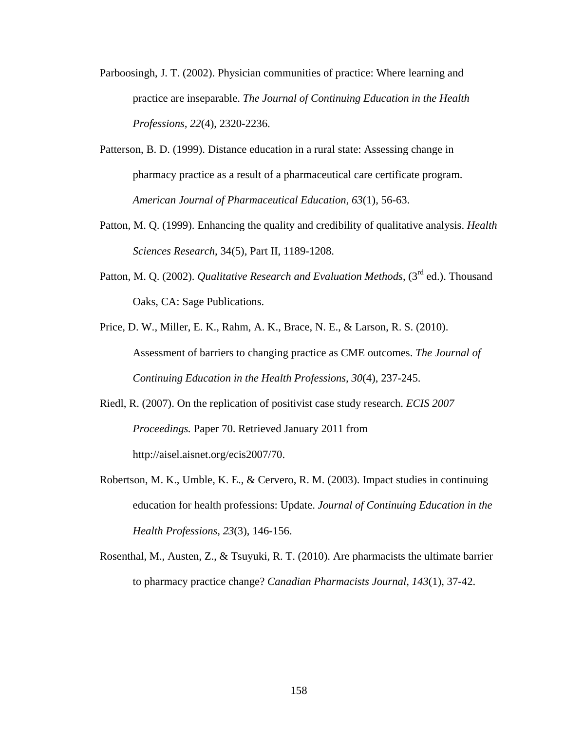- Parboosingh, J. T. (2002). Physician communities of practice: Where learning and practice are inseparable. *The Journal of Continuing Education in the Health Professions, 22*(4), 2320-2236.
- Patterson, B. D. (1999). Distance education in a rural state: Assessing change in pharmacy practice as a result of a pharmaceutical care certificate program. *American Journal of Pharmaceutical Education, 63*(1), 56-63.
- Patton, M. Q. (1999). Enhancing the quality and credibility of qualitative analysis. *Health Sciences Research*, 34(5), Part II, 1189-1208.
- Patton, M. Q. (2002). *Qualitative Research and Evaluation Methods*, (3<sup>rd</sup> ed.). Thousand Oaks, CA: Sage Publications.
- Price, D. W., Miller, E. K., Rahm, A. K., Brace, N. E., & Larson, R. S. (2010). Assessment of barriers to changing practice as CME outcomes. *The Journal of Continuing Education in the Health Professions, 30*(4), 237-245.
- Riedl, R. (2007). On the replication of positivist case study research. *ECIS 2007 Proceedings.* Paper 70. Retrieved January 2011 from http://aisel.aisnet.org/ecis2007/70.
- Robertson, M. K., Umble, K. E., & Cervero, R. M. (2003). Impact studies in continuing education for health professions: Update. *Journal of Continuing Education in the Health Professions, 23*(3), 146-156.
- Rosenthal, M., Austen, Z., & Tsuyuki, R. T. (2010). Are pharmacists the ultimate barrier to pharmacy practice change? *Canadian Pharmacists Journal, 143*(1), 37-42.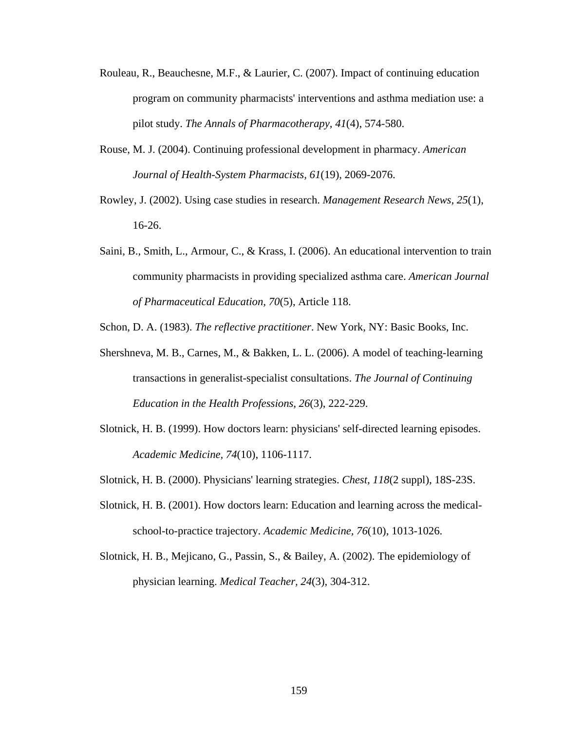- Rouleau, R., Beauchesne, M.F., & Laurier, C. (2007). Impact of continuing education program on community pharmacists' interventions and asthma mediation use: a pilot study. *The Annals of Pharmacotherapy, 41*(4), 574-580.
- Rouse, M. J. (2004). Continuing professional development in pharmacy. *American Journal of Health-System Pharmacists, 61*(19), 2069-2076.
- Rowley, J. (2002). Using case studies in research. *Management Research News, 25*(1), 16-26.
- Saini, B., Smith, L., Armour, C., & Krass, I. (2006). An educational intervention to train community pharmacists in providing specialized asthma care. *American Journal of Pharmaceutical Education, 70*(5), Article 118.

Schon, D. A. (1983). *The reflective practitioner*. New York, NY: Basic Books, Inc.

- Shershneva, M. B., Carnes, M., & Bakken, L. L. (2006). A model of teaching-learning transactions in generalist-specialist consultations. *The Journal of Continuing Education in the Health Professions, 26*(3), 222-229.
- Slotnick, H. B. (1999). How doctors learn: physicians' self-directed learning episodes. *Academic Medicine, 74*(10), 1106-1117.
- Slotnick, H. B. (2000). Physicians' learning strategies. *Chest, 118*(2 suppl), 18S-23S.
- Slotnick, H. B. (2001). How doctors learn: Education and learning across the medicalschool-to-practice trajectory. *Academic Medicine, 76*(10), 1013-1026.
- Slotnick, H. B., Mejicano, G., Passin, S., & Bailey, A. (2002). The epidemiology of physician learning. *Medical Teacher, 24*(3), 304-312.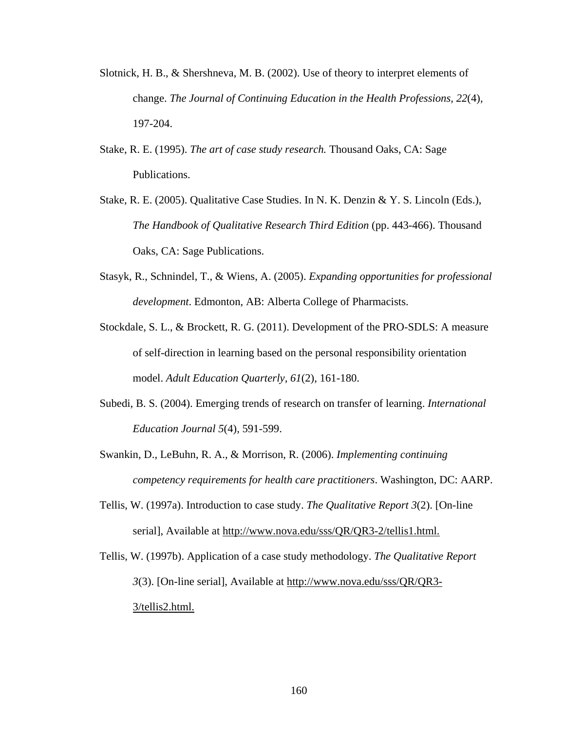- Slotnick, H. B., & Shershneva, M. B. (2002). Use of theory to interpret elements of change. *The Journal of Continuing Education in the Health Professions, 22*(4), 197-204.
- Stake, R. E. (1995). *The art of case study research.* Thousand Oaks, CA: Sage Publications.
- Stake, R. E. (2005). Qualitative Case Studies. In N. K. Denzin & Y. S. Lincoln (Eds.), *The Handbook of Qualitative Research Third Edition* (pp. 443-466). Thousand Oaks, CA: Sage Publications.
- Stasyk, R., Schnindel, T., & Wiens, A. (2005). *Expanding opportunities for professional development*. Edmonton, AB: Alberta College of Pharmacists.
- Stockdale, S. L., & Brockett, R. G. (2011). Development of the PRO-SDLS: A measure of self-direction in learning based on the personal responsibility orientation model. *Adult Education Quarterly, 61*(2), 161-180.
- Subedi, B. S. (2004). Emerging trends of research on transfer of learning. *International Education Journal 5*(4), 591-599.
- Swankin, D., LeBuhn, R. A., & Morrison, R. (2006). *Implementing continuing competency requirements for health care practitioners*. Washington, DC: AARP.
- Tellis, W. (1997a). Introduction to case study. *The Qualitative Report 3*(2). [On-line serial], Available at http://www.nova.edu/sss/QR/QR3-2/tellis1.html.
- Tellis, W. (1997b). Application of a case study methodology. *The Qualitative Report 3*(3). [On-line serial], Available at http://www.nova.edu/sss/QR/QR3- 3/tellis2.html.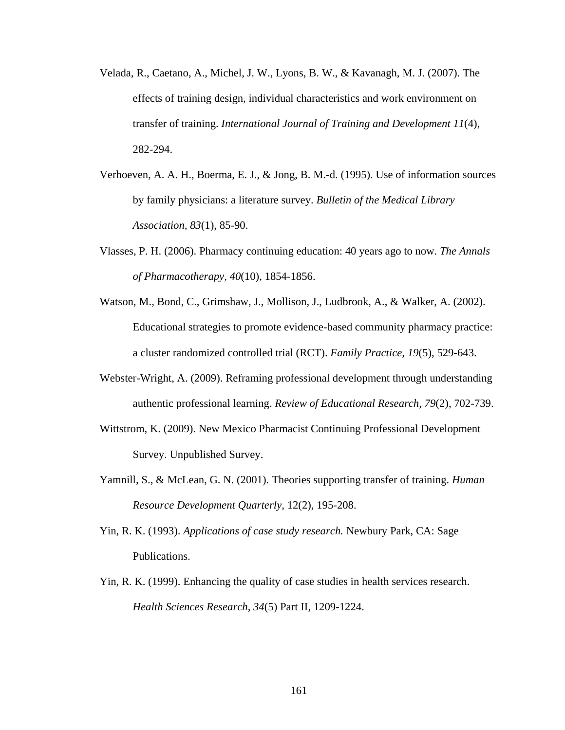- Velada, R., Caetano, A., Michel, J. W., Lyons, B. W., & Kavanagh, M. J. (2007). The effects of training design, individual characteristics and work environment on transfer of training. *International Journal of Training and Development 11*(4), 282-294.
- Verhoeven, A. A. H., Boerma, E. J., & Jong, B. M.-d. (1995). Use of information sources by family physicians: a literature survey. *Bulletin of the Medical Library Association, 83*(1), 85-90.
- Vlasses, P. H. (2006). Pharmacy continuing education: 40 years ago to now. *The Annals of Pharmacotherapy, 40*(10), 1854-1856.
- Watson, M., Bond, C., Grimshaw, J., Mollison, J., Ludbrook, A., & Walker, A. (2002). Educational strategies to promote evidence-based community pharmacy practice: a cluster randomized controlled trial (RCT). *Family Practice, 19*(5), 529-643.
- Webster-Wright, A. (2009). Reframing professional development through understanding authentic professional learning. *Review of Educational Research, 79*(2), 702-739.
- Wittstrom, K. (2009). New Mexico Pharmacist Continuing Professional Development Survey. Unpublished Survey.
- Yamnill, S., & McLean, G. N. (2001). Theories supporting transfer of training. *Human Resource Development Quarterly,* 12(2), 195-208.
- Yin, R. K. (1993). *Applications of case study research.* Newbury Park, CA: Sage Publications.
- Yin, R. K. (1999). Enhancing the quality of case studies in health services research. *Health Sciences Research*, *34*(5) Part II, 1209-1224.